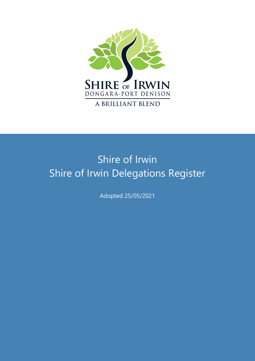

# Shire of Irwin Shire of Irwin Delegations Register

Adopted 25/05/2021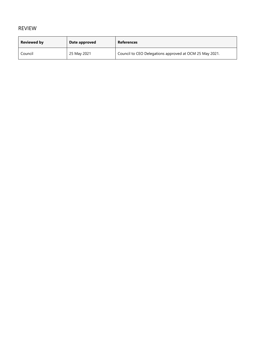#### REVIEW

| <b>Reviewed by</b> | Date approved | References                                              |
|--------------------|---------------|---------------------------------------------------------|
| Council            | 25 May 2021   | Council to CEO Delegations approved at OCM 25 May 2021. |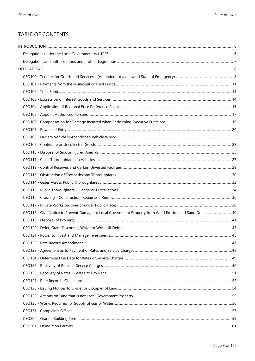## TABLE OF CONTENTS

| CEO118 - Give Notice to Prevent Damage to Local Government Property from Wind Erosion and Sand Drift  40 |    |
|----------------------------------------------------------------------------------------------------------|----|
|                                                                                                          |    |
|                                                                                                          |    |
|                                                                                                          | 45 |
|                                                                                                          |    |
|                                                                                                          |    |
|                                                                                                          |    |
|                                                                                                          |    |
|                                                                                                          |    |
|                                                                                                          |    |
|                                                                                                          |    |
|                                                                                                          |    |
|                                                                                                          |    |
|                                                                                                          |    |
|                                                                                                          |    |
|                                                                                                          |    |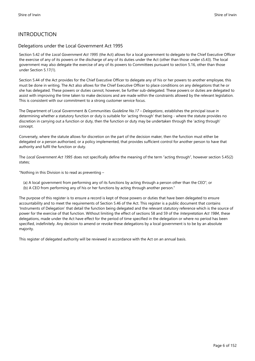#### <span id="page-5-1"></span><span id="page-5-0"></span>INTRODUCTION

#### Delegations under the Local Government Act 1995

Section 5.42 of the *Local Government Act 1995* (the Act) allows for a local government to delegate to the Chief Executive Officer the exercise of any of its powers or the discharge of any of its duties under the Act (other than those under s5.43). The local government may also delegate the exercise of any of its powers to Committees pursuant to section 5.16, other than those under Section 5.17(1).

Section 5.44 of the Act provides for the Chief Executive Officer to delegate any of his or her powers to another employee, this must be done in writing. The Act also allows for the Chief Executive Officer to place conditions on any delegations that he or she has delegated. These powers or duties cannot, however, be further sub-delegated. These powers or duties are delegated to assist with improving the time taken to make decisions and are made within the constraints allowed by the relevant legislation. This is consistent with our commitment to a strong customer service focus.

The Department of Local Government & Communities *Guideline No.17 – Delegations*, establishes the principal issue in determining whether a statutory function or duty is suitable for 'acting through' that being - where the statute provides no discretion in carrying out a function or duty, then the function or duty may be undertaken through the 'acting through' concept.

Conversely, where the statute allows for discretion on the part of the decision maker, then the function must either be delegated or a person authorised, or a policy implemented, that provides sufficient control for another person to have that authority and fulfil the function or duty.

The *Local Government Act 1995* does not specifically define the meaning of the term "acting through", however section 5.45(2) states;

"Nothing in this Division is to read as preventing – 

- (a) A local government from performing any of its functions by acting through a person other than the CEO"; or
- (b) A CEO from performing any of his or her functions by acting through another person."

The purpose of this register is to ensure a record is kept of those powers or duties that have been delegated to ensure accountability and to meet the requirements of Section 5.46 of the Act. This register is a public document that contains 'Instruments of Delegation' that detail the function being delegated and the relevant statutory reference which is the source of power for the exercise of that function. Without limiting the effect of sections 58 and 59 of the *Interpretation Act 1984*, these delegations, made under the Act have effect for the period of time specified in the delegation or where no period has been specified, indefinitely. Any decision to amend or revoke these delegations by a local government is to be by an absolute majority.

This register of delegated authority will be reviewed in accordance with the Act on an annual basis.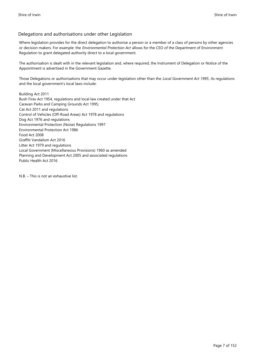#### <span id="page-6-0"></span>Delegations and authorisations under other Legislation

Where legislation provides for the direct delegation to authorise a person or a member of a class of persons by other agencies or decision makers. For example: the *Environmental Protection Act* allows for the CEO of the Department of Environment Regulation to grant delegated authority direct to a local government. 

The authorisation is dealt with in the relevant legislation and, where required, the Instrument of Delegation or Notice of the Appointment is advertised in the Government Gazette. 

Those Delegations or authorisations that may occur under legislation other than the *Local Government Act 1995*, its regulations and the local government's local laws include: 

Building Act 2011 Bush Fires Act 1954, regulations and local law created under that Act Caravan Parks and Camping Grounds Act 1995; Cat Act 2011 and regulations Control of Vehicles (Off-Road Areas) Act 1978 and regulations Dog Act 1976 and regulations Environmental Protection (Noise) Regulations 1997 Environmental Protection Act 1986 Food Act 2008 Graffiti Vandalism Act 2016 Litter Act 1979 and regulations Local Government (Miscellaneous Provisions) 1960 as amended Planning and Development Act 2005 and associated regulations Public Health Act 2016

N.B. – This is not an exhaustive list.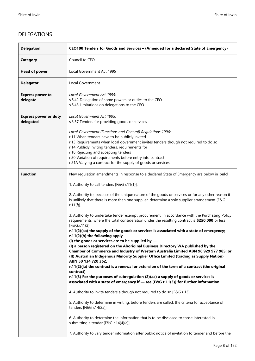## <span id="page-7-1"></span><span id="page-7-0"></span>DELEGATIONS

| <b>Delegation</b>                         | CEO100 Tenders for Goods and Services - (Amended for a declared State of Emergency)                                                                                                                                                                                                                                                                                                                                                                                                                                                                                                                                                                                                                                                                                                                                                                                                                                                                                                                                                                                                                                                                                                                                                                                                                                                                                                                                                                                                                                                                                                                                                                                                                                                                                                                                |
|-------------------------------------------|--------------------------------------------------------------------------------------------------------------------------------------------------------------------------------------------------------------------------------------------------------------------------------------------------------------------------------------------------------------------------------------------------------------------------------------------------------------------------------------------------------------------------------------------------------------------------------------------------------------------------------------------------------------------------------------------------------------------------------------------------------------------------------------------------------------------------------------------------------------------------------------------------------------------------------------------------------------------------------------------------------------------------------------------------------------------------------------------------------------------------------------------------------------------------------------------------------------------------------------------------------------------------------------------------------------------------------------------------------------------------------------------------------------------------------------------------------------------------------------------------------------------------------------------------------------------------------------------------------------------------------------------------------------------------------------------------------------------------------------------------------------------------------------------------------------------|
| <b>Category</b>                           | Council to CEO                                                                                                                                                                                                                                                                                                                                                                                                                                                                                                                                                                                                                                                                                                                                                                                                                                                                                                                                                                                                                                                                                                                                                                                                                                                                                                                                                                                                                                                                                                                                                                                                                                                                                                                                                                                                     |
| <b>Head of power</b>                      | Local Government Act 1995                                                                                                                                                                                                                                                                                                                                                                                                                                                                                                                                                                                                                                                                                                                                                                                                                                                                                                                                                                                                                                                                                                                                                                                                                                                                                                                                                                                                                                                                                                                                                                                                                                                                                                                                                                                          |
| <b>Delegator</b>                          | Local Government                                                                                                                                                                                                                                                                                                                                                                                                                                                                                                                                                                                                                                                                                                                                                                                                                                                                                                                                                                                                                                                                                                                                                                                                                                                                                                                                                                                                                                                                                                                                                                                                                                                                                                                                                                                                   |
| <b>Express power to</b><br>delegate       | Local Government Act 1995:<br>s.5.42 Delegation of some powers or duties to the CEO<br>s.5.43 Limitations on delegations to the CEO                                                                                                                                                                                                                                                                                                                                                                                                                                                                                                                                                                                                                                                                                                                                                                                                                                                                                                                                                                                                                                                                                                                                                                                                                                                                                                                                                                                                                                                                                                                                                                                                                                                                                |
| <b>Express power or duty</b><br>delegated | Local Government Act 1995:<br>s.3.57 Tenders for providing goods or services<br>Local Government (Functions and General) Regulations 1996:<br>r.11 When tenders have to be publicly invited<br>r.13 Requirements when local government invites tenders though not required to do so<br>r.14 Publicly inviting tenders, requirements for<br>r.18 Rejecting and accepting tenders<br>r.20 Variation of requirements before entry into contract<br>r.21A Varying a contract for the supply of goods or services                                                                                                                                                                                                                                                                                                                                                                                                                                                                                                                                                                                                                                                                                                                                                                                                                                                                                                                                                                                                                                                                                                                                                                                                                                                                                                       |
| <b>Function</b>                           | New regulation amendments in response to a declared State of Emergency are below in bold<br>1. Authority to call tenders [F&G r.11(1)].<br>2. Authority to, because of the unique nature of the goods or services or for any other reason it<br>is unlikely that there is more than one supplier, determine a sole supplier arrangement [F&G<br>$r.11(f)$ ].<br>3. Authority to undertake tender exempt procurement, in accordance with the Purchasing Policy<br>requirements, where the total consideration under the resulting contract is \$250,000 or less<br>[F&G.r.11(2).<br>r.11(2)(aa) the supply of the goods or services is associated with a state of emergency;<br>r.11(2)(h) the following apply-<br>(i) the goods or services are to be supplied by $-$<br>(I) a person registered on the Aboriginal Business Directory WA published by the<br>Chamber of Commerce and Industry of Western Australia Limited ABN 96 929 977 985; or<br>(II) Australian Indigenous Minority Supplier Office Limited (trading as Supply Nation)<br>ABN 50 134 720 362;<br>$r.11(2)(ja)$ the contract is a renewal or extension of the term of a contract (the original<br>contract)<br>r.11(3) For the purposes of subregulation (2)(aa) a supply of goods or services is<br>associated with a state of emergency if - see [F&G r.11(3)] for further information<br>4. Authority to invite tenders although not required to do so [F&G r.13].<br>5. Authority to determine in writing, before tenders are called, the criteria for acceptance of<br>tenders [F&G r.14(2a)].<br>6. Authority to determine the information that is to be disclosed to those interested in<br>submitting a tender [F&G r.14(4)(a)].<br>7. Authority to vary tender information after public notice of invitation to tender and before the |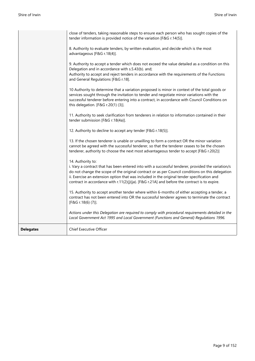|                  | close of tenders, taking reasonable steps to ensure each person who has sought copies of the<br>tender information is provided notice of the variation [F&G r.14(5)].                                                                                                                                                                                                                                                       |
|------------------|-----------------------------------------------------------------------------------------------------------------------------------------------------------------------------------------------------------------------------------------------------------------------------------------------------------------------------------------------------------------------------------------------------------------------------|
|                  | 8. Authority to evaluate tenders, by written evaluation, and decide which is the most<br>advantageous [F&G r.18(4)].                                                                                                                                                                                                                                                                                                        |
|                  | 9. Authority to accept a tender which does not exceed the value detailed as a condition on this<br>Delegation and in accordance with s.5.43(b). and;<br>Authority to accept and reject tenders in accordance with the requirements of the Functions<br>and General Regulations [F&G r.18].                                                                                                                                  |
|                  | 10 Authority to determine that a variation proposed is minor in context of the total goods or<br>services sought through the invitation to tender and negotiate minor variations with the<br>successful tenderer before entering into a contract, in accordance with Council Conditions on<br>this delegation. [F&G r.20(1) (3)].                                                                                           |
|                  | 11. Authority to seek clarification from tenderers in relation to information contained in their<br>tender submission [F&G r.18(4a)].                                                                                                                                                                                                                                                                                       |
|                  | 12. Authority to decline to accept any tender [F&G r.18(5)].                                                                                                                                                                                                                                                                                                                                                                |
|                  | 13. If the chosen tenderer is unable or unwilling to form a contract OR the minor variation<br>cannot be agreed with the successful tenderer, so that the tenderer ceases to be the chosen<br>tenderer, authority to choose the next most advantageous tender to accept [F&G r.20(2)]                                                                                                                                       |
|                  | 14. Authority to:<br>i. Vary a contract that has been entered into with a successful tenderer, provided the variation/s<br>do not change the scope of the original contract or as per Council conditions on this delegation<br>ii. Exercise an extension option that was included in the original tender specification and<br>contract in accordance with r.11(2)(j)(ja). [F&G r.21A] and before the contract is to expire. |
|                  | 15. Authority to accept another tender where within 6-months of either accepting a tender, a<br>contract has not been entered into OR the successful tenderer agrees to terminate the contract<br>[F&G r.18(6) (7)].                                                                                                                                                                                                        |
|                  | Actions under this Delegation are required to comply with procedural requirements detailed in the<br>Local Government Act 1995 and Local Government (Functions and General) Regulations 1996.                                                                                                                                                                                                                               |
| <b>Delegates</b> | <b>Chief Executive Officer</b>                                                                                                                                                                                                                                                                                                                                                                                              |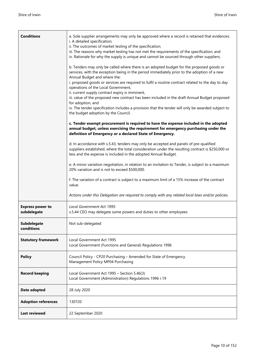| <b>Conditions</b>                      | a. Sole supplier arrangements may only be approved where a record is retained that evidences:<br>i. A detailed specification;<br>ii. The outcomes of market testing of the specification;<br>iii. The reasons why market testing has not met the requirements of the specification; and<br>iv. Rationale for why the supply is unique and cannot be sourced through other suppliers;<br>b. Tenders may only be called where there is an adopted budget for the proposed goods or<br>services, with the exception being in the period immediately prior to the adoption of a new<br>Annual Budget and where the:<br>i. proposed goods or services are required to fulfil a routine contract related to the day to day<br>operations of the Local Government,<br>ii. current supply contract expiry is imminent,<br>iii. value of the proposed new contract has been included in the draft Annual Budget proposed<br>for adoption, and<br>iv. The tender specification includes a provision that the tender will only be awarded subject to<br>the budget adoption by the Council.<br>c. Tender exempt procurement is required to have the expense included in the adopted<br>annual budget, unless exercising the requirement for emergency purchasing under the<br>definition of Emergency or a declared State of Emergency.<br>d. In accordance with s.5.43, tenders may only be accepted and panels of pre-qualified<br>suppliers established, where the total consideration under the resulting contract is \$250,000 or<br>less and the expense is included in the adopted Annual Budget.<br>e. A minor variation negotiation, in relation to an invitation to Tender, is subject to a maximum<br>20% variation and is not to exceed \$500,000.<br>f. The variation of a contract is subject to a maximum limit of a 15% increase of the contract<br>value.<br>Actions under this Delegation are required to comply with any related local laws and/or policies. |
|----------------------------------------|----------------------------------------------------------------------------------------------------------------------------------------------------------------------------------------------------------------------------------------------------------------------------------------------------------------------------------------------------------------------------------------------------------------------------------------------------------------------------------------------------------------------------------------------------------------------------------------------------------------------------------------------------------------------------------------------------------------------------------------------------------------------------------------------------------------------------------------------------------------------------------------------------------------------------------------------------------------------------------------------------------------------------------------------------------------------------------------------------------------------------------------------------------------------------------------------------------------------------------------------------------------------------------------------------------------------------------------------------------------------------------------------------------------------------------------------------------------------------------------------------------------------------------------------------------------------------------------------------------------------------------------------------------------------------------------------------------------------------------------------------------------------------------------------------------------------------------------------------------------------------------------------------------------------------------------------------------------------|
| <b>Express power to</b><br>subdelegate | Local Government Act 1995:<br>s.5.44 CEO may delegate some powers and duties to other employees                                                                                                                                                                                                                                                                                                                                                                                                                                                                                                                                                                                                                                                                                                                                                                                                                                                                                                                                                                                                                                                                                                                                                                                                                                                                                                                                                                                                                                                                                                                                                                                                                                                                                                                                                                                                                                                                      |
| Subdelegate<br>conditions              | Not sub-delegated                                                                                                                                                                                                                                                                                                                                                                                                                                                                                                                                                                                                                                                                                                                                                                                                                                                                                                                                                                                                                                                                                                                                                                                                                                                                                                                                                                                                                                                                                                                                                                                                                                                                                                                                                                                                                                                                                                                                                    |
| <b>Statutory framework</b>             | Local Government Act 1995<br>Local Government (Functions and General) Regulations 1996                                                                                                                                                                                                                                                                                                                                                                                                                                                                                                                                                                                                                                                                                                                                                                                                                                                                                                                                                                                                                                                                                                                                                                                                                                                                                                                                                                                                                                                                                                                                                                                                                                                                                                                                                                                                                                                                               |
| <b>Policy</b>                          | Council Policy - CP20 Purchasing - Amended for State of Emergency<br>Management Policy MP04 Purchasing                                                                                                                                                                                                                                                                                                                                                                                                                                                                                                                                                                                                                                                                                                                                                                                                                                                                                                                                                                                                                                                                                                                                                                                                                                                                                                                                                                                                                                                                                                                                                                                                                                                                                                                                                                                                                                                               |
| <b>Record keeping</b>                  | Local Government Act 1995 - Section 5.46(3)<br>Local Government (Administration) Regulations 1996 r.19                                                                                                                                                                                                                                                                                                                                                                                                                                                                                                                                                                                                                                                                                                                                                                                                                                                                                                                                                                                                                                                                                                                                                                                                                                                                                                                                                                                                                                                                                                                                                                                                                                                                                                                                                                                                                                                               |
| Date adopted                           | 28 July 2020                                                                                                                                                                                                                                                                                                                                                                                                                                                                                                                                                                                                                                                                                                                                                                                                                                                                                                                                                                                                                                                                                                                                                                                                                                                                                                                                                                                                                                                                                                                                                                                                                                                                                                                                                                                                                                                                                                                                                         |
| <b>Adoption references</b>             | 130720                                                                                                                                                                                                                                                                                                                                                                                                                                                                                                                                                                                                                                                                                                                                                                                                                                                                                                                                                                                                                                                                                                                                                                                                                                                                                                                                                                                                                                                                                                                                                                                                                                                                                                                                                                                                                                                                                                                                                               |
| <b>Last reviewed</b>                   | 22 September 2020                                                                                                                                                                                                                                                                                                                                                                                                                                                                                                                                                                                                                                                                                                                                                                                                                                                                                                                                                                                                                                                                                                                                                                                                                                                                                                                                                                                                                                                                                                                                                                                                                                                                                                                                                                                                                                                                                                                                                    |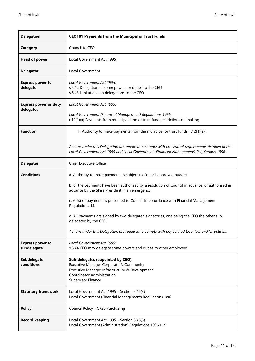<span id="page-10-0"></span>

| <b>Delegation</b>                         | <b>CEO101 Payments from the Municipal or Trust Funds</b>                                                                                                                                     |
|-------------------------------------------|----------------------------------------------------------------------------------------------------------------------------------------------------------------------------------------------|
| Category                                  | Council to CEO                                                                                                                                                                               |
| <b>Head of power</b>                      | Local Government Act 1995                                                                                                                                                                    |
| <b>Delegator</b>                          | Local Government                                                                                                                                                                             |
| <b>Express power to</b><br>delegate       | Local Government Act 1995:<br>s.5.42 Delegation of some powers or duties to the CEO<br>s.5.43 Limitations on delegations to the CEO                                                          |
| <b>Express power or duty</b><br>delegated | Local Government Act 1995:                                                                                                                                                                   |
|                                           | Local Government (Financial Management) Regulations 1996:<br>r.12(1)(a) Payments from municipal fund or trust fund, restrictions on making                                                   |
| <b>Function</b>                           | 1. Authority to make payments from the municipal or trust funds [r.12(1)(a)].                                                                                                                |
|                                           | Actions under this Delegation are required to comply with procedural requirements detailed in the<br>Local Government Act 1995 and Local Government (Financial Management) Regulations 1996. |
| <b>Delegates</b>                          | Chief Executive Officer                                                                                                                                                                      |
| <b>Conditions</b>                         | a. Authority to make payments is subject to Council approved budget.                                                                                                                         |
|                                           | b. or the payments have been authorised by a resolution of Council in advance, or authorised in<br>advance by the Shire President in an emergency.                                           |
|                                           | c. A list of payments is presented to Council in accordance with Financial Management<br>Regulations 13.                                                                                     |
|                                           | d. All payments are signed by two delegated signatories, one being the CEO the other sub-<br>delegated by the CEO.                                                                           |
|                                           | Actions under this Delegation are required to comply with any related local law and/or policies.                                                                                             |
| <b>Express power to</b><br>subdelegate    | Local Government Act 1995:<br>s.5.44 CEO may delegate some powers and duties to other employees                                                                                              |
| Subdelegate<br>conditions                 | Sub-delegates (appointed by CEO):<br>Executive Manager Corporate & Community<br>Executive Manager Infrastructure & Development<br><b>Coordinator Administration</b><br>Supervisor Finance    |
| <b>Statutory framework</b>                | Local Government Act 1995 - Section 5.46(3)<br>Local Government (Financial Management) Regulations1996                                                                                       |
| <b>Policy</b>                             | Council Policy - CP20 Purchasing                                                                                                                                                             |
| <b>Record keeping</b>                     | Local Government Act 1995 - Section 5.46(3)<br>Local Government (Administration) Regulations 1996 r.19                                                                                       |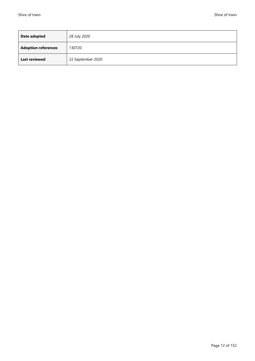| Date adopted               | 28 July 2020      |
|----------------------------|-------------------|
| <b>Adoption references</b> | 130720            |
| Last reviewed              | 22 September 2020 |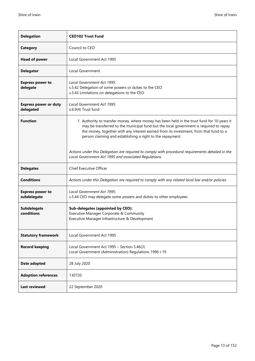<span id="page-12-0"></span>

| <b>Delegation</b>                         | <b>CEO102 Trust Fund</b>                                                                                                                                                                                                                                                                                                                     |
|-------------------------------------------|----------------------------------------------------------------------------------------------------------------------------------------------------------------------------------------------------------------------------------------------------------------------------------------------------------------------------------------------|
| <b>Category</b>                           | Council to CEO                                                                                                                                                                                                                                                                                                                               |
| <b>Head of power</b>                      | Local Government Act 1995                                                                                                                                                                                                                                                                                                                    |
| <b>Delegator</b>                          | Local Government                                                                                                                                                                                                                                                                                                                             |
| <b>Express power to</b><br>delegate       | Local Government Act 1995:<br>s.5.42 Delegation of some powers or duties to the CEO<br>s.5.43 Limitations on delegations to the CEO                                                                                                                                                                                                          |
| <b>Express power or duty</b><br>delegated | Local Government Act 1995:<br>s.6.9(4) Trust fund                                                                                                                                                                                                                                                                                            |
| <b>Function</b>                           | 1. Authority to transfer money, where money has been held in the trust fund for 10 years it<br>may be transferred to the municipal fund but the local government is required to repay<br>the money, together with any interest earned from its investment, from that fund to a<br>person claiming and establishing a right to the repayment. |
|                                           | Actions under this Delegation are required to comply with procedural requirements detailed in the<br>Local Government Act 1995 and associated Regulations.                                                                                                                                                                                   |
| <b>Delegates</b>                          | <b>Chief Executive Officer</b>                                                                                                                                                                                                                                                                                                               |
| <b>Conditions</b>                         | Actions under this Delegation are required to comply with any related local law and/or policies.                                                                                                                                                                                                                                             |
| <b>Express power to</b><br>subdelegate    | Local Government Act 1995:<br>s.5.44 CEO may delegate some powers and duties to other employees                                                                                                                                                                                                                                              |
| Subdelegate<br>conditions                 | Sub-delegates (appointed by CEO):<br>Executive Manager Corporate & Community<br>Executive Manager Infrastructure & Development                                                                                                                                                                                                               |
| <b>Statutory framework</b>                | Local Government Act 1995                                                                                                                                                                                                                                                                                                                    |
| <b>Record keeping</b>                     | Local Government Act 1995 - Section 5.46(3)<br>Local Government (Administration) Regulations 1996 r.19                                                                                                                                                                                                                                       |
| Date adopted                              | 28 July 2020                                                                                                                                                                                                                                                                                                                                 |
| <b>Adoption references</b>                | 130720                                                                                                                                                                                                                                                                                                                                       |
| <b>Last reviewed</b>                      | 22 September 2020                                                                                                                                                                                                                                                                                                                            |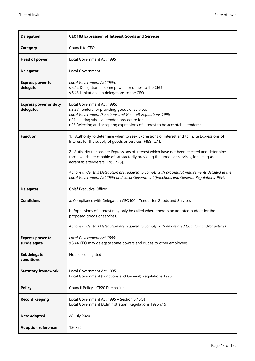<span id="page-13-0"></span>

| <b>Delegation</b>                         | <b>CEO103 Expression of Interest Goods and Services</b>                                                                                                                                                                                                                     |
|-------------------------------------------|-----------------------------------------------------------------------------------------------------------------------------------------------------------------------------------------------------------------------------------------------------------------------------|
| Category                                  | Council to CEO                                                                                                                                                                                                                                                              |
| <b>Head of power</b>                      | Local Government Act 1995                                                                                                                                                                                                                                                   |
| <b>Delegator</b>                          | <b>Local Government</b>                                                                                                                                                                                                                                                     |
| <b>Express power to</b><br>delegate       | Local Government Act 1995:<br>s.5.42 Delegation of some powers or duties to the CEO<br>s.5.43 Limitations on delegations to the CEO                                                                                                                                         |
| <b>Express power or duty</b><br>delegated | Local Government Act 1995:<br>s.3.57 Tenders for providing goods or services<br>Local Government (Functions and General) Regulations 1996:<br>r.21 Limiting who can tender, procedure for<br>r.23 Rejecting and accepting expressions of interest to be acceptable tenderer |
| <b>Function</b>                           | 1. Authority to determine when to seek Expressions of Interest and to invite Expressions of<br>Interest for the supply of goods or services [F&G r.21].                                                                                                                     |
|                                           | 2. Authority to consider Expressions of Interest which have not been rejected and determine<br>those which are capable of satisfactorily providing the goods or services, for listing as<br>acceptable tenderers [F&G r.23].                                                |
|                                           | Actions under this Delegation are required to comply with procedural requirements detailed in the<br>Local Government Act 1995 and Local Government (Functions and General) Regulations 1996.                                                                               |
| <b>Delegates</b>                          | Chief Executive Officer                                                                                                                                                                                                                                                     |
| <b>Conditions</b>                         | a. Compliance with Delegation CEO100 - Tender for Goods and Services                                                                                                                                                                                                        |
|                                           | b. Expressions of Interest may only be called where there is an adopted budget for the<br>proposed goods or services.                                                                                                                                                       |
|                                           | Actions under this Delegation are required to comply with any related local law and/or policies.                                                                                                                                                                            |
| <b>Express power to</b><br>subdelegate    | Local Government Act 1995:<br>s.5.44 CEO may delegate some powers and duties to other employees                                                                                                                                                                             |
| Subdelegate<br>conditions                 | Not sub-delegated                                                                                                                                                                                                                                                           |
| <b>Statutory framework</b>                | Local Government Act 1995<br>Local Government (Functions and General) Regulations 1996                                                                                                                                                                                      |
| <b>Policy</b>                             | Council Policy - CP20 Purchasing                                                                                                                                                                                                                                            |
| <b>Record keeping</b>                     | Local Government Act 1995 - Section 5.46(3)<br>Local Government (Administration) Regulations 1996 r.19                                                                                                                                                                      |
| Date adopted                              | 28 July 2020                                                                                                                                                                                                                                                                |
| <b>Adoption references</b>                | 130720                                                                                                                                                                                                                                                                      |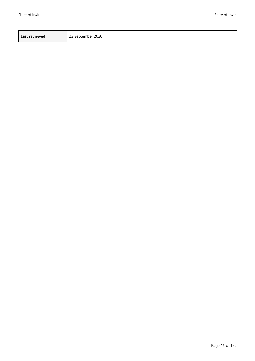**Last reviewed** 22 September 2020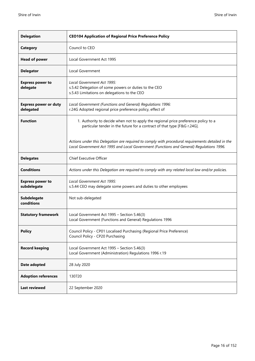<span id="page-15-0"></span>

| <b>Delegation</b>                         | <b>CEO104 Application of Regional Price Preference Policy</b>                                                                                                                                 |
|-------------------------------------------|-----------------------------------------------------------------------------------------------------------------------------------------------------------------------------------------------|
| <b>Category</b>                           | Council to CEO                                                                                                                                                                                |
| <b>Head of power</b>                      | Local Government Act 1995                                                                                                                                                                     |
| <b>Delegator</b>                          | Local Government                                                                                                                                                                              |
| <b>Express power to</b><br>delegate       | Local Government Act 1995:<br>s.5.42 Delegation of some powers or duties to the CEO<br>s.5.43 Limitations on delegations to the CEO                                                           |
| <b>Express power or duty</b><br>delegated | Local Government (Functions and General) Regulations 1996:<br>r.24G Adopted regional price preference policy, effect of                                                                       |
| <b>Function</b>                           | 1. Authority to decide when not to apply the regional price preference policy to a<br>particular tender in the future for a contract of that type [F&G r.24G].                                |
|                                           | Actions under this Delegation are required to comply with procedural requirements detailed in the<br>Local Government Act 1995 and Local Government (Functions and General) Regulations 1996. |
| <b>Delegates</b>                          | <b>Chief Executive Officer</b>                                                                                                                                                                |
| <b>Conditions</b>                         | Actions under this Delegation are required to comply with any related local law and/or policies.                                                                                              |
| <b>Express power to</b><br>subdelegate    | Local Government Act 1995:<br>s.5.44 CEO may delegate some powers and duties to other employees                                                                                               |
| <b>Subdelegate</b><br>conditions          | Not sub-delegated                                                                                                                                                                             |
| <b>Statutory framework</b>                | Local Government Act 1995 - Section 5.46(3)<br>Local Government (Functions and General) Regulations 1996                                                                                      |
| <b>Policy</b>                             | Council Policy - CP01 Localised Purchasing (Regional Price Preference)<br>Council Policy - CP20 Purchasing                                                                                    |
| <b>Record keeping</b>                     | Local Government Act 1995 - Section 5.46(3)<br>Local Government (Administration) Regulations 1996 r.19                                                                                        |
| Date adopted                              | 28 July 2020                                                                                                                                                                                  |
| <b>Adoption references</b>                | 130720                                                                                                                                                                                        |
| <b>Last reviewed</b>                      | 22 September 2020                                                                                                                                                                             |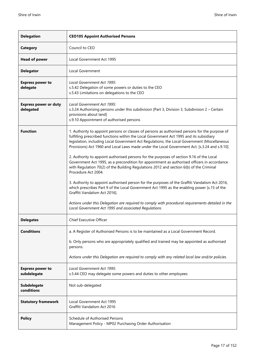<span id="page-16-0"></span>

| <b>Delegation</b>                         | <b>CEO105 Appoint Authorised Persons</b>                                                                                                                                                                                                                                                                                                                                                                                                                                                                                                                                                                                                                                                                                                                                                                                                                                                                                                                                                                                                                                                                |
|-------------------------------------------|---------------------------------------------------------------------------------------------------------------------------------------------------------------------------------------------------------------------------------------------------------------------------------------------------------------------------------------------------------------------------------------------------------------------------------------------------------------------------------------------------------------------------------------------------------------------------------------------------------------------------------------------------------------------------------------------------------------------------------------------------------------------------------------------------------------------------------------------------------------------------------------------------------------------------------------------------------------------------------------------------------------------------------------------------------------------------------------------------------|
| Category                                  | Council to CEO                                                                                                                                                                                                                                                                                                                                                                                                                                                                                                                                                                                                                                                                                                                                                                                                                                                                                                                                                                                                                                                                                          |
| <b>Head of power</b>                      | Local Government Act 1995                                                                                                                                                                                                                                                                                                                                                                                                                                                                                                                                                                                                                                                                                                                                                                                                                                                                                                                                                                                                                                                                               |
| <b>Delegator</b>                          | Local Government                                                                                                                                                                                                                                                                                                                                                                                                                                                                                                                                                                                                                                                                                                                                                                                                                                                                                                                                                                                                                                                                                        |
| <b>Express power to</b><br>delegate       | Local Government Act 1995:<br>s.5.42 Delegation of some powers or duties to the CEO<br>s.5.43 Limitations on delegations to the CEO                                                                                                                                                                                                                                                                                                                                                                                                                                                                                                                                                                                                                                                                                                                                                                                                                                                                                                                                                                     |
| <b>Express power or duty</b><br>delegated | Local Government Act 1995:<br>s.3.24 Authorising persons under this subdivision [Part 3, Division 3, Subdivision 2 - Certain<br>provisions about land]<br>s.9.10 Appointment of authorised persons                                                                                                                                                                                                                                                                                                                                                                                                                                                                                                                                                                                                                                                                                                                                                                                                                                                                                                      |
| <b>Function</b>                           | 1. Authority to appoint persons or classes of persons as authorised persons for the purpose of<br>fulfilling prescribed functions within the Local Government Act 1995 and its subsidiary<br>legislation, including Local Government Act Regulations, the Local Government (Miscellaneous<br>Provisions) Act 1960 and Local Laws made under the Local Government Act. [s.3.24 and s.9.10].<br>2. Authority to appoint authorised persons for the purposes of section 9.16 of the Local<br>Government Act 1995, as a precondition for appointment as authorised officers in accordance<br>with Regulation 70(2) of the Building Regulations 2012 and section 6(b) of the Criminal<br>Procedure Act 2004.<br>3. Authority to appoint authorised person for the purposes of the Graffiti Vandalism Act 2016,<br>which prescribes Part 9 of the Local Government Act 1995 as the enabling power [s.15 of the<br>Graffiti Vandalism Act 2016].<br>Actions under this Delegation are required to comply with procedural requirements detailed in the<br>Local Government Act 1995 and associated Regulations. |
| <b>Delegates</b>                          | <b>Chief Executive Officer</b>                                                                                                                                                                                                                                                                                                                                                                                                                                                                                                                                                                                                                                                                                                                                                                                                                                                                                                                                                                                                                                                                          |
| <b>Conditions</b>                         | a. A Register of Authorised Persons is to be maintained as a Local Government Record.<br>b. Only persons who are appropriately qualified and trained may be appointed as authorised<br>persons.<br>Actions under this Delegation are required to comply with any related local law and/or policies.                                                                                                                                                                                                                                                                                                                                                                                                                                                                                                                                                                                                                                                                                                                                                                                                     |
| <b>Express power to</b><br>subdelegate    | Local Government Act 1995:<br>s.5.44 CEO may delegate some powers and duties to other employees                                                                                                                                                                                                                                                                                                                                                                                                                                                                                                                                                                                                                                                                                                                                                                                                                                                                                                                                                                                                         |
| Subdelegate<br>conditions                 | Not sub-delegated                                                                                                                                                                                                                                                                                                                                                                                                                                                                                                                                                                                                                                                                                                                                                                                                                                                                                                                                                                                                                                                                                       |
| <b>Statutory framework</b>                | Local Government Act 1995<br>Graffiti Vandalism Act 2016                                                                                                                                                                                                                                                                                                                                                                                                                                                                                                                                                                                                                                                                                                                                                                                                                                                                                                                                                                                                                                                |
| <b>Policy</b>                             | Schedule of Authorised Persons<br>Management Policy - MP02 Purchasing Order Authorisation                                                                                                                                                                                                                                                                                                                                                                                                                                                                                                                                                                                                                                                                                                                                                                                                                                                                                                                                                                                                               |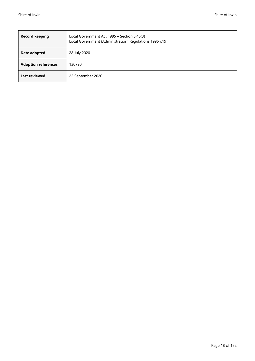| <b>Record keeping</b>      | Local Government Act 1995 - Section 5.46(3)<br>Local Government (Administration) Regulations 1996 r.19 |
|----------------------------|--------------------------------------------------------------------------------------------------------|
| Date adopted               | 28 July 2020                                                                                           |
| <b>Adoption references</b> | 130720                                                                                                 |
| <b>Last reviewed</b>       | 22 September 2020                                                                                      |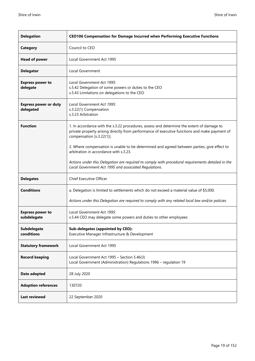<span id="page-18-0"></span>

| <b>Delegation</b>                         | <b>CEO106 Compensation for Damage Incurred when Performing Executive Functions</b>                                                                                                                                      |
|-------------------------------------------|-------------------------------------------------------------------------------------------------------------------------------------------------------------------------------------------------------------------------|
| <b>Category</b>                           | Council to CEO                                                                                                                                                                                                          |
| <b>Head of power</b>                      | Local Government Act 1995                                                                                                                                                                                               |
| <b>Delegator</b>                          | <b>Local Government</b>                                                                                                                                                                                                 |
| <b>Express power to</b><br>delegate       | Local Government Act 1995:<br>s.5.42 Delegation of some powers or duties to the CEO<br>s.5.43 Limitations on delegations to the CEO                                                                                     |
| <b>Express power or duty</b><br>delegated | Local Government Act 1995:<br>s.3.22(1) Compensation<br>s.3.23 Arbitration                                                                                                                                              |
| <b>Function</b>                           | 1. In accordance with the s.3.22 procedures, assess and determine the extent of damage to<br>private property arising directly from performance of executive functions and make payment of<br>compensation [s.3.22(1)]. |
|                                           | 2. Where compensation is unable to be determined and agreed between parties, give effect to<br>arbitration in accordance with s.3.23.                                                                                   |
|                                           | Actions under this Delegation are required to comply with procedural requirements detailed in the<br>Local Government Act 1995 and associated Regulations.                                                              |
| <b>Delegates</b>                          | <b>Chief Executive Officer</b>                                                                                                                                                                                          |
| <b>Conditions</b>                         | a. Delegation is limited to settlements which do not exceed a material value of \$5,000.                                                                                                                                |
|                                           | Actions under this Delegation are required to comply with any related local law and/or policies.                                                                                                                        |
| <b>Express power to</b><br>subdelegate    | Local Government Act 1995:<br>s.5.44 CEO may delegate some powers and duties to other employees                                                                                                                         |
| Subdelegate<br>conditions                 | Sub-delegates (appointed by CEO):<br>Executive Manager Infrastructure & Development                                                                                                                                     |
| <b>Statutory framework</b>                | Local Government Act 1995                                                                                                                                                                                               |
| <b>Record keeping</b>                     | Local Government Act 1995 - Section 5.46(3)<br>Local Government (Administration) Regulations 1996 - regulation 19                                                                                                       |
| Date adopted                              | 28 July 2020                                                                                                                                                                                                            |
| <b>Adoption references</b>                | 130720                                                                                                                                                                                                                  |
| <b>Last reviewed</b>                      | 22 September 2020                                                                                                                                                                                                       |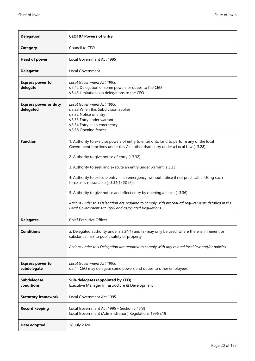<span id="page-19-0"></span>

| <b>Delegation</b>                         | <b>CEO107 Powers of Entry</b>                                                                                                                                                                                                  |
|-------------------------------------------|--------------------------------------------------------------------------------------------------------------------------------------------------------------------------------------------------------------------------------|
| <b>Category</b>                           | Council to CEO                                                                                                                                                                                                                 |
| <b>Head of power</b>                      | Local Government Act 1995                                                                                                                                                                                                      |
| <b>Delegator</b>                          | Local Government                                                                                                                                                                                                               |
| <b>Express power to</b><br>delegate       | Local Government Act 1995:<br>s.5.42 Delegation of some powers or duties to the CEO<br>s.5.43 Limitations on delegations to the CEO                                                                                            |
| <b>Express power or duty</b><br>delegated | Local Government Act 1995:<br>s.3.28 When this Subdivision applies<br>s.3.32 Notice of entry<br>s.3.33 Entry under warrant<br>s.3.34 Entry in an emergency<br>s.3.36 Opening fences                                            |
| <b>Function</b>                           | 1. Authority to exercise powers of entry to enter onto land to perform any of the local<br>Government functions under this Act, other than entry under a Local Law [s.3.28].<br>2. Authority to give notice of entry [s.3.32]. |
|                                           | 3. Authority to seek and execute an entry under warrant [s.3.33].                                                                                                                                                              |
|                                           | 4. Authority to execute entry in an emergency, without notice if not practicable. Using such<br>force as is reasonable [s.3.34(1) (3) (5)].                                                                                    |
|                                           | 5. Authority to give notice and effect entry by opening a fence [s.3.36].                                                                                                                                                      |
|                                           | Actions under this Delegation are required to comply with procedural requirements detailed in the<br>Local Government Act 1995 and associated Regulations.                                                                     |
| <b>Delegates</b>                          | Chief Executive Officer                                                                                                                                                                                                        |
| <b>Conditions</b>                         | a. Delegated authority under s.3.34(1) and (3) may only be used, where there is imminent or<br>substantial risk to public safety or property.                                                                                  |
|                                           | Actions under this Delegation are required to comply with any related local law and/or policies.                                                                                                                               |
| <b>Express power to</b><br>subdelegate    | Local Government Act 1995:<br>s.5.44 CEO may delegate some powers and duties to other employees                                                                                                                                |
| Subdelegate<br>conditions                 | Sub-delegates (appointed by CEO):<br>Executive Manager Infrastructure & Development                                                                                                                                            |
| <b>Statutory framework</b>                | Local Government Act 1995                                                                                                                                                                                                      |
| <b>Record keeping</b>                     | Local Government Act 1995 - Section 5.46(3)<br>Local Government (Administration) Regulations 1996 r.19                                                                                                                         |
| Date adopted                              | 28 July 2020                                                                                                                                                                                                                   |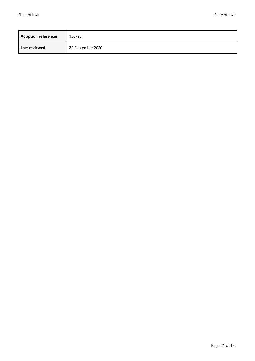| <b>Adoption references</b> | 130720            |
|----------------------------|-------------------|
| <b>Last reviewed</b>       | 22 September 2020 |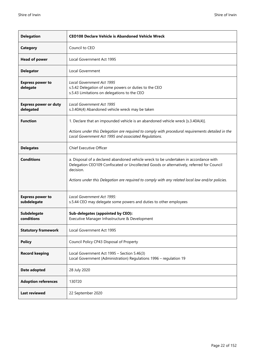<span id="page-21-0"></span>

| <b>Delegation</b>                         | <b>CEO108 Declare Vehicle is Abandoned Vehicle Wreck</b>                                                                                                                                        |
|-------------------------------------------|-------------------------------------------------------------------------------------------------------------------------------------------------------------------------------------------------|
| <b>Category</b>                           | Council to CEO                                                                                                                                                                                  |
| <b>Head of power</b>                      | Local Government Act 1995                                                                                                                                                                       |
| <b>Delegator</b>                          | Local Government                                                                                                                                                                                |
| <b>Express power to</b><br>delegate       | <b>Local Government Act 1995</b><br>s.5.42 Delegation of some powers or duties to the CEO<br>s.5.43 Limitations on delegations to the CEO                                                       |
| <b>Express power or duty</b><br>delegated | <b>Local Government Act 1995</b><br>s.3.40A(4) Abandoned vehicle wreck may be taken                                                                                                             |
| <b>Function</b>                           | 1. Declare that an impounded vehicle is an abandoned vehicle wreck [s.3.40A(4)].                                                                                                                |
|                                           | Actions under this Delegation are required to comply with procedural requirements detailed in the<br>Local Government Act 1995 and associated Regulations.                                      |
| <b>Delegates</b>                          | <b>Chief Executive Officer</b>                                                                                                                                                                  |
| <b>Conditions</b>                         | a. Disposal of a declared abandoned vehicle wreck to be undertaken in accordance with<br>Delegation CEO109 Confiscated or Uncollected Goods or alternatively, referred for Council<br>decision. |
|                                           | Actions under this Delegation are required to comply with any related local law and/or policies.                                                                                                |
| <b>Express power to</b><br>subdelegate    | Local Government Act 1995:<br>s.5.44 CEO may delegate some powers and duties to other employees                                                                                                 |
| Subdelegate<br>conditions                 | Sub-delegates (appointed by CEO):<br>Executive Manager Infrastructure & Development                                                                                                             |
| <b>Statutory framework</b>                | Local Government Act 1995                                                                                                                                                                       |
| <b>Policy</b>                             | Council Policy CP43 Disposal of Property                                                                                                                                                        |
| <b>Record keeping</b>                     | Local Government Act 1995 - Section 5.46(3)<br>Local Government (Administration) Regulations 1996 - regulation 19                                                                               |
| Date adopted                              | 28 July 2020                                                                                                                                                                                    |
| <b>Adoption references</b>                | 130720                                                                                                                                                                                          |
| <b>Last reviewed</b>                      | 22 September 2020                                                                                                                                                                               |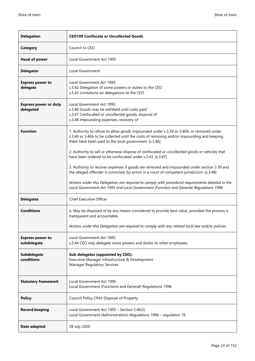<span id="page-22-0"></span>

| <b>Delegation</b>                         | <b>CEO109 Confiscate or Uncollected Goods</b>                                                                                                                                                                                                 |
|-------------------------------------------|-----------------------------------------------------------------------------------------------------------------------------------------------------------------------------------------------------------------------------------------------|
| Category                                  | Council to CEO                                                                                                                                                                                                                                |
| <b>Head of power</b>                      | Local Government Act 1995                                                                                                                                                                                                                     |
| <b>Delegator</b>                          | Local Government                                                                                                                                                                                                                              |
| <b>Express power to</b><br>delegate       | Local Government Act 1995:<br>s.5.42 Delegation of some powers or duties to the CEO<br>s.5.43 Limitations on delegations to the CEO                                                                                                           |
| <b>Express power or duty</b><br>delegated | Local Government Act 1995:<br>s.3.46 Goods may be withheld until costs paid<br>s.3.47 Confiscated or uncollected goods, disposal of<br>s.3.48 Impounding expenses, recovery of                                                                |
| <b>Function</b>                           | 1. Authority to refuse to allow goods impounded under s.3.39 or 3.40A, or removed under<br>s.3.40 or 3.40A to be collected until the costs of removing and/or impounding and keeping<br>them have been paid to the local government. [s.3.46] |
|                                           | 2. Authority to sell or otherwise dispose of confiscated or uncollected goods or vehicles that<br>have been ordered to be confiscated under s.3.43. [s.3.47]                                                                                  |
|                                           | 3. Authority to recover expenses if goods are removed and impounded under section 3.39 and<br>the alleged offender is convicted, by action in a court of competent jurisdiction. [s.3.48]                                                     |
|                                           | Actions under this Delegation are required to comply with procedural requirements detailed in the<br>Local Government Act 1995 and Local Government (Function and General) Regulations 1996.                                                  |
| <b>Delegates</b>                          | Chief Executive Officer                                                                                                                                                                                                                       |
| <b>Conditions</b>                         | a. May be disposed of by any means considered to provide best value, provided the process is<br>transparent and accountable.                                                                                                                  |
|                                           | Actions under this Delegation are required to comply with any related local law and/or policies.                                                                                                                                              |
| <b>Express power to</b><br>subdelegate    | Local Government Act 1995:<br>s.5.44 CEO may delegate some powers and duties to other employees                                                                                                                                               |
| Subdelegate<br>conditions                 | Sub-delegates (appointed by CEO):<br>Executive Manager Infrastructure & Development<br><b>Manager Regulatory Services</b>                                                                                                                     |
| <b>Statutory framework</b>                | Local Government Act 1995<br>Local Government (Functions and General) Regulations 1996                                                                                                                                                        |
| <b>Policy</b>                             | Council Policy CP43 Disposal of Property                                                                                                                                                                                                      |
| <b>Record keeping</b>                     | Local Government Act 1995 - Section 5.46(3)<br>Local Government (Administration) Regulations 1996 - regulation 19                                                                                                                             |
| Date adopted                              | 28 July 2020                                                                                                                                                                                                                                  |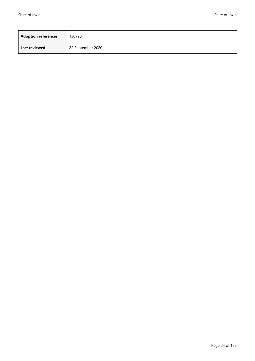| <b>Adoption references</b> | 130720            |
|----------------------------|-------------------|
| Last reviewed              | 22 September 2020 |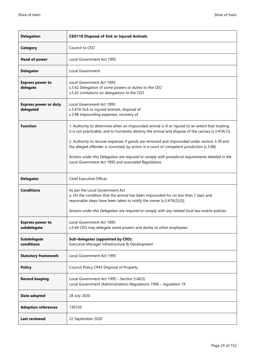<span id="page-24-0"></span>

| <b>Delegation</b>                         | <b>CEO110 Disposal of Sick or Injured Animals</b>                                                                                                                                                     |
|-------------------------------------------|-------------------------------------------------------------------------------------------------------------------------------------------------------------------------------------------------------|
|                                           |                                                                                                                                                                                                       |
| Category                                  | Council to CEO                                                                                                                                                                                        |
| <b>Head of power</b>                      | Local Government Act 1995                                                                                                                                                                             |
| <b>Delegator</b>                          | Local Government                                                                                                                                                                                      |
| <b>Express power to</b><br>delegate       | Local Government Act 1995:<br>s.5.42 Delegation of some powers or duties to the CEO<br>s.5.43 Limitations on delegations to the CEO                                                                   |
| <b>Express power or duty</b><br>delegated | Local Government Act 1995:<br>s.3.47A Sick or injured animals, disposal of<br>s.3.48 Impounding expenses, recovery of                                                                                 |
| <b>Function</b>                           | 1. Authority to determine when an impounded animal is ill or injured to an extent that treating<br>it is not practicable, and to humanely destroy the animal and dispose of the carcass [s.3.47A(1)]. |
|                                           | 2. Authority to recover expenses if goods are removed and impounded under section 3.39 and<br>the alleged offender is convicted, by action in a court of competent jurisdiction [s.3.48].             |
|                                           | Actions under this Delegation are required to comply with procedural requirements detailed in the<br>Local Government Act 1995 and associated Regulations.                                            |
| <b>Delegates</b>                          | <b>Chief Executive Officer</b>                                                                                                                                                                        |
| <b>Conditions</b>                         | As per the Local Government Act<br>a. On the condition that the animal has been impounded for no less than 7 days and<br>reasonable steps have been taken to notify the owner [s.3.47A(2)(3)].        |
|                                           | Actions under this Delegation are required to comply with any related local law and/or policies.                                                                                                      |
| <b>Express power to</b><br>subdelegate    | Local Government Act 1995:<br>s.5.44 CEO may delegate some powers and duties to other employees                                                                                                       |
| Subdelegate<br>conditions                 | Sub-delegates (appointed by CEO):<br>Executive Manager Infrastructure & Development                                                                                                                   |
| <b>Statutory framework</b>                | Local Government Act 1995                                                                                                                                                                             |
| <b>Policy</b>                             | Council Policy CP43 Disposal of Property                                                                                                                                                              |
| <b>Record keeping</b>                     | Local Government Act 1995 - Section 5.46(3)<br>Local Government (Administration) Regulations 1996 - regulation 19                                                                                     |
| Date adopted                              | 28 July 2020                                                                                                                                                                                          |
| <b>Adoption references</b>                | 130720                                                                                                                                                                                                |
| <b>Last reviewed</b>                      | 22 September 2020                                                                                                                                                                                     |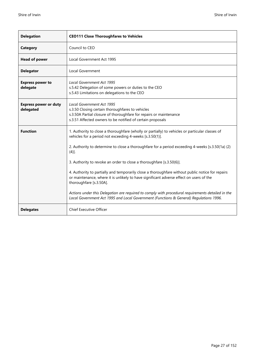<span id="page-26-0"></span>

| <b>Delegation</b>                         | <b>CEO111 Close Thoroughfares to Vehicles</b>                                                                                                                                                                                                                                                                                                                                                                                                                                                                                                                                                                                                                                                                                                                                |
|-------------------------------------------|------------------------------------------------------------------------------------------------------------------------------------------------------------------------------------------------------------------------------------------------------------------------------------------------------------------------------------------------------------------------------------------------------------------------------------------------------------------------------------------------------------------------------------------------------------------------------------------------------------------------------------------------------------------------------------------------------------------------------------------------------------------------------|
| Category                                  | Council to CEO                                                                                                                                                                                                                                                                                                                                                                                                                                                                                                                                                                                                                                                                                                                                                               |
| <b>Head of power</b>                      | Local Government Act 1995                                                                                                                                                                                                                                                                                                                                                                                                                                                                                                                                                                                                                                                                                                                                                    |
| <b>Delegator</b>                          | <b>Local Government</b>                                                                                                                                                                                                                                                                                                                                                                                                                                                                                                                                                                                                                                                                                                                                                      |
| <b>Express power to</b><br>delegate       | Local Government Act 1995<br>s.5.42 Delegation of some powers or duties to the CEO<br>s.5.43 Limitations on delegations to the CEO                                                                                                                                                                                                                                                                                                                                                                                                                                                                                                                                                                                                                                           |
| <b>Express power or duty</b><br>delegated | <b>Local Government Act 1995</b><br>s.3.50 Closing certain thoroughfares to vehicles<br>s.3.50A Partial closure of thoroughfare for repairs or maintenance<br>s.3.51 Affected owners to be notified of certain proposals                                                                                                                                                                                                                                                                                                                                                                                                                                                                                                                                                     |
| <b>Function</b>                           | 1. Authority to close a thoroughfare (wholly or partially) to vehicles or particular classes of<br>vehicles for a period not exceeding 4-weeks [s.3.50(1)].<br>2. Authority to determine to close a thoroughfare for a period exceeding 4-weeks [s.3.50(1a) (2)<br>$(4)$ ].<br>3. Authority to revoke an order to close a thoroughfare [s.3.50(6)].<br>4. Authority to partially and temporarily close a thoroughfare without public notice for repairs<br>or maintenance, where it is unlikely to have significant adverse effect on users of the<br>thoroughfare [s.3.50A].<br>Actions under this Delegation are required to comply with procedural requirements detailed in the<br>Local Government Act 1995 and Local Government (Functions & General) Regulations 1996. |
| <b>Delegates</b>                          | Chief Executive Officer                                                                                                                                                                                                                                                                                                                                                                                                                                                                                                                                                                                                                                                                                                                                                      |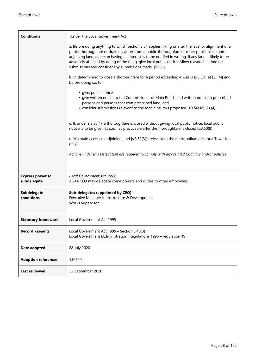| <b>Conditions</b>                      | As per the Local Government Act                                                                                                                                                                                                                                                                                                                                                                                                                                         |
|----------------------------------------|-------------------------------------------------------------------------------------------------------------------------------------------------------------------------------------------------------------------------------------------------------------------------------------------------------------------------------------------------------------------------------------------------------------------------------------------------------------------------|
|                                        | a. Before doing anything to which section 3.51 applies, fixing or alter the level or alignment of a<br>public thoroughfare or draining water from a public thoroughfare or other public place onto<br>adjoining land, a person having an interest is to be notified in writing. If any land is likely to be<br>adversely affected by doing of the thing, give local public notice. Allow reasonable time for<br>submissions and consider any submissions made. [s3.51]. |
|                                        | b. In determining to close a thoroughfare for a period exceeding 4 weeks [s.3.50(1a) (2) (4)] and<br>before doing so, to:                                                                                                                                                                                                                                                                                                                                               |
|                                        | · give; public notice<br>• give written notice to the Commissioner of Main Roads and written notice to prescribed<br>persons and persons that own prescribed land; and<br>• consider submissions relevant to the road closure/s proposed [s.3.50(1a) (2) (4)].                                                                                                                                                                                                          |
|                                        | c. If, under s.3.50(1), a thoroughfare is closed without giving local public notice, local public<br>notice is to be given as soon as practicable after the thoroughfare is closed [s.3.50(8)].                                                                                                                                                                                                                                                                         |
|                                        | d. Maintain access to adjoining land [s.3.52(3)] (relevant to the metropolitan area or a Townsite<br>only).                                                                                                                                                                                                                                                                                                                                                             |
|                                        | Actions under this Delegation are required to comply with any related local law and/or policies.                                                                                                                                                                                                                                                                                                                                                                        |
| <b>Express power to</b><br>subdelegate | Local Government Act 1995:<br>s.5.44 CEO may delegate some powers and duties to other employees                                                                                                                                                                                                                                                                                                                                                                         |
| Subdelegate<br>conditions              | Sub-delegates (appointed by CEO):<br>Executive Manager Infrastructure & Development<br><b>Works Supervisor</b>                                                                                                                                                                                                                                                                                                                                                          |
| <b>Statutory framework</b>             | Local Government Act 1995                                                                                                                                                                                                                                                                                                                                                                                                                                               |
| <b>Record keeping</b>                  | Local Government Act 1995 - Section 5.46(3)<br>Local Government (Administration) Regulations 1996 - regulation 19                                                                                                                                                                                                                                                                                                                                                       |
| Date adopted                           | 28 July 2020                                                                                                                                                                                                                                                                                                                                                                                                                                                            |
| <b>Adoption references</b>             | 130720                                                                                                                                                                                                                                                                                                                                                                                                                                                                  |
| <b>Last reviewed</b>                   | 22 September 2020                                                                                                                                                                                                                                                                                                                                                                                                                                                       |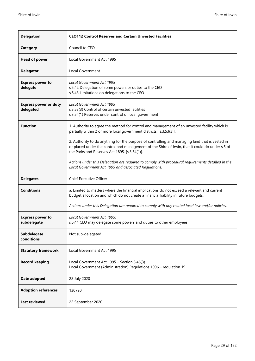<span id="page-28-0"></span>

| <b>Delegation</b>                         | <b>CEO112 Control Reserves and Certain Unvested Facilities</b>                                                                                                                                                                                     |
|-------------------------------------------|----------------------------------------------------------------------------------------------------------------------------------------------------------------------------------------------------------------------------------------------------|
| Category                                  | Council to CEO                                                                                                                                                                                                                                     |
| <b>Head of power</b>                      | Local Government Act 1995                                                                                                                                                                                                                          |
| <b>Delegator</b>                          | <b>Local Government</b>                                                                                                                                                                                                                            |
| <b>Express power to</b><br>delegate       | Local Government Act 1995<br>s.5.42 Delegation of some powers or duties to the CEO<br>s.5.43 Limitations on delegations to the CEO                                                                                                                 |
| <b>Express power or duty</b><br>delegated | <b>Local Government Act 1995</b><br>s.3.53(3) Control of certain unvested facilities<br>s.3.54(1) Reserves under control of local government                                                                                                       |
| <b>Function</b>                           | 1. Authority to agree the method for control and management of an unvested facility which is<br>partially within 2 or more local government districts. [s.3.53(3)].                                                                                |
|                                           | 2. Authority to do anything for the purpose of controlling and managing land that is vested in<br>or placed under the control and management of the Shire of Irwin, that it could do under s.5 of<br>the Parks and Reserves Act 1895. [s.3.54(1)]. |
|                                           | Actions under this Delegation are required to comply with procedural requirements detailed in the<br>Local Government Act 1995 and associated Regulations.                                                                                         |
| <b>Delegates</b>                          | Chief Executive Officer                                                                                                                                                                                                                            |
| <b>Conditions</b>                         | a. Limited to matters where the financial implications do not exceed a relevant and current<br>budget allocation and which do not create a financial liability in future budgets.                                                                  |
|                                           | Actions under this Delegation are required to comply with any related local law and/or policies.                                                                                                                                                   |
| <b>Express power to</b><br>subdelegate    | Local Government Act 1995:<br>s.5.44 CEO may delegate some powers and duties to other employees                                                                                                                                                    |
| Subdelegate<br>conditions                 | Not sub-delegated                                                                                                                                                                                                                                  |
| <b>Statutory framework</b>                | Local Government Act 1995                                                                                                                                                                                                                          |
| <b>Record keeping</b>                     | Local Government Act 1995 - Section 5.46(3)<br>Local Government (Administration) Regulations 1996 - regulation 19                                                                                                                                  |
| Date adopted                              | 28 July 2020                                                                                                                                                                                                                                       |
| <b>Adoption references</b>                | 130720                                                                                                                                                                                                                                             |
| <b>Last reviewed</b>                      | 22 September 2020                                                                                                                                                                                                                                  |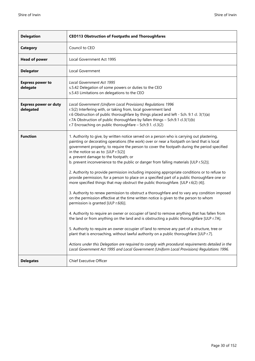<span id="page-29-0"></span>

| <b>Delegation</b>                         | <b>CEO113 Obstruction of Footpaths and Thoroughfares</b>                                                                                                                                                                                                                                                                                                                                                                                                                                                                                                                                                                                                                                                                                                                                                                                                                                                                                                                                                                                                                                                                                                                                                                                                                                                                                                                                                                                                                                                                                                                                |
|-------------------------------------------|-----------------------------------------------------------------------------------------------------------------------------------------------------------------------------------------------------------------------------------------------------------------------------------------------------------------------------------------------------------------------------------------------------------------------------------------------------------------------------------------------------------------------------------------------------------------------------------------------------------------------------------------------------------------------------------------------------------------------------------------------------------------------------------------------------------------------------------------------------------------------------------------------------------------------------------------------------------------------------------------------------------------------------------------------------------------------------------------------------------------------------------------------------------------------------------------------------------------------------------------------------------------------------------------------------------------------------------------------------------------------------------------------------------------------------------------------------------------------------------------------------------------------------------------------------------------------------------------|
| <b>Category</b>                           | Council to CEO                                                                                                                                                                                                                                                                                                                                                                                                                                                                                                                                                                                                                                                                                                                                                                                                                                                                                                                                                                                                                                                                                                                                                                                                                                                                                                                                                                                                                                                                                                                                                                          |
| <b>Head of power</b>                      | Local Government Act 1995                                                                                                                                                                                                                                                                                                                                                                                                                                                                                                                                                                                                                                                                                                                                                                                                                                                                                                                                                                                                                                                                                                                                                                                                                                                                                                                                                                                                                                                                                                                                                               |
| <b>Delegator</b>                          | Local Government                                                                                                                                                                                                                                                                                                                                                                                                                                                                                                                                                                                                                                                                                                                                                                                                                                                                                                                                                                                                                                                                                                                                                                                                                                                                                                                                                                                                                                                                                                                                                                        |
| <b>Express power to</b><br>delegate       | Local Government Act 1995<br>s.5.42 Delegation of some powers or duties to the CEO<br>s.5.43 Limitations on delegations to the CEO                                                                                                                                                                                                                                                                                                                                                                                                                                                                                                                                                                                                                                                                                                                                                                                                                                                                                                                                                                                                                                                                                                                                                                                                                                                                                                                                                                                                                                                      |
| <b>Express power or duty</b><br>delegated | Local Government (Uniform Local Provisions) Regulations 1996<br>r.5(2) Interfering with, or taking from, local government land<br>r.6 Obstruction of public thoroughfare by things placed and left - Sch. 9.1 cl. 3(1)(a)<br>r.7A Obstruction of public thoroughfare by fallen things - Sch.9.1 cl.3(1)(b)<br>r.7 Encroaching on public thoroughfare - Sch.9.1. cl.3(2)                                                                                                                                                                                                                                                                                                                                                                                                                                                                                                                                                                                                                                                                                                                                                                                                                                                                                                                                                                                                                                                                                                                                                                                                                 |
| <b>Function</b>                           | 1. Authority to give, by written notice served on a person who is carrying out plastering,<br>painting or decorating operations (the work) over or near a footpath on land that is local<br>government property, to require the person to cover the footpath during the period specified<br>in the notice so as to: [ULP r.5(2)]<br>a. prevent damage to the footpath; or<br>b. prevent inconvenience to the public or danger from falling materials [ULP r.5(2)].<br>2. Authority to provide permission including imposing appropriate conditions or to refuse to<br>provide permission, for a person to place on a specified part of a public thoroughfare one or<br>more specified things that may obstruct the public thoroughfare. [ULP r.6(2) (4)].<br>3. Authority to renew permission to obstruct a thoroughfare and to vary any condition imposed<br>on the permission effective at the time written notice is given to the person to whom<br>permission is granted [ULP r.6(6)].<br>4. Authority to require an owner or occupier of land to remove anything that has fallen from<br>the land or from anything on the land and is obstructing a public thoroughfare [ULP r.7A].<br>5. Authority to require an owner occupier of land to remove any part of a structure, tree or<br>plant that is encroaching, without lawful authority on a public thoroughfare [ULP r.7].<br>Actions under this Delegation are required to comply with procedural requirements detailed in the<br>Local Government Act 1995 and Local Government (Uniform Local Provisions) Regulations 1996. |
| <b>Delegates</b>                          | Chief Executive Officer                                                                                                                                                                                                                                                                                                                                                                                                                                                                                                                                                                                                                                                                                                                                                                                                                                                                                                                                                                                                                                                                                                                                                                                                                                                                                                                                                                                                                                                                                                                                                                 |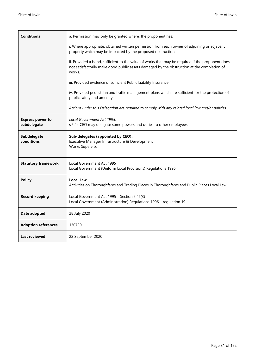| <b>Conditions</b>                      | a. Permission may only be granted where, the proponent has:                                                                                                                                              |
|----------------------------------------|----------------------------------------------------------------------------------------------------------------------------------------------------------------------------------------------------------|
|                                        | i. Where appropriate, obtained written permission from each owner of adjoining or adjacent<br>property which may be impacted by the proposed obstruction.                                                |
|                                        | ii. Provided a bond, sufficient to the value of works that may be required if the proponent does<br>not satisfactorily make good public assets damaged by the obstruction at the completion of<br>works. |
|                                        | iii. Provided evidence of sufficient Public Liability Insurance.                                                                                                                                         |
|                                        | iv. Provided pedestrian and traffic management plans which are sufficient for the protection of<br>public safety and amenity.                                                                            |
|                                        | Actions under this Delegation are required to comply with any related local law and/or policies.                                                                                                         |
| <b>Express power to</b><br>subdelegate | Local Government Act 1995:<br>s.5.44 CEO may delegate some powers and duties to other employees                                                                                                          |
| <b>Subdelegate</b><br>conditions       | Sub-delegates (appointed by CEO):<br>Executive Manager Infrastructure & Development<br><b>Works Supervisor</b>                                                                                           |
| <b>Statutory framework</b>             | Local Government Act 1995<br>Local Government (Uniform Local Provisions) Regulations 1996                                                                                                                |
| <b>Policy</b>                          | <b>Local Law</b><br>Activities on Thoroughfares and Trading Places in Thoroughfares and Public Places Local Law                                                                                          |
| <b>Record keeping</b>                  | Local Government Act 1995 - Section 5.46(3)<br>Local Government (Administration) Regulations 1996 - regulation 19                                                                                        |
| Date adopted                           | 28 July 2020                                                                                                                                                                                             |
| <b>Adoption references</b>             | 130720                                                                                                                                                                                                   |
| Last reviewed                          | 22 September 2020                                                                                                                                                                                        |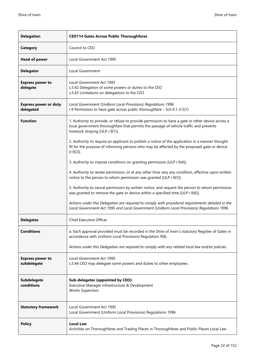<span id="page-31-0"></span>

| <b>Delegation</b>                         | <b>CEO114 Gates Across Public Thoroughfares</b>                                                                                                                                                                                |
|-------------------------------------------|--------------------------------------------------------------------------------------------------------------------------------------------------------------------------------------------------------------------------------|
| <b>Category</b>                           | Council to CEO                                                                                                                                                                                                                 |
| <b>Head of power</b>                      | Local Government Act 1995                                                                                                                                                                                                      |
| <b>Delegator</b>                          | Local Government                                                                                                                                                                                                               |
| <b>Express power to</b><br>delegate       | Local Government Act 1995<br>s.5.42 Delegation of some powers or duties to the CEO<br>s.5.43 Limitations on delegations to the CEO                                                                                             |
| <b>Express power or duty</b><br>delegated | Local Government (Uniform Local Provisions) Regulations 1996<br>r.9 Permission to have gate across public thoroughfare - Sch.9.1 cl.5(1)                                                                                       |
| <b>Function</b>                           | 1. Authority to provide, or refuse to provide permission to have a gate or other device across a<br>local government thoroughfare that permits the passage of vehicle traffic and prevents<br>livestock straying [ULP r.9(1)]. |
|                                           | 2. Authority to require an applicant to publish a notice of the application in a manner thought<br>fit for the purpose of informing persons who may be affected by the proposed gate or device<br>[r.9(2)].                    |
|                                           | 3. Authority to impose conditions on granting permission [ULP r.9(4)].                                                                                                                                                         |
|                                           | 4. Authority to renew permission, or at any other time vary any condition, effective upon written<br>notice to the person to whom permission was granted [ULP r.9(5)].                                                         |
|                                           | 5. Authority to cancel permission by written notice, and request the person to whom permission<br>was granted to remove the gate or device within a specified time [ULP r.9(6)].                                               |
|                                           | Actions under this Delegation are required to comply with procedural requirements detailed in the<br>Local Government Act 1995 and Local Government (Uniform Local Provisions) Regulations 1996.                               |
| <b>Delegates</b>                          | <b>Chief Executive Officer</b>                                                                                                                                                                                                 |
| <b>Conditions</b>                         | a. Each approval provided must be recorded in the Shire of Irwin's statutory Register of Gates in<br>accordance with Uniform Local Provisions Regulation 9(8).                                                                 |
|                                           | Actions under this Delegation are required to comply with any related local law and/or policies.                                                                                                                               |
| <b>Express power to</b><br>subdelegate    | Local Government Act 1995:<br>s.5.44 CEO may delegate some powers and duties to other employees                                                                                                                                |
| Subdelegate<br>conditions                 | Sub-delegates (appointed by CEO):<br>Executive Manager Infrastructure & Development<br><b>Works Supervisor</b>                                                                                                                 |
| <b>Statutory framework</b>                | Local Government Act 1995<br>Local Government (Uniform Local Provisions) Regulations 1996                                                                                                                                      |
| <b>Policy</b>                             | <b>Local Law</b><br>Activities on Thoroughfares and Trading Places in Thoroughfares and Public Places Local Law                                                                                                                |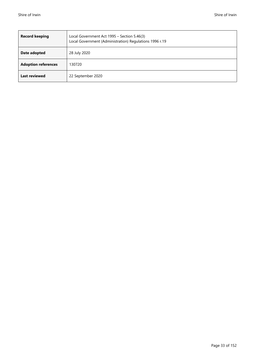| <b>Record keeping</b>      | Local Government Act 1995 - Section 5.46(3)<br>Local Government (Administration) Regulations 1996 r.19 |
|----------------------------|--------------------------------------------------------------------------------------------------------|
| Date adopted               | 28 July 2020                                                                                           |
| <b>Adoption references</b> | 130720                                                                                                 |
| <b>Last reviewed</b>       | 22 September 2020                                                                                      |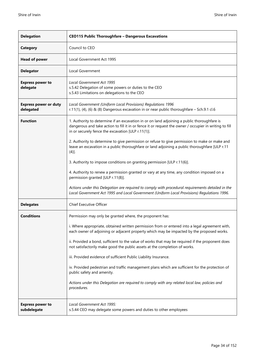<span id="page-33-0"></span>

| <b>Delegation</b>                         | <b>CEO115 Public Thoroughfare - Dangerous Excavations</b>                                                                                                                                                                                                   |
|-------------------------------------------|-------------------------------------------------------------------------------------------------------------------------------------------------------------------------------------------------------------------------------------------------------------|
| <b>Category</b>                           | Council to CEO                                                                                                                                                                                                                                              |
| <b>Head of power</b>                      | Local Government Act 1995                                                                                                                                                                                                                                   |
| <b>Delegator</b>                          | Local Government                                                                                                                                                                                                                                            |
| <b>Express power to</b><br>delegate       | <b>Local Government Act 1995</b><br>s.5.42 Delegation of some powers or duties to the CEO<br>s.5.43 Limitations on delegations to the CEO                                                                                                                   |
| <b>Express power or duty</b><br>delegated | Local Government (Uniform Local Provisions) Regulations 1996<br>r.11(1), (4), (6) & (8) Dangerous excavation in or near public thoroughfare - Sch.9.1 cl.6                                                                                                  |
| <b>Function</b>                           | 1. Authority to determine if an excavation in or on land adjoining a public thoroughfare is<br>dangerous and take action to fill it in or fence it or request the owner / occupier in writing to fill<br>in or securely fence the excavation [ULP r.11(1)]. |
|                                           | 2. Authority to determine to give permission or refuse to give permission to make or make and<br>leave an excavation in a public thoroughfare or land adjoining a public thoroughfare [ULP r.11<br>$(4)$ ].                                                 |
|                                           | 3. Authority to impose conditions on granting permission [ULP r.11(6)].                                                                                                                                                                                     |
|                                           | 4. Authority to renew a permission granted or vary at any time, any condition imposed on a<br>permission granted [ULP r.11(8)].                                                                                                                             |
|                                           | Actions under this Delegation are required to comply with procedural requirements detailed in the<br>Local Government Act 1995 and Local Government (Uniform Local Provisions) Regulations 1996.                                                            |
| <b>Delegates</b>                          | Chief Executive Officer                                                                                                                                                                                                                                     |
| <b>Conditions</b>                         | Permission may only be granted where, the proponent has:                                                                                                                                                                                                    |
|                                           | i. Where appropriate, obtained written permission from or entered into a legal agreement with,<br>each owner of adjoining or adjacent property which may be impacted by the proposed works.                                                                 |
|                                           | ii. Provided a bond, sufficient to the value of works that may be required if the proponent does<br>not satisfactorily make good the public assets at the completion of works.                                                                              |
|                                           | iii. Provided evidence of sufficient Public Liability Insurance.                                                                                                                                                                                            |
|                                           | iv. Provided pedestrian and traffic management plans which are sufficient for the protection of<br>public safety and amenity.                                                                                                                               |
|                                           | Actions under this Delegation are required to comply with any related local law, policies and<br>procedures.                                                                                                                                                |
| <b>Express power to</b><br>subdelegate    | Local Government Act 1995:<br>s.5.44 CEO may delegate some powers and duties to other employees                                                                                                                                                             |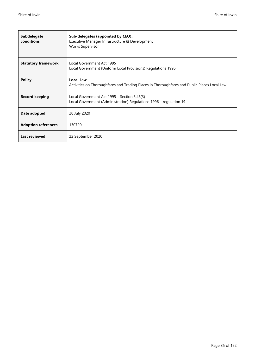| <b>Subdelegate</b><br>conditions | Sub-delegates (appointed by CEO):<br>Executive Manager Infrastructure & Development<br><b>Works Supervisor</b>    |
|----------------------------------|-------------------------------------------------------------------------------------------------------------------|
| <b>Statutory framework</b>       | Local Government Act 1995<br>Local Government (Uniform Local Provisions) Regulations 1996                         |
| <b>Policy</b>                    | <b>Local Law</b><br>Activities on Thoroughfares and Trading Places in Thoroughfares and Public Places Local Law   |
| <b>Record keeping</b>            | Local Government Act 1995 – Section 5.46(3)<br>Local Government (Administration) Regulations 1996 – regulation 19 |
| Date adopted                     | 28 July 2020                                                                                                      |
| <b>Adoption references</b>       | 130720                                                                                                            |
| Last reviewed                    | 22 September 2020                                                                                                 |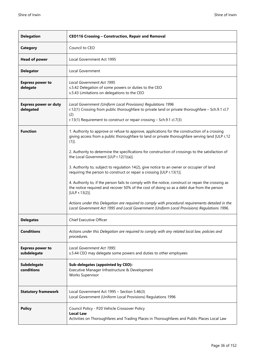<span id="page-35-0"></span>

| <b>Delegation</b>                         | <b>CEO116 Crossing - Construction, Repair and Removal</b>                                                                                                                                                                                        |
|-------------------------------------------|--------------------------------------------------------------------------------------------------------------------------------------------------------------------------------------------------------------------------------------------------|
| <b>Category</b>                           | Council to CEO                                                                                                                                                                                                                                   |
| <b>Head of power</b>                      | Local Government Act 1995                                                                                                                                                                                                                        |
| <b>Delegator</b>                          | Local Government                                                                                                                                                                                                                                 |
| <b>Express power to</b><br>delegate       | Local Government Act 1995<br>s.5.42 Delegation of some powers or duties to the CEO<br>s.5.43 Limitations on delegations to the CEO                                                                                                               |
| <b>Express power or duty</b><br>delegated | Local Government (Uniform Local Provisions) Regulations 1996<br>r.12(1) Crossing from public thoroughfare to private land or private thoroughfare - Sch.9.1 cl.7<br>(2)<br>r.13(1) Requirement to construct or repair crossing - Sch.9.1 cl.7(3) |
| <b>Function</b>                           | 1. Authority to approve or refuse to approve, applications for the construction of a crossing<br>giving access from a public thoroughfare to land or private thoroughfare serving land [ULP r,12<br>$(1)$ ].                                     |
|                                           | 2. Authority to determine the specifications for construction of crossings to the satisfaction of<br>the Local Government [ULP r.12(1)(a)].                                                                                                      |
|                                           | 3. Authority to, subject to regulation 14(2), give notice to an owner or occupier of land<br>requiring the person to construct or repair a crossing [ULP r.13(1)].                                                                               |
|                                           | 4. Authority to, if the person fails to comply with the notice, construct or repair the crossing as<br>the notice required and recover 50% of the cost of doing so as a debt due from the person<br>[ULP r.13(2)].                               |
|                                           | Actions under this Delegation are required to comply with procedural requirements detailed in the<br>Local Government Act 1995 and Local Government (Uniform Local Provisions) Regulations 1996.                                                 |
| <b>Delegates</b>                          | <b>Chief Executive Officer</b>                                                                                                                                                                                                                   |
| <b>Conditions</b>                         | Actions under this Delegation are required to comply with any related local law, policies and<br>procedures.                                                                                                                                     |
| <b>Express power to</b><br>subdelegate    | Local Government Act 1995:<br>s.5.44 CEO may delegate some powers and duties to other employees                                                                                                                                                  |
| Subdelegate<br>conditions                 | Sub-delegates (appointed by CEO):<br>Executive Manager Infrastructure & Development<br><b>Works Supervisor</b>                                                                                                                                   |
| <b>Statutory framework</b>                | Local Government Act 1995 - Section 5.46(3)<br>Local Government (Uniform Local Provisions) Regulations 1996                                                                                                                                      |
| <b>Policy</b>                             | Council Policy - P20 Vehicle Crossover Policy<br><b>Local Law</b><br>Activities on Thoroughfares and Trading Places in Thoroughfares and Public Places Local Law                                                                                 |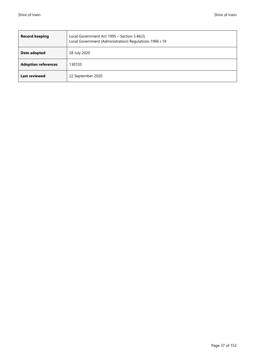| <b>Record keeping</b>      | Local Government Act 1995 - Section 5.46(3)<br>Local Government (Administration) Regulations 1996 r.19 |
|----------------------------|--------------------------------------------------------------------------------------------------------|
| Date adopted               | 28 July 2020                                                                                           |
| <b>Adoption references</b> | 130720                                                                                                 |
| <b>Last reviewed</b>       | 22 September 2020                                                                                      |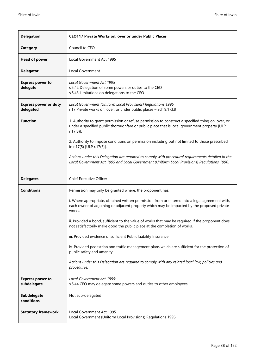| <b>Delegation</b>                         | CEO117 Private Works on, over or under Public Places                                                                                                                                                              |
|-------------------------------------------|-------------------------------------------------------------------------------------------------------------------------------------------------------------------------------------------------------------------|
| Category                                  | Council to CEO                                                                                                                                                                                                    |
| <b>Head of power</b>                      | Local Government Act 1995                                                                                                                                                                                         |
| <b>Delegator</b>                          | Local Government                                                                                                                                                                                                  |
| <b>Express power to</b><br>delegate       | Local Government Act 1995<br>s.5.42 Delegation of some powers or duties to the CEO<br>s.5.43 Limitations on delegations to the CEO                                                                                |
| <b>Express power or duty</b><br>delegated | Local Government (Uniform Local Provisions) Regulations 1996<br>r.17 Private works on, over, or under public places - Sch.9.1 cl.8                                                                                |
| <b>Function</b>                           | 1. Authority to grant permission or refuse permission to construct a specified thing on, over, or<br>under a specified public thoroughfare or public place that is local government property [ULP<br>$r.17(3)$ ]. |
|                                           | 2. Authority to impose conditions on permission including but not limited to those prescribed<br>in r.17(5) [ULP r.17(5)].                                                                                        |
|                                           | Actions under this Delegation are required to comply with procedural requirements detailed in the<br>Local Government Act 1995 and Local Government (Uniform Local Provisions) Regulations 1996.                  |
| <b>Delegates</b>                          | Chief Executive Officer                                                                                                                                                                                           |
| <b>Conditions</b>                         | Permission may only be granted where, the proponent has:                                                                                                                                                          |
|                                           | i. Where appropriate, obtained written permission from or entered into a legal agreement with,<br>each owner of adjoining or adjacent property which may be impacted by the proposed private<br>works.            |
|                                           | ii. Provided a bond, sufficient to the value of works that may be required if the proponent does<br>not satisfactorily make good the public place at the completion of works.                                     |
|                                           | iii. Provided evidence of sufficient Public Liability Insurance.                                                                                                                                                  |
|                                           | iv. Provided pedestrian and traffic management plans which are sufficient for the protection of<br>public safety and amenity.                                                                                     |
|                                           | Actions under this Delegation are required to comply with any related local law, policies and<br>procedures.                                                                                                      |
| <b>Express power to</b><br>subdelegate    | Local Government Act 1995:<br>s.5.44 CEO may delegate some powers and duties to other employees                                                                                                                   |
| Subdelegate<br>conditions                 | Not sub-delegated                                                                                                                                                                                                 |
| <b>Statutory framework</b>                | Local Government Act 1995<br>Local Government (Uniform Local Provisions) Regulations 1996                                                                                                                         |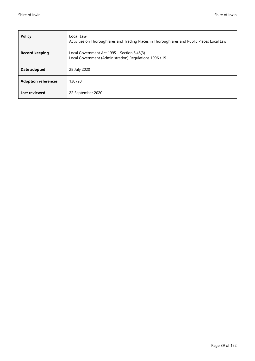| <b>Policy</b>              | <b>Local Law</b><br>Activities on Thoroughfares and Trading Places in Thoroughfares and Public Places Local Law |
|----------------------------|-----------------------------------------------------------------------------------------------------------------|
| <b>Record keeping</b>      | Local Government Act 1995 - Section 5.46(3)<br>Local Government (Administration) Regulations 1996 r.19          |
| Date adopted               | 28 July 2020                                                                                                    |
| <b>Adoption references</b> | 130720                                                                                                          |
| <b>Last reviewed</b>       | 22 September 2020                                                                                               |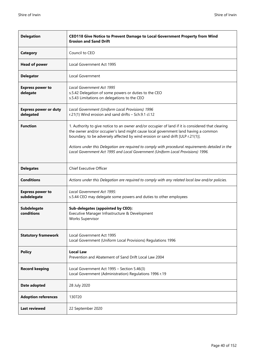| <b>Delegation</b>                         | CEO118 Give Notice to Prevent Damage to Local Government Property from Wind<br><b>Erosion and Sand Drift</b>                                                                                                                                                                                                                                                                                                                                                       |
|-------------------------------------------|--------------------------------------------------------------------------------------------------------------------------------------------------------------------------------------------------------------------------------------------------------------------------------------------------------------------------------------------------------------------------------------------------------------------------------------------------------------------|
| Category                                  | Council to CEO                                                                                                                                                                                                                                                                                                                                                                                                                                                     |
| <b>Head of power</b>                      | Local Government Act 1995                                                                                                                                                                                                                                                                                                                                                                                                                                          |
| <b>Delegator</b>                          | <b>Local Government</b>                                                                                                                                                                                                                                                                                                                                                                                                                                            |
| <b>Express power to</b><br>delegate       | <b>Local Government Act 1995</b><br>s.5.42 Delegation of some powers or duties to the CEO<br>s.5.43 Limitations on delegations to the CEO                                                                                                                                                                                                                                                                                                                          |
| <b>Express power or duty</b><br>delegated | Local Government (Uniform Local Provisions) 1996<br>r.21(1) Wind erosion and sand drifts - Sch.9.1 cl.12                                                                                                                                                                                                                                                                                                                                                           |
| <b>Function</b>                           | 1. Authority to give notice to an owner and/or occupier of land if it is considered that clearing<br>the owner and/or occupier's land might cause local government land having a common<br>boundary, to be adversely affected by wind erosion or sand drift [ULP r.21(1)].<br>Actions under this Delegation are required to comply with procedural requirements detailed in the<br>Local Government Act 1995 and Local Government (Uniform Local Provisions) 1996. |
| <b>Delegates</b>                          | Chief Executive Officer                                                                                                                                                                                                                                                                                                                                                                                                                                            |
| <b>Conditions</b>                         | Actions under this Delegation are required to comply with any related local law and/or policies.                                                                                                                                                                                                                                                                                                                                                                   |
| <b>Express power to</b><br>subdelegate    | Local Government Act 1995:<br>s.5.44 CEO may delegate some powers and duties to other employees                                                                                                                                                                                                                                                                                                                                                                    |
| Subdelegate<br>conditions                 | Sub-delegates (appointed by CEO):<br>Executive Manager Infrastructure & Development<br><b>Works Supervisor</b>                                                                                                                                                                                                                                                                                                                                                     |
| <b>Statutory framework</b>                | Local Government Act 1995<br>Local Government (Uniform Local Provisions) Regulations 1996                                                                                                                                                                                                                                                                                                                                                                          |
| <b>Policy</b>                             | <b>Local Law</b><br>Prevention and Abatement of Sand Drift Local Law 2004                                                                                                                                                                                                                                                                                                                                                                                          |
| <b>Record keeping</b>                     | Local Government Act 1995 - Section 5.46(3)<br>Local Government (Administration) Regulations 1996 r.19                                                                                                                                                                                                                                                                                                                                                             |
| Date adopted                              | 28 July 2020                                                                                                                                                                                                                                                                                                                                                                                                                                                       |
| <b>Adoption references</b>                | 130720                                                                                                                                                                                                                                                                                                                                                                                                                                                             |
| <b>Last reviewed</b>                      | 22 September 2020                                                                                                                                                                                                                                                                                                                                                                                                                                                  |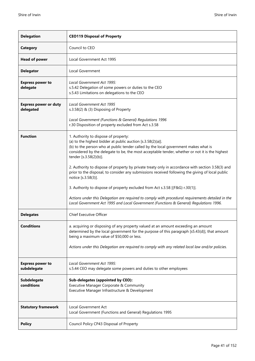| <b>Delegation</b>                         | <b>CEO119 Disposal of Property</b>                                                                                                                                                                                                                                                                                                                                                                                                                                                                                                                                                                                                                                                                                                                                                                                                     |
|-------------------------------------------|----------------------------------------------------------------------------------------------------------------------------------------------------------------------------------------------------------------------------------------------------------------------------------------------------------------------------------------------------------------------------------------------------------------------------------------------------------------------------------------------------------------------------------------------------------------------------------------------------------------------------------------------------------------------------------------------------------------------------------------------------------------------------------------------------------------------------------------|
| <b>Category</b>                           | Council to CEO                                                                                                                                                                                                                                                                                                                                                                                                                                                                                                                                                                                                                                                                                                                                                                                                                         |
| <b>Head of power</b>                      | Local Government Act 1995                                                                                                                                                                                                                                                                                                                                                                                                                                                                                                                                                                                                                                                                                                                                                                                                              |
| <b>Delegator</b>                          | Local Government                                                                                                                                                                                                                                                                                                                                                                                                                                                                                                                                                                                                                                                                                                                                                                                                                       |
| <b>Express power to</b><br>delegate       | Local Government Act 1995:<br>s.5.42 Delegation of some powers or duties to the CEO<br>s.5.43 Limitations on delegations to the CEO                                                                                                                                                                                                                                                                                                                                                                                                                                                                                                                                                                                                                                                                                                    |
| <b>Express power or duty</b><br>delegated | <b>Local Government Act 1995</b><br>s.3.58(2) & (3) Disposing of Property                                                                                                                                                                                                                                                                                                                                                                                                                                                                                                                                                                                                                                                                                                                                                              |
|                                           | Local Government (Functions & General) Regulations 1996<br>r.30 Disposition of property excluded from Act s.3.58                                                                                                                                                                                                                                                                                                                                                                                                                                                                                                                                                                                                                                                                                                                       |
| <b>Function</b>                           | 1. Authority to dispose of property:<br>(a) to the highest bidder at public auction [s.3.58(2)(a)].<br>(b) to the person who at public tender called by the local government makes what is<br>considered by the delegate to be, the most acceptable tender, whether or not it is the highest<br>tender [s.3.58(2)(b)].<br>2. Authority to dispose of property by private treaty only in accordance with section 3.58(3) and<br>prior to the disposal, to consider any submissions received following the giving of local public<br>notice [s.3.58(3)].<br>3. Authority to dispose of property excluded from Act s.3.58 [(F&G) r.30(1)].<br>Actions under this Delegation are required to comply with procedural requirements detailed in the<br>Local Government Act 1995 and Local Government (Functions & General) Regulations 1996. |
| <b>Delegates</b>                          | <b>Chief Executive Officer</b>                                                                                                                                                                                                                                                                                                                                                                                                                                                                                                                                                                                                                                                                                                                                                                                                         |
| <b>Conditions</b>                         | a. acquiring or disposing of any property valued at an amount exceeding an amount<br>determined by the local government for the purpose of this paragraph [s5.43(d)], that amount<br>being a maximum value of \$50,000 or less.<br>Actions under this Delegation are required to comply with any related local law and/or policies.                                                                                                                                                                                                                                                                                                                                                                                                                                                                                                    |
| <b>Express power to</b><br>subdelegate    | Local Government Act 1995:<br>s.5.44 CEO may delegate some powers and duties to other employees                                                                                                                                                                                                                                                                                                                                                                                                                                                                                                                                                                                                                                                                                                                                        |
| Subdelegate<br>conditions                 | Sub-delegates (appointed by CEO):<br>Executive Manager Corporate & Community<br>Executive Manager Infrastructure & Development                                                                                                                                                                                                                                                                                                                                                                                                                                                                                                                                                                                                                                                                                                         |
| <b>Statutory framework</b>                | Local Government Act<br>Local Government (Functions and General) Regulations 1995                                                                                                                                                                                                                                                                                                                                                                                                                                                                                                                                                                                                                                                                                                                                                      |
| <b>Policy</b>                             | Council Policy CP43 Disposal of Property                                                                                                                                                                                                                                                                                                                                                                                                                                                                                                                                                                                                                                                                                                                                                                                               |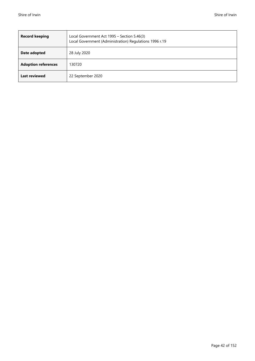| <b>Record keeping</b>      | Local Government Act 1995 - Section 5.46(3)<br>Local Government (Administration) Regulations 1996 r.19 |
|----------------------------|--------------------------------------------------------------------------------------------------------|
| Date adopted               | 28 July 2020                                                                                           |
| <b>Adoption references</b> | 130720                                                                                                 |
| <b>Last reviewed</b>       | 22 September 2020                                                                                      |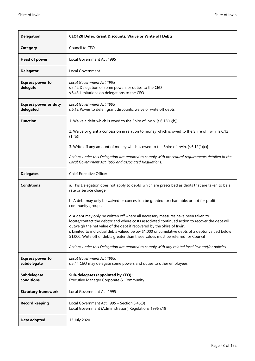| <b>Delegation</b>                         | <b>CEO120 Defer, Grant Discounts, Waive or Write off Debts</b>                                                                                                                                                                                                                                                                                                                                                                                          |
|-------------------------------------------|---------------------------------------------------------------------------------------------------------------------------------------------------------------------------------------------------------------------------------------------------------------------------------------------------------------------------------------------------------------------------------------------------------------------------------------------------------|
| <b>Category</b>                           | Council to CEO                                                                                                                                                                                                                                                                                                                                                                                                                                          |
| <b>Head of power</b>                      | Local Government Act 1995                                                                                                                                                                                                                                                                                                                                                                                                                               |
| <b>Delegator</b>                          | Local Government                                                                                                                                                                                                                                                                                                                                                                                                                                        |
| <b>Express power to</b><br>delegate       | <b>Local Government Act 1995</b><br>s.5.42 Delegation of some powers or duties to the CEO<br>s.5.43 Limitations on delegations to the CEO                                                                                                                                                                                                                                                                                                               |
| <b>Express power or duty</b><br>delegated | Local Government Act 1995<br>s.6.12 Power to defer, grant discounts, waive or write off debts                                                                                                                                                                                                                                                                                                                                                           |
| <b>Function</b>                           | 1. Waive a debt which is owed to the Shire of Irwin. [s.6.12(1)(b)]                                                                                                                                                                                                                                                                                                                                                                                     |
|                                           | 2. Waive or grant a concession in relation to money which is owed to the Shire of Irwin. [s.6.12<br>$(1)(b)$ ]                                                                                                                                                                                                                                                                                                                                          |
|                                           | 3. Write off any amount of money which is owed to the Shire of Irwin. [s.6.12(1)(c)]                                                                                                                                                                                                                                                                                                                                                                    |
|                                           | Actions under this Delegation are required to comply with procedural requirements detailed in the<br>Local Government Act 1995 and associated Regulations.                                                                                                                                                                                                                                                                                              |
| <b>Delegates</b>                          | Chief Executive Officer                                                                                                                                                                                                                                                                                                                                                                                                                                 |
| <b>Conditions</b>                         | a. This Delegation does not apply to debts, which are prescribed as debts that are taken to be a<br>rate or service charge.                                                                                                                                                                                                                                                                                                                             |
|                                           | b. A debt may only be waived or concession be granted for charitable; or not for profit<br>community groups.                                                                                                                                                                                                                                                                                                                                            |
|                                           | c. A debt may only be written off where all necessary measures have been taken to<br>locate/contact the debtor and where costs associated continued action to recover the debt will<br>outweigh the net value of the debt if recovered by the Shire of Irwin.<br>i. Limited to individual debts valued below \$1,000 or cumulative debts of a debtor valued below<br>\$1,000. Write off of debts greater than these values must be referred for Council |
|                                           | Actions under this Delegation are required to comply with any related local law and/or policies.                                                                                                                                                                                                                                                                                                                                                        |
| <b>Express power to</b><br>subdelegate    | Local Government Act 1995:<br>s.5.44 CEO may delegate some powers and duties to other employees                                                                                                                                                                                                                                                                                                                                                         |
| Subdelegate<br>conditions                 | Sub-delegates (appointed by CEO):<br>Executive Manager Corporate & Community                                                                                                                                                                                                                                                                                                                                                                            |
| <b>Statutory framework</b>                | Local Government Act 1995                                                                                                                                                                                                                                                                                                                                                                                                                               |
| <b>Record keeping</b>                     | Local Government Act 1995 - Section 5.46(3)<br>Local Government (Administration) Regulations 1996 r.19                                                                                                                                                                                                                                                                                                                                                  |
| Date adopted                              | 13 July 2020                                                                                                                                                                                                                                                                                                                                                                                                                                            |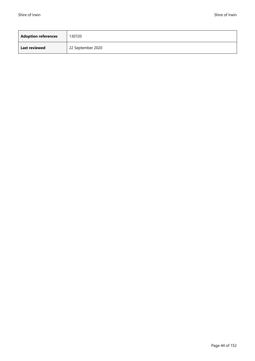| <b>Adoption references</b> | 130720            |
|----------------------------|-------------------|
| <b>Last reviewed</b>       | 22 September 2020 |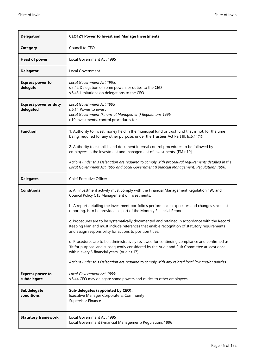| <b>Delegation</b>                         | <b>CEO121 Power to Invest and Manage Investments</b>                                                                                                                                                                                                    |
|-------------------------------------------|---------------------------------------------------------------------------------------------------------------------------------------------------------------------------------------------------------------------------------------------------------|
| <b>Category</b>                           | Council to CEO                                                                                                                                                                                                                                          |
|                                           |                                                                                                                                                                                                                                                         |
| <b>Head of power</b>                      | Local Government Act 1995                                                                                                                                                                                                                               |
| <b>Delegator</b>                          | Local Government                                                                                                                                                                                                                                        |
| <b>Express power to</b><br>delegate       | Local Government Act 1995:<br>s.5.42 Delegation of some powers or duties to the CEO<br>s.5.43 Limitations on delegations to the CEO                                                                                                                     |
| <b>Express power or duty</b><br>delegated | Local Government Act 1995<br>s.6.14 Power to invest<br>Local Government (Financial Management) Regulations 1996<br>r.19 Investments, control procedures for                                                                                             |
| <b>Function</b>                           | 1. Authority to invest money held in the municipal fund or trust fund that is not, for the time<br>being, required for any other purpose, under the Trustees Act Part III. [s.6.14(1)]                                                                  |
|                                           | 2. Authority to establish and document internal control procedures to be followed by<br>employees in the investment and management of investments. [FM r.19]                                                                                            |
|                                           | Actions under this Delegation are required to comply with procedural requirements detailed in the<br>Local Government Act 1995 and Local Government (Financial Management) Regulations 1996.                                                            |
| <b>Delegates</b>                          | Chief Executive Officer                                                                                                                                                                                                                                 |
| <b>Conditions</b>                         | a. All investment activity must comply with the Financial Management Regulation 19C and<br>Council Policy C15 Management of Investments.                                                                                                                |
|                                           | b. A report detailing the investment portfolio's performance, exposures and changes since last<br>reporting, is to be provided as part of the Monthly Financial Reports.                                                                                |
|                                           | c. Procedures are to be systematically documented and retained in accordance with the Record<br>Keeping Plan and must include references that enable recognition of statutory requirements<br>and assign responsibility for actions to position titles. |
|                                           | d. Procedures are to be administratively reviewed for continuing compliance and confirmed as<br>'fit for purpose' and subsequently considered by the Audit and Risk Committee at least once<br>within every 3 financial years. [Audit r.17]             |
|                                           | Actions under this Delegation are required to comply with any related local law and/or policies.                                                                                                                                                        |
| <b>Express power to</b><br>subdelegate    | Local Government Act 1995:<br>s.5.44 CEO may delegate some powers and duties to other employees                                                                                                                                                         |
| Subdelegate<br>conditions                 | Sub-delegates (appointed by CEO):<br>Executive Manager Corporate & Community<br>Supervisor Finance                                                                                                                                                      |
| <b>Statutory framework</b>                | Local Government Act 1995<br>Local Government (Financial Management) Regulations 1996                                                                                                                                                                   |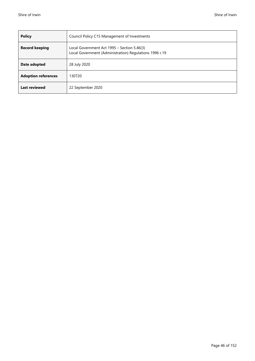| <b>Policy</b>              | Council Policy C15 Management of Investments                                                           |
|----------------------------|--------------------------------------------------------------------------------------------------------|
| <b>Record keeping</b>      | Local Government Act 1995 - Section 5.46(3)<br>Local Government (Administration) Regulations 1996 r.19 |
| Date adopted               | 28 July 2020                                                                                           |
| <b>Adoption references</b> | 130720                                                                                                 |
| Last reviewed              | 22 September 2020                                                                                      |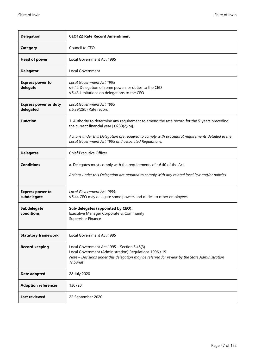| <b>Delegation</b>                         | <b>CEO122 Rate Record Amendment</b>                                                                                                                                                                                 |
|-------------------------------------------|---------------------------------------------------------------------------------------------------------------------------------------------------------------------------------------------------------------------|
| <b>Category</b>                           | Council to CEO                                                                                                                                                                                                      |
| <b>Head of power</b>                      | Local Government Act 1995                                                                                                                                                                                           |
| <b>Delegator</b>                          | Local Government                                                                                                                                                                                                    |
| <b>Express power to</b><br>delegate       | Local Government Act 1995<br>s.5.42 Delegation of some powers or duties to the CEO<br>s.5.43 Limitations on delegations to the CEO                                                                                  |
| <b>Express power or duty</b><br>delegated | Local Government Act 1995<br>s.6.39(2)(b) Rate record                                                                                                                                                               |
| <b>Function</b>                           | 1. Authority to determine any requirement to amend the rate record for the 5-years preceding<br>the current financial year [s.6.39(2)(b)].                                                                          |
|                                           | Actions under this Delegation are required to comply with procedural requirements detailed in the<br>Local Government Act 1995 and associated Regulations.                                                          |
| <b>Delegates</b>                          | Chief Executive Officer                                                                                                                                                                                             |
| <b>Conditions</b>                         | a. Delegates must comply with the requirements of s.6.40 of the Act.                                                                                                                                                |
|                                           | Actions under this Delegation are required to comply with any related local law and/or policies.                                                                                                                    |
| <b>Express power to</b><br>subdelegate    | Local Government Act 1995:<br>s.5.44 CEO may delegate some powers and duties to other employees                                                                                                                     |
| <b>Subdelegate</b><br>conditions          | Sub-delegates (appointed by CEO):<br>Executive Manager Corporate & Community<br>Supervisor Finance                                                                                                                  |
| <b>Statutory framework</b>                | Local Government Act 1995                                                                                                                                                                                           |
| <b>Record keeping</b>                     | Local Government Act 1995 - Section 5.46(3)<br>Local Government (Administration) Regulations 1996 r.19<br>Note - Decisions under this delegation may be referred for review by the State Administration<br>Tribunal |
| Date adopted                              | 28 July 2020                                                                                                                                                                                                        |
| <b>Adoption references</b>                | 130720                                                                                                                                                                                                              |
| <b>Last reviewed</b>                      | 22 September 2020                                                                                                                                                                                                   |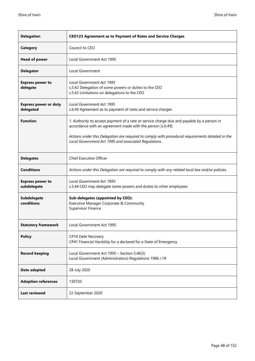| <b>Delegation</b>                         | <b>CEO123 Agreement as to Payment of Rates and Service Charges</b>                                                                                         |
|-------------------------------------------|------------------------------------------------------------------------------------------------------------------------------------------------------------|
| Category                                  | Council to CEO                                                                                                                                             |
| <b>Head of power</b>                      | Local Government Act 1995                                                                                                                                  |
| <b>Delegator</b>                          | <b>Local Government</b>                                                                                                                                    |
| <b>Express power to</b><br>delegate       | <b>Local Government Act 1995</b><br>s.5.42 Delegation of some powers or duties to the CEO<br>s.5.43 Limitations on delegations to the CEO                  |
| <b>Express power or duty</b><br>delegated | <b>Local Government Act 1995</b><br>s.6.49 Agreement as to payment of rates and service charges                                                            |
| <b>Function</b>                           | 1. Authority to accept payment of a rate or service charge due and payable by a person in<br>accordance with an agreement made with the person [s.6.49].   |
|                                           | Actions under this Delegation are required to comply with procedural requirements detailed in the<br>Local Government Act 1995 and associated Regulations. |
| <b>Delegates</b>                          | Chief Executive Officer                                                                                                                                    |
| <b>Conditions</b>                         | Actions under this Delegation are required to comply with any related local law and/or policies.                                                           |
| <b>Express power to</b><br>subdelegate    | Local Government Act 1995:<br>s.5.44 CEO may delegate some powers and duties to other employees                                                            |
| Subdelegate<br>conditions                 | Sub-delegates (appointed by CEO):<br>Executive Manager Corporate & Community<br>Supervisor Finance                                                         |
| <b>Statutory framework</b>                | Local Government Act 1995                                                                                                                                  |
| <b>Policy</b>                             | CP14 Debt Recovery<br>CP41 Financial Hardship for a declared for a State of Emergency                                                                      |
| <b>Record keeping</b>                     | Local Government Act 1995 - Section 5.46(3)<br>Local Government (Administration) Regulations 1996 r.19                                                     |
| Date adopted                              | 28 July 2020                                                                                                                                               |
| <b>Adoption references</b>                | 130720                                                                                                                                                     |
| <b>Last reviewed</b>                      | 22 September 2020                                                                                                                                          |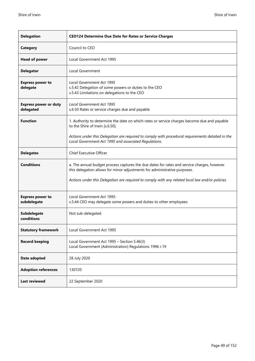| <b>Delegation</b>                         | <b>CEO124 Determine Due Date for Rates or Service Charges</b>                                                                                                           |  |
|-------------------------------------------|-------------------------------------------------------------------------------------------------------------------------------------------------------------------------|--|
| <b>Category</b>                           | Council to CEO                                                                                                                                                          |  |
| <b>Head of power</b>                      | Local Government Act 1995                                                                                                                                               |  |
| <b>Delegator</b>                          | <b>Local Government</b>                                                                                                                                                 |  |
| <b>Express power to</b><br>delegate       | Local Government Act 1995<br>s.5.42 Delegation of some powers or duties to the CEO<br>s.5.43 Limitations on delegations to the CEO                                      |  |
| <b>Express power or duty</b><br>delegated | <b>Local Government Act 1995</b><br>s.6.50 Rates or service charges due and payable                                                                                     |  |
| <b>Function</b>                           | 1. Authority to determine the date on which rates or service charges become due and payable<br>to the Shire of Irwin [s.6.50].                                          |  |
|                                           | Actions under this Delegation are required to comply with procedural requirements detailed in the<br>Local Government Act 1995 and associated Regulations.              |  |
| <b>Delegates</b>                          | Chief Executive Officer                                                                                                                                                 |  |
| <b>Conditions</b>                         | a. The annual budget process captures the due dates for rates and service charges, however<br>this delegation allows for minor adjustments for administrative purposes. |  |
|                                           | Actions under this Delegation are required to comply with any related local law and/or policies.                                                                        |  |
| <b>Express power to</b><br>subdelegate    | Local Government Act 1995:<br>s.5.44 CEO may delegate some powers and duties to other employees                                                                         |  |
| <b>Subdelegate</b><br>conditions          | Not sub-delegated                                                                                                                                                       |  |
| <b>Statutory framework</b>                | Local Government Act 1995                                                                                                                                               |  |
| <b>Record keeping</b>                     | Local Government Act 1995 - Section 5.46(3)<br>Local Government (Administration) Regulations 1996 r.19                                                                  |  |
| Date adopted                              | 28 July 2020                                                                                                                                                            |  |
| <b>Adoption references</b>                | 130720                                                                                                                                                                  |  |
| <b>Last reviewed</b>                      | 22 September 2020                                                                                                                                                       |  |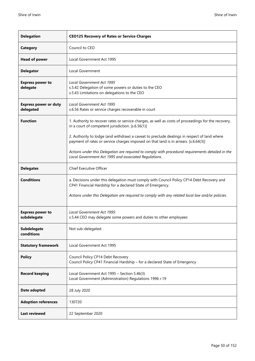| <b>Delegation</b>                         | <b>CEO125 Recovery of Rates or Service Charges</b>                                                                                                                                 |  |
|-------------------------------------------|------------------------------------------------------------------------------------------------------------------------------------------------------------------------------------|--|
| Category                                  | Council to CEO                                                                                                                                                                     |  |
| <b>Head of power</b>                      | Local Government Act 1995                                                                                                                                                          |  |
| <b>Delegator</b>                          | Local Government                                                                                                                                                                   |  |
| <b>Express power to</b><br>delegate       | Local Government Act 1995<br>s.5.42 Delegation of some powers or duties to the CEO<br>s.5.43 Limitations on delegations to the CEO                                                 |  |
| <b>Express power or duty</b><br>delegated | <b>Local Government Act 1995</b><br>s.6.56 Rates or service charges recoverable in court                                                                                           |  |
| <b>Function</b>                           | 1. Authority to recover rates or service charges, as well as costs of proceedings for the recovery,<br>in a court of competent jurisdiction. [s.6.56(1)]                           |  |
|                                           | 2. Authority to lodge (and withdraw) a caveat to preclude dealings in respect of land where<br>payment of rates or service charges imposed on that land is in arrears. [s.6.64(3)] |  |
|                                           | Actions under this Delegation are required to comply with procedural requirements detailed in the<br>Local Government Act 1995 and associated Regulations.                         |  |
| <b>Delegates</b>                          | Chief Executive Officer                                                                                                                                                            |  |
| <b>Conditions</b>                         | a. Decisions under this delegation must comply with Council Policy CP14 Debt Recovery and<br>CP41 Financial Hardship for a declared State of Emergency.                            |  |
|                                           | Actions under this Delegation are required to comply with any related local law and/or policies.                                                                                   |  |
| <b>Express power to</b><br>subdelegate    | Local Government Act 1995:<br>s.5.44 CEO may delegate some powers and duties to other employees                                                                                    |  |
| Subdelegate<br>conditions                 | Not sub-delegated                                                                                                                                                                  |  |
| <b>Statutory framework</b>                | Local Government Act 1995                                                                                                                                                          |  |
| <b>Policy</b>                             | Council Policy CP14 Debt Recovery<br>Council Policy CP41 Financial Hardship - for a declared State of Emergency                                                                    |  |
| <b>Record keeping</b>                     | Local Government Act 1995 - Section 5.46(3)<br>Local Government (Administration) Regulations 1996 r.19                                                                             |  |
| Date adopted                              | 28 July 2020                                                                                                                                                                       |  |
| <b>Adoption references</b>                | 130720                                                                                                                                                                             |  |
| <b>Last reviewed</b>                      | 22 September 2020                                                                                                                                                                  |  |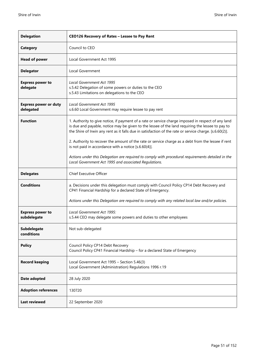| <b>Delegation</b>                         | CEO126 Recovery of Rates - Lessee to Pay Rent                                                                                                                                                                                                                                                                                                                                                                           |  |
|-------------------------------------------|-------------------------------------------------------------------------------------------------------------------------------------------------------------------------------------------------------------------------------------------------------------------------------------------------------------------------------------------------------------------------------------------------------------------------|--|
| Category                                  | Council to CEO                                                                                                                                                                                                                                                                                                                                                                                                          |  |
| <b>Head of power</b>                      | Local Government Act 1995                                                                                                                                                                                                                                                                                                                                                                                               |  |
| <b>Delegator</b>                          | <b>Local Government</b>                                                                                                                                                                                                                                                                                                                                                                                                 |  |
| <b>Express power to</b><br>delegate       | Local Government Act 1995<br>s.5.42 Delegation of some powers or duties to the CEO<br>s.5.43 Limitations on delegations to the CEO                                                                                                                                                                                                                                                                                      |  |
| <b>Express power or duty</b><br>delegated | <b>Local Government Act 1995</b><br>s.6.60 Local Government may require lessee to pay rent                                                                                                                                                                                                                                                                                                                              |  |
| <b>Function</b>                           | 1. Authority to give notice, if payment of a rate or service charge imposed in respect of any land<br>is due and payable, notice may be given to the lessee of the land requiring the lessee to pay to<br>the Shire of Irwin any rent as it falls due in satisfaction of the rate or service charge. [s.6.60(2)].<br>2. Authority to recover the amount of the rate or service charge as a debt from the lessee if rent |  |
|                                           | is not paid in accordance with a notice [s.6.60(4)].<br>Actions under this Delegation are required to comply with procedural requirements detailed in the<br>Local Government Act 1995 and associated Regulations.                                                                                                                                                                                                      |  |
| <b>Delegates</b>                          | Chief Executive Officer                                                                                                                                                                                                                                                                                                                                                                                                 |  |
| <b>Conditions</b>                         | a. Decisions under this delegation must comply with Council Policy CP14 Debt Recovery and<br>CP41 Financial Hardship for a declared State of Emergency.                                                                                                                                                                                                                                                                 |  |
|                                           | Actions under this Delegation are required to comply with any related local law and/or policies.                                                                                                                                                                                                                                                                                                                        |  |
| <b>Express power to</b><br>subdelegate    | Local Government Act 1995:<br>s.5.44 CEO may delegate some powers and duties to other employees                                                                                                                                                                                                                                                                                                                         |  |
| Subdelegate<br>conditions                 | Not sub-delegated                                                                                                                                                                                                                                                                                                                                                                                                       |  |
| <b>Policy</b>                             | Council Policy CP14 Debt Recovery<br>Council Policy CP41 Financial Hardship - for a declared State of Emergency                                                                                                                                                                                                                                                                                                         |  |
| <b>Record keeping</b>                     | Local Government Act 1995 - Section 5.46(3)<br>Local Government (Administration) Regulations 1996 r.19                                                                                                                                                                                                                                                                                                                  |  |
| Date adopted                              | 28 July 2020                                                                                                                                                                                                                                                                                                                                                                                                            |  |
| <b>Adoption references</b>                | 130720                                                                                                                                                                                                                                                                                                                                                                                                                  |  |
| <b>Last reviewed</b>                      | 22 September 2020                                                                                                                                                                                                                                                                                                                                                                                                       |  |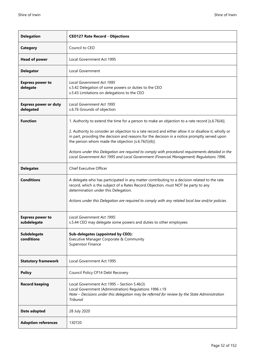| <b>Delegation</b>                         | <b>CEO127 Rate Record - Objections</b>                                                                                                                                                                                                                                                                                         |  |
|-------------------------------------------|--------------------------------------------------------------------------------------------------------------------------------------------------------------------------------------------------------------------------------------------------------------------------------------------------------------------------------|--|
| <b>Category</b>                           | Council to CEO                                                                                                                                                                                                                                                                                                                 |  |
| <b>Head of power</b>                      | Local Government Act 1995                                                                                                                                                                                                                                                                                                      |  |
| <b>Delegator</b>                          | Local Government                                                                                                                                                                                                                                                                                                               |  |
| <b>Express power to</b><br>delegate       | Local Government Act 1995<br>s.5.42 Delegation of some powers or duties to the CEO<br>s.5.43 Limitations on delegations to the CEO                                                                                                                                                                                             |  |
| <b>Express power or duty</b><br>delegated | <b>Local Government Act 1995</b><br>s.6.76 Grounds of objection                                                                                                                                                                                                                                                                |  |
| <b>Function</b>                           | 1. Authority to extend the time for a person to make an objection to a rate record [s.6.76(4)].                                                                                                                                                                                                                                |  |
|                                           | 2. Authority to consider an objection to a rate record and either allow it or disallow it, wholly or<br>in part, providing the decision and reasons for the decision in a notice promptly served upon<br>the person whom made the objection [s.6.76(5)(6)].                                                                    |  |
|                                           | Actions under this Delegation are required to comply with procedural requirements detailed in the<br>Local Government Act 1995 and Local Government (Financial Management) Regulations 1996.                                                                                                                                   |  |
| <b>Delegates</b>                          | Chief Executive Officer                                                                                                                                                                                                                                                                                                        |  |
| <b>Conditions</b>                         | A delegate who has participated in any matter contributing to a decision related to the rate<br>record, which is the subject of a Rates Record Objection, must NOT be party to any<br>determination under this Delegation.<br>Actions under this Delegation are required to comply with any related local law and/or policies. |  |
| <b>Express power to</b><br>subdelegate    | Local Government Act 1995:<br>s.5.44 CEO may delegate some powers and duties to other employees                                                                                                                                                                                                                                |  |
| Subdelegate<br>conditions                 | Sub-delegates (appointed by CEO):<br>Executive Manager Corporate & Community<br>Supervisor Finance                                                                                                                                                                                                                             |  |
| <b>Statutory framework</b>                | Local Government Act 1995                                                                                                                                                                                                                                                                                                      |  |
| <b>Policy</b>                             | Council Policy CP14 Debt Recovery                                                                                                                                                                                                                                                                                              |  |
| <b>Record keeping</b>                     | Local Government Act 1995 - Section 5.46(3)<br>Local Government (Administration) Regulations 1996 r.19<br>Note - Decisions under this delegation may be referred for review by the State Administration<br>Tribunal                                                                                                            |  |
| Date adopted                              | 28 July 2020                                                                                                                                                                                                                                                                                                                   |  |
| <b>Adoption references</b>                | 130720                                                                                                                                                                                                                                                                                                                         |  |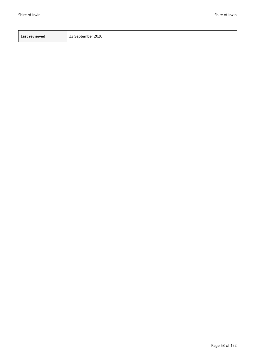**Last reviewed** 22 September 2020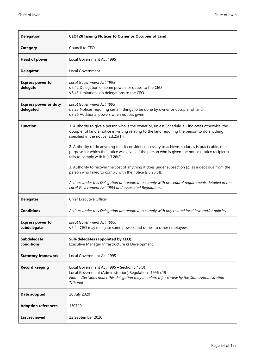|                                           | <b>CEO128 Issuing Notices to Owner or Occupier of Land</b>                                                                                                                                                                                    |  |
|-------------------------------------------|-----------------------------------------------------------------------------------------------------------------------------------------------------------------------------------------------------------------------------------------------|--|
| <b>Delegation</b>                         |                                                                                                                                                                                                                                               |  |
| Category                                  | Council to CEO                                                                                                                                                                                                                                |  |
| <b>Head of power</b>                      | Local Government Act 1995                                                                                                                                                                                                                     |  |
| <b>Delegator</b>                          | <b>Local Government</b>                                                                                                                                                                                                                       |  |
| <b>Express power to</b><br>delegate       | Local Government Act 1995<br>s.5.42 Delegation of some powers or duties to the CEO<br>s.5.43 Limitations on delegations to the CEO                                                                                                            |  |
| <b>Express power or duty</b><br>delegated | Local Government Act 1995<br>s.3.25 Notices requiring certain things to be done by owner or occupier of land<br>s.3.26 Additional powers when notices given                                                                                   |  |
| <b>Function</b>                           | 1. Authority to give a person who is the owner or, unless Schedule 3.1 indicates otherwise, the<br>occupier of land a notice in writing relating to the land requiring the person to do anything<br>specified in the notice [s.3.25(1)].      |  |
|                                           | 2. Authority to do anything that it considers necessary to achieve, so far as is practicable, the<br>purpose for which the notice was given, If the person who is given the notice (notice recipient)<br>fails to comply with it [s.3.26(2)]. |  |
|                                           | 3. Authority to recover the cost of anything it does under subsection (2) as a debt due from the<br>person who failed to comply with the notice [s.3.26(3)].                                                                                  |  |
|                                           | Actions under this Delegation are required to comply with procedural requirements detailed in the<br>Local Government Act 1995 and associated Regulations.                                                                                    |  |
| <b>Delegates</b>                          | <b>Chief Executive Officer</b>                                                                                                                                                                                                                |  |
| <b>Conditions</b>                         | Actions under this Delegation are required to comply with any related local law and/or policies.                                                                                                                                              |  |
| <b>Express power to</b><br>subdelegate    | Local Government Act 1995:<br>s.5.44 CEO may delegate some powers and duties to other employees                                                                                                                                               |  |
| Subdelegate<br>conditions                 | Sub-delegates (appointed by CEO):<br>Executive Manager Infrastructure & Development                                                                                                                                                           |  |
| <b>Statutory framework</b>                | Local Government Act 1995                                                                                                                                                                                                                     |  |
| <b>Record keeping</b>                     | Local Government Act 1995 - Section 5.46(3)<br>Local Government (Administration) Regulations 1996 r.19<br>Note - Decisions under this delegation may be referred for review by the State Administration<br>Tribunal                           |  |
| Date adopted                              | 28 July 2020                                                                                                                                                                                                                                  |  |
| <b>Adoption references</b>                | 130720                                                                                                                                                                                                                                        |  |
| <b>Last reviewed</b>                      | 22 September 2020                                                                                                                                                                                                                             |  |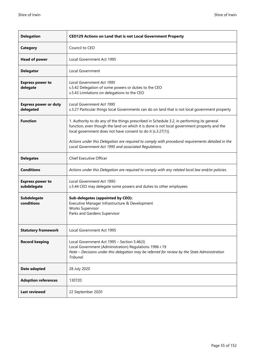| <b>Delegation</b>                         | <b>CEO129 Actions on Land that is not Local Government Property</b>                                                                                                                                                                                       |  |
|-------------------------------------------|-----------------------------------------------------------------------------------------------------------------------------------------------------------------------------------------------------------------------------------------------------------|--|
| <b>Category</b>                           | Council to CEO                                                                                                                                                                                                                                            |  |
| <b>Head of power</b>                      | Local Government Act 1995                                                                                                                                                                                                                                 |  |
| <b>Delegator</b>                          | <b>Local Government</b>                                                                                                                                                                                                                                   |  |
| <b>Express power to</b><br>delegate       | <b>Local Government Act 1995</b><br>s.5.42 Delegation of some powers or duties to the CEO<br>s.5.43 Limitations on delegations to the CEO                                                                                                                 |  |
| <b>Express power or duty</b><br>delegated | <b>Local Government Act 1995</b><br>s.3.27 Particular things local Governments can do on land that is not local government property                                                                                                                       |  |
| <b>Function</b>                           | 1. Authority to do any of the things prescribed in Schedule 3.2, in performing its general<br>function, even though the land on which it is done is not local government property and the<br>local government does not have consent to do it [s.3.27(1)]. |  |
|                                           | Actions under this Delegation are required to comply with procedural requirements detailed in the<br>Local Government Act 1995 and associated Regulations.                                                                                                |  |
| <b>Delegates</b>                          | Chief Executive Officer                                                                                                                                                                                                                                   |  |
| <b>Conditions</b>                         | Actions under this Delegation are required to comply with any related local law and/or policies.                                                                                                                                                          |  |
| <b>Express power to</b><br>subdelegate    | Local Government Act 1995:<br>s.5.44 CEO may delegate some powers and duties to other employees                                                                                                                                                           |  |
| Subdelegate<br>conditions                 | Sub-delegates (appointed by CEO):<br>Executive Manager Infrastructure & Development<br><b>Works Supervisor</b><br>Parks and Gardens Supervisor                                                                                                            |  |
| <b>Statutory framework</b>                | Local Government Act 1995                                                                                                                                                                                                                                 |  |
| <b>Record keeping</b>                     | Local Government Act 1995 - Section 5.46(3)<br>Local Government (Administration) Regulations 1996 r.19<br>Note - Decisions under this delegation may be referred for review by the State Administration<br>Tribunal                                       |  |
| Date adopted                              | 28 July 2020                                                                                                                                                                                                                                              |  |
| <b>Adoption references</b>                | 130720                                                                                                                                                                                                                                                    |  |
| <b>Last reviewed</b>                      | 22 September 2020                                                                                                                                                                                                                                         |  |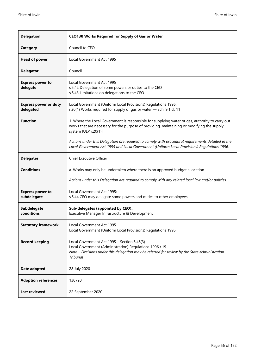| <b>Delegation</b>                         | <b>CEO130 Works Required for Supply of Gas or Water</b>                                                                                                                                                                |  |
|-------------------------------------------|------------------------------------------------------------------------------------------------------------------------------------------------------------------------------------------------------------------------|--|
| Category                                  | Council to CEO                                                                                                                                                                                                         |  |
| <b>Head of power</b>                      | Local Government Act 1995                                                                                                                                                                                              |  |
| <b>Delegator</b>                          | Council                                                                                                                                                                                                                |  |
| <b>Express power to</b><br>delegate       | Local Government Act 1995<br>s.5.42 Delegation of some powers or duties to the CEO<br>s.5.43 Limitations on delegations to the CEO                                                                                     |  |
| <b>Express power or duty</b><br>delegated | Local Government (Uniform Local Provisions) Regulations 1996:<br>r.20(1) Works required for supply of gas or water - Sch. 9.1 cl. 11                                                                                   |  |
| <b>Function</b>                           | 1. Where the Local Government is responsible for supplying water or gas, authority to carry out<br>works that are necessary for the purpose of providing, maintaining or modifying the supply<br>system [ULP r.20(1)]. |  |
|                                           | Actions under this Delegation are required to comply with procedural requirements detailed in the<br>Local Government Act 1995 and Local Government (Uniform Local Provisions) Regulations 1996.                       |  |
| <b>Delegates</b>                          | Chief Executive Officer                                                                                                                                                                                                |  |
| <b>Conditions</b>                         | a. Works may only be undertaken where there is an approved budget allocation.                                                                                                                                          |  |
|                                           | Actions under this Delegation are required to comply with any related local law and/or policies.                                                                                                                       |  |
| <b>Express power to</b><br>subdelegate    | Local Government Act 1995:<br>s.5.44 CEO may delegate some powers and duties to other employees                                                                                                                        |  |
| Subdelegate<br>conditions                 | Sub-delegates (appointed by CEO):<br>Executive Manager Infrastructure & Development                                                                                                                                    |  |
| <b>Statutory framework</b>                | Local Government Act 1995<br>Local Government (Uniform Local Provisions) Regulations 1996                                                                                                                              |  |
| <b>Record keeping</b>                     | Local Government Act 1995 - Section 5.46(3)<br>Local Government (Administration) Regulations 1996 r.19<br>Note - Decisions under this delegation may be referred for review by the State Administration<br>Tribunal    |  |
| Date adopted                              | 28 July 2020                                                                                                                                                                                                           |  |
| <b>Adoption references</b>                | 130720                                                                                                                                                                                                                 |  |
| <b>Last reviewed</b>                      | 22 September 2020                                                                                                                                                                                                      |  |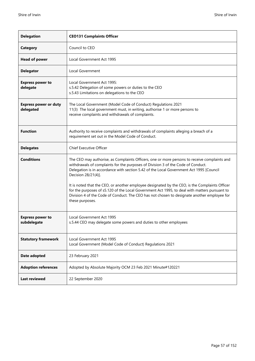| <b>Delegation</b>                         | <b>CEO131 Complaints Officer</b>                                                                                                                                                                                                                                                                                                                                                                                                                                                                                                                                                                                        |  |
|-------------------------------------------|-------------------------------------------------------------------------------------------------------------------------------------------------------------------------------------------------------------------------------------------------------------------------------------------------------------------------------------------------------------------------------------------------------------------------------------------------------------------------------------------------------------------------------------------------------------------------------------------------------------------------|--|
| <b>Category</b>                           | Council to CEO                                                                                                                                                                                                                                                                                                                                                                                                                                                                                                                                                                                                          |  |
| <b>Head of power</b>                      | Local Government Act 1995                                                                                                                                                                                                                                                                                                                                                                                                                                                                                                                                                                                               |  |
| <b>Delegator</b>                          | Local Government                                                                                                                                                                                                                                                                                                                                                                                                                                                                                                                                                                                                        |  |
| <b>Express power to</b><br>delegate       | Local Government Act 1995:<br>s.5.42 Delegation of some powers or duties to the CEO<br>s.5.43 Limitations on delegations to the CEO                                                                                                                                                                                                                                                                                                                                                                                                                                                                                     |  |
| <b>Express power or duty</b><br>delegated | The Local Government (Model Code of Conduct) Regulations 2021<br>11(3) The local government must, in writing, authorise 1 or more persons to<br>receive complaints and withdrawals of complaints.                                                                                                                                                                                                                                                                                                                                                                                                                       |  |
| <b>Function</b>                           | Authority to receive complaints and withdrawals of complaints alleging a breach of a<br>requirement set out in the Model Code of Conduct.                                                                                                                                                                                                                                                                                                                                                                                                                                                                               |  |
| <b>Delegates</b>                          | <b>Chief Executive Officer</b>                                                                                                                                                                                                                                                                                                                                                                                                                                                                                                                                                                                          |  |
| <b>Conditions</b>                         | The CEO may authorise, as Complaints Officers, one or more persons to receive complaints and<br>withdrawals of complaints for the purposes of Division 3 of the Code of Conduct.<br>Delegation is in accordance with section 5.42 of the Local Government Act 1995 [Council<br>Decision 28/21(4)].<br>It is noted that the CEO, or another employee designated by the CEO, is the Complaints Officer<br>for the purposes of s5.120 of the Local Government Act 1995, to deal with matters pursuant to<br>Division 4 of the Code of Conduct. The CEO has not chosen to designate another employee for<br>these purposes. |  |
| <b>Express power to</b><br>subdelegate    | Local Government Act 1995<br>s.5.44 CEO may delegate some powers and duties to other employees                                                                                                                                                                                                                                                                                                                                                                                                                                                                                                                          |  |
| <b>Statutory framework</b>                | Local Government Act 1995<br>Local Government (Model Code of Conduct) Regulations 2021                                                                                                                                                                                                                                                                                                                                                                                                                                                                                                                                  |  |
| Date adopted                              | 23 February 2021                                                                                                                                                                                                                                                                                                                                                                                                                                                                                                                                                                                                        |  |
| <b>Adoption references</b>                | Adopted by Absolute Majority OCM 23 Feb 2021 Minute#120221                                                                                                                                                                                                                                                                                                                                                                                                                                                                                                                                                              |  |
| <b>Last reviewed</b>                      | 22 September 2020                                                                                                                                                                                                                                                                                                                                                                                                                                                                                                                                                                                                       |  |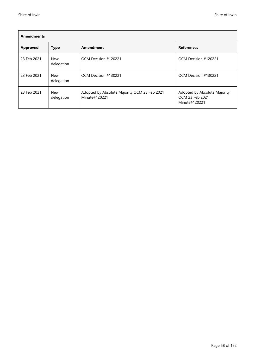| <b>Amendments</b> |                          |                                                               |                                                                  |
|-------------------|--------------------------|---------------------------------------------------------------|------------------------------------------------------------------|
| <b>Approved</b>   | <b>Type</b>              | Amendment                                                     | <b>References</b>                                                |
| 23 Feb 2021       | <b>New</b><br>delegation | OCM Decision #120221                                          | OCM Decision #120221                                             |
| 23 Feb 2021       | <b>New</b><br>delegation | OCM Decision #130221                                          | OCM Decision #130221                                             |
| 23 Feb 2021       | <b>New</b><br>delegation | Adopted by Absolute Majority OCM 23 Feb 2021<br>Minute#120221 | Adopted by Absolute Majority<br>OCM 23 Feb 2021<br>Minute#120221 |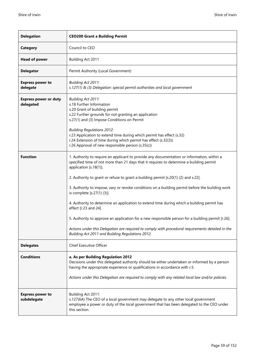| <b>Delegation</b>                         | <b>CEO200 Grant a Building Permit</b>                                                                                                                                                                                                                                                                                                                                                                                                                                                                                                                                                                                                                                                                                                                                                                                       |  |
|-------------------------------------------|-----------------------------------------------------------------------------------------------------------------------------------------------------------------------------------------------------------------------------------------------------------------------------------------------------------------------------------------------------------------------------------------------------------------------------------------------------------------------------------------------------------------------------------------------------------------------------------------------------------------------------------------------------------------------------------------------------------------------------------------------------------------------------------------------------------------------------|--|
| <b>Category</b>                           | Council to CEO                                                                                                                                                                                                                                                                                                                                                                                                                                                                                                                                                                                                                                                                                                                                                                                                              |  |
| <b>Head of power</b>                      | <b>Building Act 2011</b>                                                                                                                                                                                                                                                                                                                                                                                                                                                                                                                                                                                                                                                                                                                                                                                                    |  |
| <b>Delegator</b>                          | Permit Authority (Local Government)                                                                                                                                                                                                                                                                                                                                                                                                                                                                                                                                                                                                                                                                                                                                                                                         |  |
| <b>Express power to</b><br>delegate       | <b>Building Act 2011:</b><br>s. 127(1) & (3) Delegation: special permit authorities and local government                                                                                                                                                                                                                                                                                                                                                                                                                                                                                                                                                                                                                                                                                                                    |  |
| <b>Express power or duty</b><br>delegated | <b>Building Act 2011:</b><br>s.18 Further Information<br>s.20 Grant of building permit<br>s.22 Further grounds for not granting an application<br>s.27(1) and (3) Impose Conditions on Permit<br><b>Building Regulations 2012:</b><br>r.23 Application to extend time during which permit has effect (s.32)<br>r.24 Extension of time during which permit has effect (s.32(3))<br>r.26 Approval of new responsible person (s.35(c))                                                                                                                                                                                                                                                                                                                                                                                         |  |
| <b>Function</b>                           | 1. Authority to require an applicant to provide any documentation or information, within a<br>specified time of not more than 21 days that it requires to determine a building permit<br>application [s.18(1)].<br>2. Authority to grant or refuse to grant a building permit [s.20(1) (2) and s.22].<br>3. Authority to impose, vary or revoke conditions on a building permit before the building work<br>is complete [s.27(1) (3)].<br>4. Authority to determine an application to extend time during which a building permit has<br>effect [r.23 and 24].<br>5. Authority to approve an application for a new responsible person for a building permit [r.26].<br>Actions under this Delegation are required to comply with procedural requirements detailed in the<br>Building Act 2011 and Building Regulations 2012. |  |
| <b>Delegates</b>                          | Chief Executive Officer                                                                                                                                                                                                                                                                                                                                                                                                                                                                                                                                                                                                                                                                                                                                                                                                     |  |
| <b>Conditions</b>                         | a. As per Building Regulation 2012<br>Decisions under this delegated authority should be either undertaken or informed by a person<br>having the appropriate experience or qualifications in accordance with r.5.<br>Actions under this Delegation are required to comply with any related local law and/or policies.                                                                                                                                                                                                                                                                                                                                                                                                                                                                                                       |  |
| <b>Express power to</b><br>subdelegate    | Building Act 2011:<br>s.127(6A) The CEO of a local government may delegate to any other local government<br>employee a power or duty of the local government that has been delegated to the CEO under<br>this section.                                                                                                                                                                                                                                                                                                                                                                                                                                                                                                                                                                                                      |  |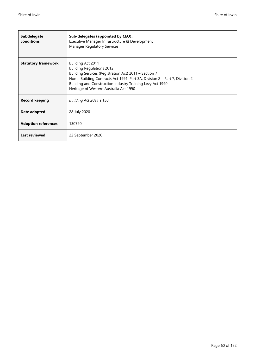| Subdelegate<br>conditions  | Sub-delegates (appointed by CEO):<br>Executive Manager Infrastructure & Development<br><b>Manager Regulatory Services</b>                                                                                                                                                                          |
|----------------------------|----------------------------------------------------------------------------------------------------------------------------------------------------------------------------------------------------------------------------------------------------------------------------------------------------|
| <b>Statutory framework</b> | Building Act 2011<br><b>Building Regulations 2012</b><br>Building Services (Registration Act) 2011 – Section 7<br>Home Building Contracts Act 1991-Part 3A, Division 2 - Part 7, Division 2<br>Building and Construction Industry Training Levy Act 1990<br>Heritage of Western Australia Act 1990 |
| <b>Record keeping</b>      | <b>Building Act 2011 s.130</b>                                                                                                                                                                                                                                                                     |
| Date adopted               | 28 July 2020                                                                                                                                                                                                                                                                                       |
| <b>Adoption references</b> | 130720                                                                                                                                                                                                                                                                                             |
| <b>Last reviewed</b>       | 22 September 2020                                                                                                                                                                                                                                                                                  |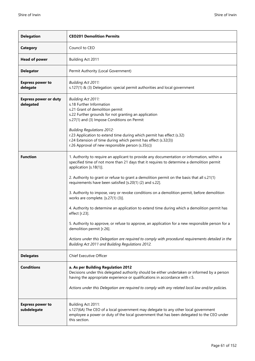| <b>Delegation</b>                         | <b>CEO201 Demolition Permits</b>                                                                                                                                                                                                                                                                                                                                                                                                                                                                                                                                                                                                                                                                                                                                                                                                                                                                                             |  |
|-------------------------------------------|------------------------------------------------------------------------------------------------------------------------------------------------------------------------------------------------------------------------------------------------------------------------------------------------------------------------------------------------------------------------------------------------------------------------------------------------------------------------------------------------------------------------------------------------------------------------------------------------------------------------------------------------------------------------------------------------------------------------------------------------------------------------------------------------------------------------------------------------------------------------------------------------------------------------------|--|
| Category                                  | Council to CEO                                                                                                                                                                                                                                                                                                                                                                                                                                                                                                                                                                                                                                                                                                                                                                                                                                                                                                               |  |
| <b>Head of power</b>                      | Building Act 2011                                                                                                                                                                                                                                                                                                                                                                                                                                                                                                                                                                                                                                                                                                                                                                                                                                                                                                            |  |
| <b>Delegator</b>                          | Permit Authority (Local Government)                                                                                                                                                                                                                                                                                                                                                                                                                                                                                                                                                                                                                                                                                                                                                                                                                                                                                          |  |
| <b>Express power to</b><br>delegate       | Building Act 2011:<br>s.127(1) & (3) Delegation: special permit authorities and local government                                                                                                                                                                                                                                                                                                                                                                                                                                                                                                                                                                                                                                                                                                                                                                                                                             |  |
| <b>Express power or duty</b><br>delegated | <b>Building Act 2011:</b><br>s.18 Further Information<br>s.21 Grant of demolition permit<br>s.22 Further grounds for not granting an application<br>s.27(1) and (3) Impose Conditions on Permit<br><b>Building Regulations 2012:</b><br>r.23 Application to extend time during which permit has effect (s.32)<br>r.24 Extension of time during which permit has effect (s.32(3))<br>r.26 Approval of new responsible person (s.35(c))                                                                                                                                                                                                                                                                                                                                                                                                                                                                                        |  |
| <b>Function</b>                           | 1. Authority to require an applicant to provide any documentation or information, within a<br>specified time of not more than 21 days that it requires to determine a demolition permit<br>application [s.18(1)].<br>2. Authority to grant or refuse to grant a demolition permit on the basis that all s.21(1)<br>requirements have been satisfied [s.20(1) (2) and s.22].<br>3. Authority to impose, vary or revoke conditions on a demolition permit, before demolition<br>works are complete. [s.27(1) (3)].<br>4. Authority to determine an application to extend time during which a demolition permit has<br>effect [r.23].<br>5. Authority to approve, or refuse to approve, an application for a new responsible person for a<br>demolition permit [r.26].<br>Actions under this Delegation are required to comply with procedural requirements detailed in the<br>Building Act 2011 and Building Regulations 2012. |  |
| <b>Delegates</b>                          | <b>Chief Executive Officer</b>                                                                                                                                                                                                                                                                                                                                                                                                                                                                                                                                                                                                                                                                                                                                                                                                                                                                                               |  |
| <b>Conditions</b>                         | a. As per Building Regulation 2012<br>Decisions under this delegated authority should be either undertaken or informed by a person<br>having the appropriate experience or qualifications in accordance with r.5.<br>Actions under this Delegation are required to comply with any related local law and/or policies.                                                                                                                                                                                                                                                                                                                                                                                                                                                                                                                                                                                                        |  |
| <b>Express power to</b><br>subdelegate    | Building Act 2011:<br>s.127(6A) The CEO of a local government may delegate to any other local government<br>employee a power or duty of the local government that has been delegated to the CEO under<br>this section.                                                                                                                                                                                                                                                                                                                                                                                                                                                                                                                                                                                                                                                                                                       |  |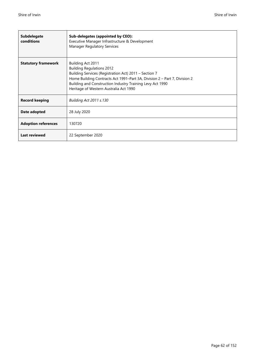| Subdelegate<br>conditions  | Sub-delegates (appointed by CEO):<br>Executive Manager Infrastructure & Development<br><b>Manager Regulatory Services</b>                                                                                                                                                                          |
|----------------------------|----------------------------------------------------------------------------------------------------------------------------------------------------------------------------------------------------------------------------------------------------------------------------------------------------|
| <b>Statutory framework</b> | Building Act 2011<br><b>Building Regulations 2012</b><br>Building Services (Registration Act) 2011 – Section 7<br>Home Building Contracts Act 1991-Part 3A, Division 2 - Part 7, Division 2<br>Building and Construction Industry Training Levy Act 1990<br>Heritage of Western Australia Act 1990 |
| <b>Record keeping</b>      | Building Act 2011 s.130                                                                                                                                                                                                                                                                            |
| Date adopted               | 28 July 2020                                                                                                                                                                                                                                                                                       |
| <b>Adoption references</b> | 130720                                                                                                                                                                                                                                                                                             |
| <b>Last reviewed</b>       | 22 September 2020                                                                                                                                                                                                                                                                                  |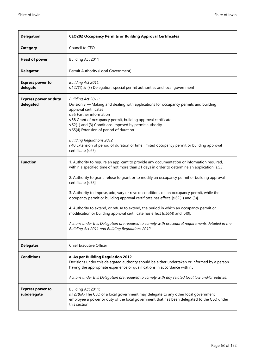| <b>Delegation</b>                         | <b>CEO202 Occupancy Permits or Building Approval Certificates</b>                                                                                                                                                                                                                                                                                                                                                                                                                                                                                                                                                                                                                                                                                                                                                                      |
|-------------------------------------------|----------------------------------------------------------------------------------------------------------------------------------------------------------------------------------------------------------------------------------------------------------------------------------------------------------------------------------------------------------------------------------------------------------------------------------------------------------------------------------------------------------------------------------------------------------------------------------------------------------------------------------------------------------------------------------------------------------------------------------------------------------------------------------------------------------------------------------------|
| Category                                  | Council to CEO                                                                                                                                                                                                                                                                                                                                                                                                                                                                                                                                                                                                                                                                                                                                                                                                                         |
| <b>Head of power</b>                      | <b>Building Act 2011</b>                                                                                                                                                                                                                                                                                                                                                                                                                                                                                                                                                                                                                                                                                                                                                                                                               |
| <b>Delegator</b>                          | Permit Authority (Local Government)                                                                                                                                                                                                                                                                                                                                                                                                                                                                                                                                                                                                                                                                                                                                                                                                    |
| <b>Express power to</b><br>delegate       | Building Act 2011:<br>s.127(1) & (3) Delegation: special permit authorities and local government                                                                                                                                                                                                                                                                                                                                                                                                                                                                                                                                                                                                                                                                                                                                       |
| <b>Express power or duty</b><br>delegated | <b>Building Act 2011:</b><br>Division 3 - Making and dealing with applications for occupancy permits and building<br>approval certificates<br>s.55 Further information<br>s.58 Grant of occupancy permit, building approval certificate<br>s.62(1) and (3) Conditions imposed by permit authority<br>s.65(4) Extension of period of duration                                                                                                                                                                                                                                                                                                                                                                                                                                                                                           |
|                                           | <b>Building Regulations 2012</b><br>r.40 Extension of period of duration of time limited occupancy permit or building approval<br>certificate (s.65)                                                                                                                                                                                                                                                                                                                                                                                                                                                                                                                                                                                                                                                                                   |
| <b>Function</b>                           | 1. Authority to require an applicant to provide any documentation or information required,<br>within a specified time of not more than 21 days in order to determine an application [s.55].<br>2. Authority to grant, refuse to grant or to modify an occupancy permit or building approval<br>certificate [s.58].<br>3. Authority to impose, add, vary or revoke conditions on an occupancy permit, while the<br>occupancy permit or building approval certificate has effect. [s.62(1) and (3)].<br>4. Authority to extend, or refuse to extend, the period in which an occupancy permit or<br>modification or building approval certificate has effect [s.65(4) and r.40].<br>Actions under this Delegation are required to comply with procedural requirements detailed in the<br>Building Act 2011 and Building Regulations 2012. |
| <b>Delegates</b>                          | Chief Executive Officer                                                                                                                                                                                                                                                                                                                                                                                                                                                                                                                                                                                                                                                                                                                                                                                                                |
| <b>Conditions</b>                         | a. As per Building Regulation 2012<br>Decisions under this delegated authority should be either undertaken or informed by a person<br>having the appropriate experience or qualifications in accordance with r.5.<br>Actions under this Delegation are required to comply with any related local law and/or policies.                                                                                                                                                                                                                                                                                                                                                                                                                                                                                                                  |
| <b>Express power to</b><br>subdelegate    | Building Act 2011:<br>s.127(6A) The CEO of a local government may delegate to any other local government<br>employee a power or duty of the local government that has been delegated to the CEO under<br>this section                                                                                                                                                                                                                                                                                                                                                                                                                                                                                                                                                                                                                  |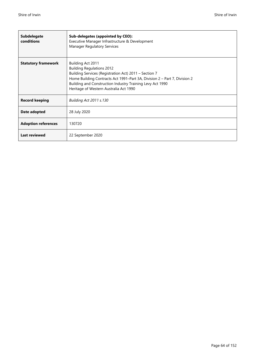| Subdelegate<br>conditions  | Sub-delegates (appointed by CEO):<br>Executive Manager Infrastructure & Development<br><b>Manager Regulatory Services</b>                                                                                                                                                                          |
|----------------------------|----------------------------------------------------------------------------------------------------------------------------------------------------------------------------------------------------------------------------------------------------------------------------------------------------|
| <b>Statutory framework</b> | Building Act 2011<br><b>Building Regulations 2012</b><br>Building Services (Registration Act) 2011 – Section 7<br>Home Building Contracts Act 1991-Part 3A, Division 2 - Part 7, Division 2<br>Building and Construction Industry Training Levy Act 1990<br>Heritage of Western Australia Act 1990 |
| <b>Record keeping</b>      | Building Act 2011 s.130                                                                                                                                                                                                                                                                            |
| Date adopted               | 28 July 2020                                                                                                                                                                                                                                                                                       |
| <b>Adoption references</b> | 130720                                                                                                                                                                                                                                                                                             |
| <b>Last reviewed</b>       | 22 September 2020                                                                                                                                                                                                                                                                                  |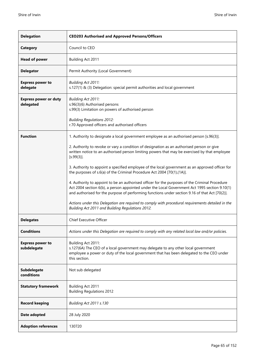| <b>Delegation</b>                         | <b>CEO203 Authorised and Approved Persons/Officers</b>                                                                                                                                                                                                                                            |
|-------------------------------------------|---------------------------------------------------------------------------------------------------------------------------------------------------------------------------------------------------------------------------------------------------------------------------------------------------|
| <b>Category</b>                           | Council to CEO                                                                                                                                                                                                                                                                                    |
| <b>Head of power</b>                      | Building Act 2011                                                                                                                                                                                                                                                                                 |
| <b>Delegator</b>                          | Permit Authority (Local Government)                                                                                                                                                                                                                                                               |
| <b>Express power to</b><br>delegate       | <b>Building Act 2011:</b><br>s.127(1) & (3) Delegation: special permit authorities and local government                                                                                                                                                                                           |
| <b>Express power or duty</b><br>delegated | Building Act 2011:<br>s.96(3)(6) Authorised persons<br>s.99(3) Limitation on powers of authorised person<br><b>Building Regulations 2012:</b><br>r.70 Approved officers and authorised officers                                                                                                   |
| <b>Function</b>                           | 1. Authority to designate a local government employee as an authorised person [s.96(3)].                                                                                                                                                                                                          |
|                                           | 2. Authority to revoke or vary a condition of designation as an authorised person or give<br>written notice to an authorised person limiting powers that may be exercised by that employee<br>[5.99(3)].                                                                                          |
|                                           | 3. Authority to appoint a specified employee of the local government as an approved officer for<br>the purposes of s.6(a) of the Criminal Procedure Act 2004 [70(1),(1A)].                                                                                                                        |
|                                           | 4. Authority to appoint to be an authorised officer for the purposes of the Criminal Procedure<br>Act 2004 section 6(b), a person appointed under the Local Government Act 1995 section 9.10(1)<br>and authorised for the purpose of performing functions under section 9.16 of that Act [70(2)]. |
|                                           | Actions under this Delegation are required to comply with procedural requirements detailed in the<br>Building Act 2011 and Building Regulations 2012.                                                                                                                                             |
| <b>Delegates</b>                          | <b>Chief Executive Officer</b>                                                                                                                                                                                                                                                                    |
| <b>Conditions</b>                         | Actions under this Delegation are required to comply with any related local law and/or policies.                                                                                                                                                                                                  |
| <b>Express power to</b><br>subdelegate    | Building Act 2011:<br>s.127(6A) The CEO of a local government may delegate to any other local government<br>employee a power or duty of the local government that has been delegated to the CEO under<br>this section.                                                                            |
| Subdelegate<br>conditions                 | Not sub delegated                                                                                                                                                                                                                                                                                 |
| <b>Statutory framework</b>                | Building Act 2011<br><b>Building Regulations 2012</b>                                                                                                                                                                                                                                             |
| <b>Record keeping</b>                     | <b>Building Act 2011 s.130</b>                                                                                                                                                                                                                                                                    |
| Date adopted                              | 28 July 2020                                                                                                                                                                                                                                                                                      |
| <b>Adoption references</b>                | 130720                                                                                                                                                                                                                                                                                            |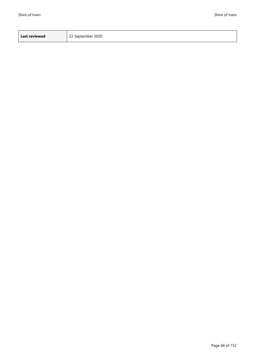**Last reviewed** 22 September 2020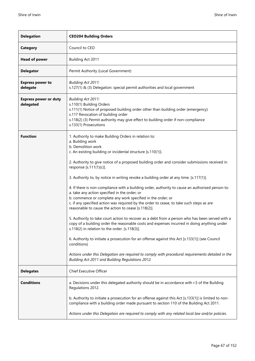| <b>Delegation</b>                         | <b>CEO204 Building Orders</b>                                                                                                                                                                                                                                                                                                                                                                                                                                                                                                                                                                                                                                                                                                                                                                                                                                                                                                                                                                                                                                                                                                                                                                                                                                                            |
|-------------------------------------------|------------------------------------------------------------------------------------------------------------------------------------------------------------------------------------------------------------------------------------------------------------------------------------------------------------------------------------------------------------------------------------------------------------------------------------------------------------------------------------------------------------------------------------------------------------------------------------------------------------------------------------------------------------------------------------------------------------------------------------------------------------------------------------------------------------------------------------------------------------------------------------------------------------------------------------------------------------------------------------------------------------------------------------------------------------------------------------------------------------------------------------------------------------------------------------------------------------------------------------------------------------------------------------------|
| Category                                  | Council to CEO                                                                                                                                                                                                                                                                                                                                                                                                                                                                                                                                                                                                                                                                                                                                                                                                                                                                                                                                                                                                                                                                                                                                                                                                                                                                           |
| <b>Head of power</b>                      | <b>Building Act 2011</b>                                                                                                                                                                                                                                                                                                                                                                                                                                                                                                                                                                                                                                                                                                                                                                                                                                                                                                                                                                                                                                                                                                                                                                                                                                                                 |
| <b>Delegator</b>                          | Permit Authority (Local Government)                                                                                                                                                                                                                                                                                                                                                                                                                                                                                                                                                                                                                                                                                                                                                                                                                                                                                                                                                                                                                                                                                                                                                                                                                                                      |
| <b>Express power to</b><br>delegate       | Building Act 2011:<br>s.127(1) & (3) Delegation: special permit authorities and local government                                                                                                                                                                                                                                                                                                                                                                                                                                                                                                                                                                                                                                                                                                                                                                                                                                                                                                                                                                                                                                                                                                                                                                                         |
| <b>Express power or duty</b><br>delegated | Building Act 2011:<br>s.110(1) Building Orders<br>s.111(1) Notice of proposed building order other than building order (emergency)<br>s.117 Revocation of building order<br>s.118(2) (3) Permit authority may give effect to building order if non-compliance<br>s.133(1) Prosecutions                                                                                                                                                                                                                                                                                                                                                                                                                                                                                                                                                                                                                                                                                                                                                                                                                                                                                                                                                                                                   |
| <b>Function</b>                           | 1. Authority to make Building Orders in relation to:<br>a. Building work<br>b. Demolition work<br>c. An existing building or incidental structure [s.110(1)].<br>2. Authority to give notice of a proposed building order and consider submissions received in<br>response [s.111(1)(c)].<br>3. Authority to, by notice in writing revoke a building order at any time. [s.117(1)].<br>4. If there is non-compliance with a building order, authority to cause an authorised person to:<br>a. take any action specified in the order; or<br>b. commence or complete any work specified in the order; or<br>c. if any specified action was required by the order to cease, to take such steps as are<br>reasonable to cause the action to cease [s.118(2)].<br>5. Authority to take court action to recover as a debt from a person who has been served with a<br>copy of a building order the reasonable costs and expenses incurred in doing anything under<br>s.118(2) in relation to the order. [s.118(3)].<br>6. Authority to initiate a prosecution for an offense against this Act [s.133(1)] (see Council<br>conditions)<br>Actions under this Delegation are required to comply with procedural requirements detailed in the<br>Building Act 2011 and Building Regulations 2012. |
| <b>Delegates</b>                          | Chief Executive Officer                                                                                                                                                                                                                                                                                                                                                                                                                                                                                                                                                                                                                                                                                                                                                                                                                                                                                                                                                                                                                                                                                                                                                                                                                                                                  |
| <b>Conditions</b>                         | a. Decisions under this delegated authority should be in accordance with r.5 of the Building<br>Regulations 2012.<br>b. Authority to initiate a prosecution for an offense against this Act [s.133(1)] is limited to non-<br>compliance with a building order made pursuant to section 110 of the Building Act 2011.<br>Actions under this Delegation are required to comply with any related local law and/or policies.                                                                                                                                                                                                                                                                                                                                                                                                                                                                                                                                                                                                                                                                                                                                                                                                                                                                 |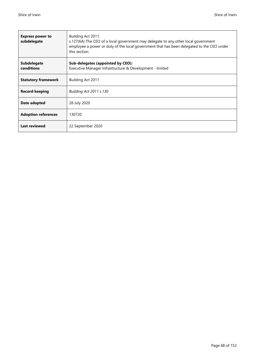| <b>Express power to</b><br>subdelegate | Building Act 2011:<br>s.127(6A) The CEO of a local government may delegate to any other local government<br>employee a power or duty of the local government that has been delegated to the CEO under<br>this section. |
|----------------------------------------|------------------------------------------------------------------------------------------------------------------------------------------------------------------------------------------------------------------------|
| <b>Subdelegate</b><br>conditions       | Sub-delegates (appointed by CEO):<br>Executive Manager Infrastructure & Development - limited                                                                                                                          |
| <b>Statutory framework</b>             | Building Act 2011                                                                                                                                                                                                      |
| <b>Record keeping</b>                  | Building Act 2011 s.130                                                                                                                                                                                                |
| Date adopted                           | 28 July 2020                                                                                                                                                                                                           |
| <b>Adoption references</b>             | 130720                                                                                                                                                                                                                 |
| Last reviewed                          | 22 September 2020                                                                                                                                                                                                      |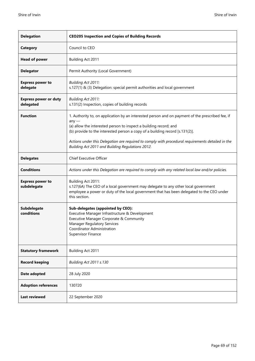| <b>Delegation</b>                         | <b>CEO205 Inspection and Copies of Building Records</b>                                                                                                                                                                                                                                                                                                                                                                   |
|-------------------------------------------|---------------------------------------------------------------------------------------------------------------------------------------------------------------------------------------------------------------------------------------------------------------------------------------------------------------------------------------------------------------------------------------------------------------------------|
| <b>Category</b>                           | Council to CEO                                                                                                                                                                                                                                                                                                                                                                                                            |
| <b>Head of power</b>                      | Building Act 2011                                                                                                                                                                                                                                                                                                                                                                                                         |
| <b>Delegator</b>                          | Permit Authority (Local Government)                                                                                                                                                                                                                                                                                                                                                                                       |
| <b>Express power to</b><br>delegate       | <b>Building Act 2011:</b><br>s.127(1) & (3) Delegation: special permit authorities and local government                                                                                                                                                                                                                                                                                                                   |
| <b>Express power or duty</b><br>delegated | <b>Building Act 2011:</b><br>s.131(2) Inspection, copies of building records                                                                                                                                                                                                                                                                                                                                              |
| <b>Function</b>                           | 1. Authority to, on application by an interested person and on payment of the prescribed fee, if<br>$any -$<br>(a) allow the interested person to inspect a building record; and<br>(b) provide to the interested person a copy of a building record [s.131(2)].<br>Actions under this Delegation are required to comply with procedural requirements detailed in the<br>Building Act 2011 and Building Regulations 2012. |
| <b>Delegates</b>                          | Chief Executive Officer                                                                                                                                                                                                                                                                                                                                                                                                   |
| <b>Conditions</b>                         | Actions under this Delegation are required to comply with any related local law and/or policies.                                                                                                                                                                                                                                                                                                                          |
| <b>Express power to</b><br>subdelegate    | Building Act 2011:<br>s.127(6A) The CEO of a local government may delegate to any other local government<br>employee a power or duty of the local government that has been delegated to the CEO under<br>this section.                                                                                                                                                                                                    |
| Subdelegate<br>conditions                 | Sub-delegates (appointed by CEO):<br>Executive Manager Infrastructure & Development<br>Executive Manager Corporate & Community<br><b>Manager Regulatory Services</b><br><b>Coordinator Administration</b><br><b>Supervisor Finance</b>                                                                                                                                                                                    |
| <b>Statutory framework</b>                | Building Act 2011                                                                                                                                                                                                                                                                                                                                                                                                         |
| <b>Record keeping</b>                     | Building Act 2011 s.130                                                                                                                                                                                                                                                                                                                                                                                                   |
| Date adopted                              | 28 July 2020                                                                                                                                                                                                                                                                                                                                                                                                              |
| <b>Adoption references</b>                | 130720                                                                                                                                                                                                                                                                                                                                                                                                                    |
| <b>Last reviewed</b>                      | 22 September 2020                                                                                                                                                                                                                                                                                                                                                                                                         |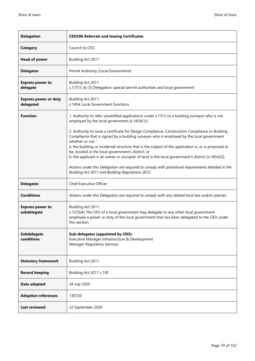| <b>Delegation</b>                         | <b>CEO206 Referrals and Issuing Certificates</b>                                                                                                                                                                                                                                                                                                                                                                                                                                                                                                                                      |
|-------------------------------------------|---------------------------------------------------------------------------------------------------------------------------------------------------------------------------------------------------------------------------------------------------------------------------------------------------------------------------------------------------------------------------------------------------------------------------------------------------------------------------------------------------------------------------------------------------------------------------------------|
| <b>Category</b>                           | Council to CEO                                                                                                                                                                                                                                                                                                                                                                                                                                                                                                                                                                        |
| <b>Head of power</b>                      | Building Act 2011                                                                                                                                                                                                                                                                                                                                                                                                                                                                                                                                                                     |
| <b>Delegator</b>                          | Permit Authority (Local Government)                                                                                                                                                                                                                                                                                                                                                                                                                                                                                                                                                   |
| <b>Express power to</b><br>delegate       | Building Act 2011:<br>s.127(1) & (3) Delegation: special permit authorities and local government                                                                                                                                                                                                                                                                                                                                                                                                                                                                                      |
| <b>Express power or duty</b><br>delegated | <b>Building Act 2011:</b><br>s.145A Local Government functions                                                                                                                                                                                                                                                                                                                                                                                                                                                                                                                        |
| <b>Function</b>                           | 1. Authority to refer uncertified applications under s.17(1) to a building surveyor who is not<br>employed by the local government [s.145A(1)].                                                                                                                                                                                                                                                                                                                                                                                                                                       |
|                                           | 2. Authority to issue a certificate for Design Compliance, Construction Compliance or Building<br>Compliance that is signed by a building surveyor who is employed by the local government<br>whether or not -<br>a. the building or incidental structure that is the subject of the application is, or is proposed to<br>be, located in the local government's district; or<br>b. the applicant is an owner or occupier of land in the local government's district [s.145A(2)].<br>Actions under this Delegation are required to comply with procedural requirements detailed in the |
|                                           | Building Act 2011 and Building Regulations 2012.                                                                                                                                                                                                                                                                                                                                                                                                                                                                                                                                      |
| <b>Delegates</b>                          | Chief Executive Officer                                                                                                                                                                                                                                                                                                                                                                                                                                                                                                                                                               |
| <b>Conditions</b>                         | Actions under this Delegation are required to comply with any related local law and/or policies.                                                                                                                                                                                                                                                                                                                                                                                                                                                                                      |
| <b>Express power to</b><br>subdelegate    | Building Act 2011:<br>s.127(6A) The CEO of a local government may delegate to any other local government<br>employee a power or duty of the local government that has been delegated to the CEO under<br>this section.                                                                                                                                                                                                                                                                                                                                                                |
| Subdelegate<br>conditions                 | Sub-delegates (appointed by CEO):<br>Executive Manager Infrastructure & Development<br><b>Manager Regulatory Services</b>                                                                                                                                                                                                                                                                                                                                                                                                                                                             |
| <b>Statutory framework</b>                | Building Act 2011                                                                                                                                                                                                                                                                                                                                                                                                                                                                                                                                                                     |
| <b>Record keeping</b>                     | <b>Building Act 2011 s.130</b>                                                                                                                                                                                                                                                                                                                                                                                                                                                                                                                                                        |
| Date adopted                              | 28 July 2020                                                                                                                                                                                                                                                                                                                                                                                                                                                                                                                                                                          |
| <b>Adoption references</b>                | 130720                                                                                                                                                                                                                                                                                                                                                                                                                                                                                                                                                                                |
| <b>Last reviewed</b>                      | 22 September 2020                                                                                                                                                                                                                                                                                                                                                                                                                                                                                                                                                                     |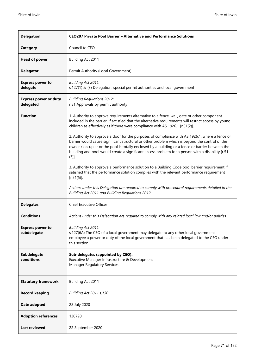| <b>Delegation</b>                         | <b>CEO207 Private Pool Barrier - Alternative and Performance Solutions</b>                                                                                                                                                                                                                                                                                                                                           |
|-------------------------------------------|----------------------------------------------------------------------------------------------------------------------------------------------------------------------------------------------------------------------------------------------------------------------------------------------------------------------------------------------------------------------------------------------------------------------|
| <b>Category</b>                           | Council to CEO                                                                                                                                                                                                                                                                                                                                                                                                       |
| <b>Head of power</b>                      | Building Act 2011                                                                                                                                                                                                                                                                                                                                                                                                    |
| <b>Delegator</b>                          | Permit Authority (Local Government)                                                                                                                                                                                                                                                                                                                                                                                  |
| <b>Express power to</b><br>delegate       | Building Act 2011:<br>s.127(1) & (3) Delegation: special permit authorities and local government                                                                                                                                                                                                                                                                                                                     |
| <b>Express power or duty</b><br>delegated | <b>Building Regulations 2012:</b><br>r.51 Approvals by permit authority                                                                                                                                                                                                                                                                                                                                              |
| <b>Function</b>                           | 1. Authority to approve requirements alternative to a fence, wall, gate or other component<br>included in the barrier, if satisfied that the alternative requirements will restrict access by young<br>children as effectively as if there were compliance with AS 1926.1 [r.51(2)].                                                                                                                                 |
|                                           | 2. Authority to approve a door for the purposes of compliance with AS 1926.1, where a fence or<br>barrier would cause significant structural or other problem which is beyond the control of the<br>owner / occupier or the pool is totally enclosed by a building or a fence or barrier between the<br>building and pool would create a significant access problem for a person with a disability [r.51<br>$(3)$ ]. |
|                                           | 3. Authority to approve a performance solution to a Building Code pool barrier requirement if<br>satisfied that the performance solution complies with the relevant performance requirement<br>[r.51(5)].                                                                                                                                                                                                            |
|                                           | Actions under this Delegation are required to comply with procedural requirements detailed in the<br>Building Act 2011 and Building Regulations 2012.                                                                                                                                                                                                                                                                |
| <b>Delegates</b>                          | Chief Executive Officer                                                                                                                                                                                                                                                                                                                                                                                              |
| <b>Conditions</b>                         | Actions under this Delegation are required to comply with any related local law and/or policies.                                                                                                                                                                                                                                                                                                                     |
| <b>Express power to</b><br>subdelegate    | Building Act 2011:<br>s.127(6A) The CEO of a local government may delegate to any other local government<br>employee a power or duty of the local government that has been delegated to the CEO under<br>this section.                                                                                                                                                                                               |
| Subdelegate<br>conditions                 | Sub-delegates (appointed by CEO):<br>Executive Manager Infrastructure & Development<br><b>Manager Regulatory Services</b>                                                                                                                                                                                                                                                                                            |
| <b>Statutory framework</b>                | <b>Building Act 2011</b>                                                                                                                                                                                                                                                                                                                                                                                             |
| <b>Record keeping</b>                     | <b>Building Act 2011 s.130</b>                                                                                                                                                                                                                                                                                                                                                                                       |
| Date adopted                              | 28 July 2020                                                                                                                                                                                                                                                                                                                                                                                                         |
| <b>Adoption references</b>                | 130720                                                                                                                                                                                                                                                                                                                                                                                                               |
| <b>Last reviewed</b>                      | 22 September 2020                                                                                                                                                                                                                                                                                                                                                                                                    |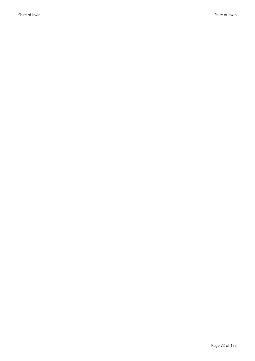Shire of Irwin Shire of Irwin Shire of Irwin Shire of Irwin Shire of Irwin Shire of Irwin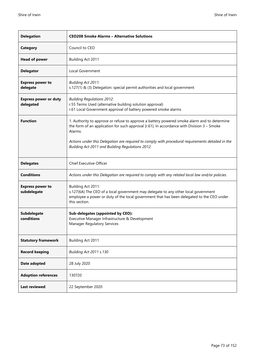| <b>Delegation</b>                         | <b>CEO208 Smoke Alarms - Alternative Solutions</b>                                                                                                                                                                     |
|-------------------------------------------|------------------------------------------------------------------------------------------------------------------------------------------------------------------------------------------------------------------------|
| <b>Category</b>                           | Council to CEO                                                                                                                                                                                                         |
| <b>Head of power</b>                      | Building Act 2011                                                                                                                                                                                                      |
|                                           |                                                                                                                                                                                                                        |
| <b>Delegator</b>                          | Local Government                                                                                                                                                                                                       |
| <b>Express power to</b><br>delegate       | <b>Building Act 2011:</b><br>s.127(1) & (3) Delegation: special permit authorities and local government                                                                                                                |
| <b>Express power or duty</b><br>delegated | <b>Building Regulations 2012:</b><br>r.55 Terms Used (alternative building solution approval)<br>r.61 Local Government approval of battery powered smoke alarms                                                        |
| <b>Function</b>                           | 1. Authority to approve or refuse to approve a battery powered smoke alarm and to determine<br>the form of an application for such approval [ $r.61$ ]. In accordance with Division $3 -$ Smoke<br>Alarms.             |
|                                           | Actions under this Delegation are required to comply with procedural requirements detailed in the<br>Building Act 2011 and Building Regulations 2012.                                                                  |
| <b>Delegates</b>                          | Chief Executive Officer                                                                                                                                                                                                |
| <b>Conditions</b>                         | Actions under this Delegation are required to comply with any related local law and/or policies.                                                                                                                       |
| <b>Express power to</b><br>subdelegate    | Building Act 2011:<br>s.127(6A) The CEO of a local government may delegate to any other local government<br>employee a power or duty of the local government that has been delegated to the CEO under<br>this section. |
| Subdelegate<br>conditions                 | Sub-delegates (appointed by CEO):<br>Executive Manager Infrastructure & Development<br><b>Manager Regulatory Services</b>                                                                                              |
| <b>Statutory framework</b>                | Building Act 2011                                                                                                                                                                                                      |
| <b>Record keeping</b>                     | Building Act 2011 s.130                                                                                                                                                                                                |
| Date adopted                              | 28 July 2020                                                                                                                                                                                                           |
| <b>Adoption references</b>                | 130720                                                                                                                                                                                                                 |
| Last reviewed                             | 22 September 2020                                                                                                                                                                                                      |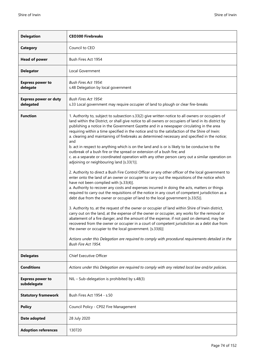| <b>Delegation</b>                         | <b>CEO300 Firebreaks</b>                                                                                                                                                                                                                                                                                                                                                                                                                                                                                                                                                                                                                                                                                                                                                                                                                                                                                                                                                                                                                                                                                                                                                                                                                                                                                                                                                                                                                                                                                                                                                                                                                                                                                                                                                                                                                                                                                                                                                   |
|-------------------------------------------|----------------------------------------------------------------------------------------------------------------------------------------------------------------------------------------------------------------------------------------------------------------------------------------------------------------------------------------------------------------------------------------------------------------------------------------------------------------------------------------------------------------------------------------------------------------------------------------------------------------------------------------------------------------------------------------------------------------------------------------------------------------------------------------------------------------------------------------------------------------------------------------------------------------------------------------------------------------------------------------------------------------------------------------------------------------------------------------------------------------------------------------------------------------------------------------------------------------------------------------------------------------------------------------------------------------------------------------------------------------------------------------------------------------------------------------------------------------------------------------------------------------------------------------------------------------------------------------------------------------------------------------------------------------------------------------------------------------------------------------------------------------------------------------------------------------------------------------------------------------------------------------------------------------------------------------------------------------------------|
| <b>Category</b>                           | Council to CEO                                                                                                                                                                                                                                                                                                                                                                                                                                                                                                                                                                                                                                                                                                                                                                                                                                                                                                                                                                                                                                                                                                                                                                                                                                                                                                                                                                                                                                                                                                                                                                                                                                                                                                                                                                                                                                                                                                                                                             |
| <b>Head of power</b>                      | Bush Fires Act 1954                                                                                                                                                                                                                                                                                                                                                                                                                                                                                                                                                                                                                                                                                                                                                                                                                                                                                                                                                                                                                                                                                                                                                                                                                                                                                                                                                                                                                                                                                                                                                                                                                                                                                                                                                                                                                                                                                                                                                        |
| <b>Delegator</b>                          | Local Government                                                                                                                                                                                                                                                                                                                                                                                                                                                                                                                                                                                                                                                                                                                                                                                                                                                                                                                                                                                                                                                                                                                                                                                                                                                                                                                                                                                                                                                                                                                                                                                                                                                                                                                                                                                                                                                                                                                                                           |
| <b>Express power to</b><br>delegate       | Bush Fires Act 1954:<br>s.48 Delegation by local government                                                                                                                                                                                                                                                                                                                                                                                                                                                                                                                                                                                                                                                                                                                                                                                                                                                                                                                                                                                                                                                                                                                                                                                                                                                                                                                                                                                                                                                                                                                                                                                                                                                                                                                                                                                                                                                                                                                |
| <b>Express power or duty</b><br>delegated | Bush Fires Act 1954:<br>s.33 Local government may require occupier of land to plough or clear fire-breaks                                                                                                                                                                                                                                                                                                                                                                                                                                                                                                                                                                                                                                                                                                                                                                                                                                                                                                                                                                                                                                                                                                                                                                                                                                                                                                                                                                                                                                                                                                                                                                                                                                                                                                                                                                                                                                                                  |
| <b>Function</b>                           | 1. Authority to, subject to subsection s.33(2) give written notice to all owners or occupiers of<br>land within the District, or shall give notice to all owners or occupiers of land in its district by<br>publishing a notice in the Government Gazette and in a newspaper circulating in the area<br>requiring within a time specified in the notice and to the satisfaction of the Shire of Irwin:<br>a. clearing and maintaining of firebreaks as determined necessary and specified in the notice;<br>and<br>b. act in respect to anything which is on the land and is or is likely to be conducive to the<br>outbreak of a bush fire or the spread or extension of a bush fire; and<br>c. as a separate or coordinated operation with any other person carry out a similar operation on<br>adjoining or neighbouring land [s.33(1)].<br>2. Authority to direct a Bush Fire Control Officer or any other officer of the local government to<br>enter onto the land of an owner or occupier to carry out the requisitions of the notice which<br>have not been complied with [s.33(4)].<br>a. Authority to recover any costs and expenses incurred in doing the acts, matters or things<br>required to carry out the requisitions of the notice in any court of competent jurisdiction as a<br>debt due from the owner or occupier of land to the local government [s.33(5)].<br>3. Authority to, at the request of the owner or occupier of land within Shire of Irwin district,<br>carry out on the land, at the expense of the owner or occupier, any works for the removal or<br>abatement of a fire danger, and the amount of the expense, if not paid on demand, may be<br>recovered from the owner or occupier in a court of competent jurisdiction as a debt due from<br>the owner or occupier to the local government. [s.33(6)]<br>Actions under this Delegation are required to comply with procedural requirements detailed in the<br>Bush Fire Act 1954. |
| <b>Delegates</b>                          | <b>Chief Executive Officer</b>                                                                                                                                                                                                                                                                                                                                                                                                                                                                                                                                                                                                                                                                                                                                                                                                                                                                                                                                                                                                                                                                                                                                                                                                                                                                                                                                                                                                                                                                                                                                                                                                                                                                                                                                                                                                                                                                                                                                             |
| <b>Conditions</b>                         | Actions under this Delegation are required to comply with any related local law and/or policies.                                                                                                                                                                                                                                                                                                                                                                                                                                                                                                                                                                                                                                                                                                                                                                                                                                                                                                                                                                                                                                                                                                                                                                                                                                                                                                                                                                                                                                                                                                                                                                                                                                                                                                                                                                                                                                                                           |
| <b>Express power to</b><br>subdelegate    | NIL - Sub-delegation is prohibited by s.48(3)                                                                                                                                                                                                                                                                                                                                                                                                                                                                                                                                                                                                                                                                                                                                                                                                                                                                                                                                                                                                                                                                                                                                                                                                                                                                                                                                                                                                                                                                                                                                                                                                                                                                                                                                                                                                                                                                                                                              |
| <b>Statutory framework</b>                | Bush Fires Act 1954 - s.50                                                                                                                                                                                                                                                                                                                                                                                                                                                                                                                                                                                                                                                                                                                                                                                                                                                                                                                                                                                                                                                                                                                                                                                                                                                                                                                                                                                                                                                                                                                                                                                                                                                                                                                                                                                                                                                                                                                                                 |
| <b>Policy</b>                             | Council Policy - CP02 Fire Management                                                                                                                                                                                                                                                                                                                                                                                                                                                                                                                                                                                                                                                                                                                                                                                                                                                                                                                                                                                                                                                                                                                                                                                                                                                                                                                                                                                                                                                                                                                                                                                                                                                                                                                                                                                                                                                                                                                                      |
| Date adopted                              | 28 July 2020                                                                                                                                                                                                                                                                                                                                                                                                                                                                                                                                                                                                                                                                                                                                                                                                                                                                                                                                                                                                                                                                                                                                                                                                                                                                                                                                                                                                                                                                                                                                                                                                                                                                                                                                                                                                                                                                                                                                                               |
| <b>Adoption references</b>                | 130720                                                                                                                                                                                                                                                                                                                                                                                                                                                                                                                                                                                                                                                                                                                                                                                                                                                                                                                                                                                                                                                                                                                                                                                                                                                                                                                                                                                                                                                                                                                                                                                                                                                                                                                                                                                                                                                                                                                                                                     |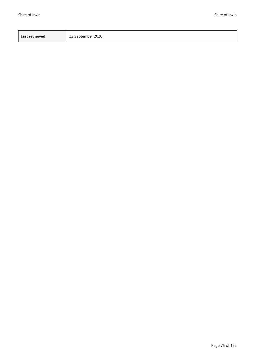**Last reviewed** 22 September 2020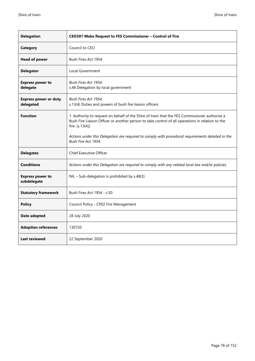| <b>Delegation</b>                         | CEO301 Make Request to FES Commissioner - Control of Fire                                                                                                                                                                                                                                                                                         |
|-------------------------------------------|---------------------------------------------------------------------------------------------------------------------------------------------------------------------------------------------------------------------------------------------------------------------------------------------------------------------------------------------------|
| Category                                  | Council to CEO                                                                                                                                                                                                                                                                                                                                    |
| <b>Head of power</b>                      | Bush Fires Act 1954                                                                                                                                                                                                                                                                                                                               |
| <b>Delegator</b>                          | Local Government                                                                                                                                                                                                                                                                                                                                  |
| <b>Express power to</b><br>delegate       | Bush Fires Act 1954:<br>s.48 Delegation by local government                                                                                                                                                                                                                                                                                       |
| <b>Express power or duty</b><br>delegated | Bush Fires Act 1954:<br>s.13(4) Duties and powers of bush fire liaison officers                                                                                                                                                                                                                                                                   |
| <b>Function</b>                           | 1. Authority to request on behalf of the Shire of Irwin that the FES Commissioner authorise a<br>Bush Fire Liaison Officer or another person to take control of all operations in relation to the<br>fire. [s.13(4)].<br>Actions under this Delegation are required to comply with procedural requirements detailed in the<br>Bush Fire Act 1954. |
| <b>Delegates</b>                          | <b>Chief Executive Officer</b>                                                                                                                                                                                                                                                                                                                    |
| <b>Conditions</b>                         | Actions under this Delegation are required to comply with any related local law and/or policies.                                                                                                                                                                                                                                                  |
| <b>Express power to</b><br>subdelegate    | NIL - Sub-delegation is prohibited by s.48(3)                                                                                                                                                                                                                                                                                                     |
| <b>Statutory framework</b>                | Bush Fires Act 1954 - s.50                                                                                                                                                                                                                                                                                                                        |
| <b>Policy</b>                             | Council Policy - CP02 Fire Management                                                                                                                                                                                                                                                                                                             |
| Date adopted                              | 28 July 2020                                                                                                                                                                                                                                                                                                                                      |
| <b>Adoption references</b>                | 130720                                                                                                                                                                                                                                                                                                                                            |
| <b>Last reviewed</b>                      | 22 September 2020                                                                                                                                                                                                                                                                                                                                 |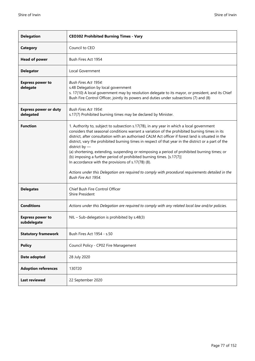| <b>Delegation</b>                         | <b>CEO302 Prohibited Burning Times - Vary</b>                                                                                                                                                                                                                                                                                                                                                                                                                                                                                                                                                                                                                                                                                                                                        |
|-------------------------------------------|--------------------------------------------------------------------------------------------------------------------------------------------------------------------------------------------------------------------------------------------------------------------------------------------------------------------------------------------------------------------------------------------------------------------------------------------------------------------------------------------------------------------------------------------------------------------------------------------------------------------------------------------------------------------------------------------------------------------------------------------------------------------------------------|
| Category                                  | Council to CEO                                                                                                                                                                                                                                                                                                                                                                                                                                                                                                                                                                                                                                                                                                                                                                       |
| <b>Head of power</b>                      | Bush Fires Act 1954                                                                                                                                                                                                                                                                                                                                                                                                                                                                                                                                                                                                                                                                                                                                                                  |
| <b>Delegator</b>                          | Local Government                                                                                                                                                                                                                                                                                                                                                                                                                                                                                                                                                                                                                                                                                                                                                                     |
| <b>Express power to</b><br>delegate       | Bush Fires Act 1954:<br>s.48 Delegation by local government<br>s. 17(10) A local government may by resolution delegate to its mayor, or president, and its Chief<br>Bush Fire Control Officer, jointly its powers and duties under subsections (7) and (8)                                                                                                                                                                                                                                                                                                                                                                                                                                                                                                                           |
| <b>Express power or duty</b><br>delegated | Bush Fires Act 1954:<br>s.17(7) Prohibited burning times may be declared by Minister.                                                                                                                                                                                                                                                                                                                                                                                                                                                                                                                                                                                                                                                                                                |
| <b>Function</b>                           | 1. Authority to, subject to subsection s.17(7B), in any year in which a local government<br>considers that seasonal conditions warrant a variation of the prohibited burning times in its<br>district, after consultation with an authorised CALM Act officer if forest land is situated in the<br>district, vary the prohibited burning times in respect of that year in the district or a part of the<br>district by $-$<br>(a) shortening, extending, suspending or reimposing a period of prohibited burning times; or<br>(b) imposing a further period of prohibited burning times. [s.17(7)]<br>In accordance with the provisions of s.17(7B) (8).<br>Actions under this Delegation are required to comply with procedural requirements detailed in the<br>Bush Fire Act 1954. |
| <b>Delegates</b>                          | Chief Bush Fire Control Officer<br><b>Shire President</b>                                                                                                                                                                                                                                                                                                                                                                                                                                                                                                                                                                                                                                                                                                                            |
| <b>Conditions</b>                         | Actions under this Delegation are required to comply with any related local law and/or policies.                                                                                                                                                                                                                                                                                                                                                                                                                                                                                                                                                                                                                                                                                     |
| <b>Express power to</b><br>subdelegate    | NIL - Sub-delegation is prohibited by s.48(3)                                                                                                                                                                                                                                                                                                                                                                                                                                                                                                                                                                                                                                                                                                                                        |
| <b>Statutory framework</b>                | Bush Fires Act 1954 - s.50                                                                                                                                                                                                                                                                                                                                                                                                                                                                                                                                                                                                                                                                                                                                                           |
| <b>Policy</b>                             | Council Policy - CP02 Fire Management                                                                                                                                                                                                                                                                                                                                                                                                                                                                                                                                                                                                                                                                                                                                                |
| Date adopted                              | 28 July 2020                                                                                                                                                                                                                                                                                                                                                                                                                                                                                                                                                                                                                                                                                                                                                                         |
| <b>Adoption references</b>                | 130720                                                                                                                                                                                                                                                                                                                                                                                                                                                                                                                                                                                                                                                                                                                                                                               |
| <b>Last reviewed</b>                      | 22 September 2020                                                                                                                                                                                                                                                                                                                                                                                                                                                                                                                                                                                                                                                                                                                                                                    |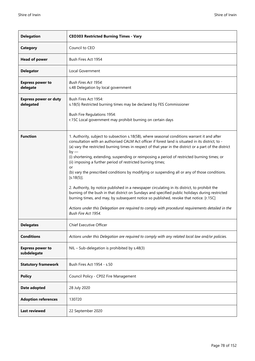| <b>Delegation</b>                         | <b>CEO303 Restricted Burning Times - Vary</b>                                                                                                                                                                                                                                                                                                                                                                                                                                                                                                                                                                                                                                                                                                                                                                                                                                                                                                                                                                                        |
|-------------------------------------------|--------------------------------------------------------------------------------------------------------------------------------------------------------------------------------------------------------------------------------------------------------------------------------------------------------------------------------------------------------------------------------------------------------------------------------------------------------------------------------------------------------------------------------------------------------------------------------------------------------------------------------------------------------------------------------------------------------------------------------------------------------------------------------------------------------------------------------------------------------------------------------------------------------------------------------------------------------------------------------------------------------------------------------------|
| Category                                  | Council to CEO                                                                                                                                                                                                                                                                                                                                                                                                                                                                                                                                                                                                                                                                                                                                                                                                                                                                                                                                                                                                                       |
| <b>Head of power</b>                      | Bush Fires Act 1954                                                                                                                                                                                                                                                                                                                                                                                                                                                                                                                                                                                                                                                                                                                                                                                                                                                                                                                                                                                                                  |
| <b>Delegator</b>                          | Local Government                                                                                                                                                                                                                                                                                                                                                                                                                                                                                                                                                                                                                                                                                                                                                                                                                                                                                                                                                                                                                     |
| <b>Express power to</b><br>delegate       | Bush Fires Act 1954:<br>s.48 Delegation by local government                                                                                                                                                                                                                                                                                                                                                                                                                                                                                                                                                                                                                                                                                                                                                                                                                                                                                                                                                                          |
| <b>Express power or duty</b><br>delegated | Bush Fires Act 1954:<br>s.18(5) Restricted burning times may be declared by FES Commissioner<br>Bush Fire Regulations 1954:<br>r.15C Local government may prohibit burning on certain days                                                                                                                                                                                                                                                                                                                                                                                                                                                                                                                                                                                                                                                                                                                                                                                                                                           |
| <b>Function</b>                           | 1. Authority, subject to subsection s.18(5B), where seasonal conditions warrant it and after<br>consultation with an authorised CALM Act officer if forest land is situated in its district, to -<br>(a) vary the restricted burning times in respect of that year in the district or a part of the district<br>$by -$<br>(i) shortening, extending, suspending or reimposing a period of restricted burning times; or<br>(ii) imposing a further period of restricted burning times;<br>or<br>(b) vary the prescribed conditions by modifying or suspending all or any of those conditions.<br>[s.18(5)].<br>2. Authority, by notice published in a newspaper circulating in its district, to prohibit the<br>burning of the bush in that district on Sundays and specified public holidays during restricted<br>burning times, and may, by subsequent notice so published, revoke that notice. [r.15C]<br>Actions under this Delegation are required to comply with procedural requirements detailed in the<br>Bush Fire Act 1954. |
| <b>Delegates</b>                          | Chief Executive Officer                                                                                                                                                                                                                                                                                                                                                                                                                                                                                                                                                                                                                                                                                                                                                                                                                                                                                                                                                                                                              |
| <b>Conditions</b>                         | Actions under this Delegation are required to comply with any related local law and/or policies.                                                                                                                                                                                                                                                                                                                                                                                                                                                                                                                                                                                                                                                                                                                                                                                                                                                                                                                                     |
| <b>Express power to</b><br>subdelegate    | NIL - Sub-delegation is prohibited by s.48(3)                                                                                                                                                                                                                                                                                                                                                                                                                                                                                                                                                                                                                                                                                                                                                                                                                                                                                                                                                                                        |
| <b>Statutory framework</b>                | Bush Fires Act 1954 - s.50                                                                                                                                                                                                                                                                                                                                                                                                                                                                                                                                                                                                                                                                                                                                                                                                                                                                                                                                                                                                           |
| <b>Policy</b>                             | Council Policy - CP02 Fire Management                                                                                                                                                                                                                                                                                                                                                                                                                                                                                                                                                                                                                                                                                                                                                                                                                                                                                                                                                                                                |
| Date adopted                              | 28 July 2020                                                                                                                                                                                                                                                                                                                                                                                                                                                                                                                                                                                                                                                                                                                                                                                                                                                                                                                                                                                                                         |
| <b>Adoption references</b>                | 130720                                                                                                                                                                                                                                                                                                                                                                                                                                                                                                                                                                                                                                                                                                                                                                                                                                                                                                                                                                                                                               |
| <b>Last reviewed</b>                      | 22 September 2020                                                                                                                                                                                                                                                                                                                                                                                                                                                                                                                                                                                                                                                                                                                                                                                                                                                                                                                                                                                                                    |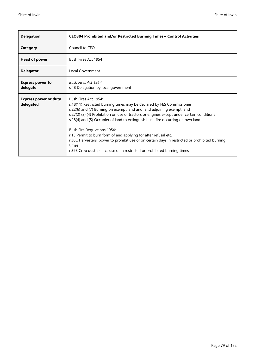| <b>Delegation</b>                         | CEO304 Prohibited and/or Restricted Burning Times - Control Activities                                                                                                                                                                                                                                                                                                                                                                                                                                                                                                                                                                                 |
|-------------------------------------------|--------------------------------------------------------------------------------------------------------------------------------------------------------------------------------------------------------------------------------------------------------------------------------------------------------------------------------------------------------------------------------------------------------------------------------------------------------------------------------------------------------------------------------------------------------------------------------------------------------------------------------------------------------|
| Category                                  | Council to CEO                                                                                                                                                                                                                                                                                                                                                                                                                                                                                                                                                                                                                                         |
| <b>Head of power</b>                      | Bush Fires Act 1954                                                                                                                                                                                                                                                                                                                                                                                                                                                                                                                                                                                                                                    |
| <b>Delegator</b>                          | Local Government                                                                                                                                                                                                                                                                                                                                                                                                                                                                                                                                                                                                                                       |
| <b>Express power to</b><br>delegate       | Bush Fires Act 1954:<br>s.48 Delegation by local government                                                                                                                                                                                                                                                                                                                                                                                                                                                                                                                                                                                            |
| <b>Express power or duty</b><br>delegated | Bush Fires Act 1954:<br>s.18(11) Restricted burning times may be declared by FES Commissioner<br>s.22(6) and (7) Burning on exempt land and land adjoining exempt land<br>s.27(2) (3) (4) Prohibition on use of tractors or engines except under certain conditions<br>s.28(4) and (5) Occupier of land to extinguish bush fire occurring on own land<br><b>Bush Fire Regulations 1954:</b><br>r.15 Permit to burn form of and applying for after refusal etc.<br>r.38C Harvesters, power to prohibit use of on certain days in restricted or prohibited burning<br>times<br>r.39B Crop dusters etc., use of in restricted or prohibited burning times |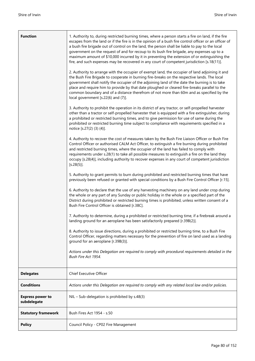| <b>Function</b>                        | 1. Authority to, during restricted burning times, where a person starts a fire on land, if the fire<br>escapes from the land or if the fire is in the opinion of a bush fire control officer or an officer of<br>a bush fire brigade out of control on the land, the person shall be liable to pay to the local<br>government on the request of and for recoup to its bush fire brigade, any expenses up to a<br>maximum amount of \$10,000 incurred by it in preventing the extension of or extinguishing the<br>fire, and such expenses may be recovered in any court of competent jurisdiction [s.18(11)].<br>2. Authority to arrange with the occupier of exempt land, the occupier of land adjoining it and<br>the Bush Fire Brigade to cooperate in burning fire-breaks on the respective lands. The local<br>government shall notify the occupier of the adjoining land of the date the burning is to take<br>place and require him to provide by that date ploughed or cleared fire-breaks parallel to the<br>common boundary and of a distance therefrom of not more than 60m and as specified by the<br>local government [s.22(6) and (7)].<br>3. Authority to prohibit the operation in its district of any tractor, or self-propelled harvester<br>other than a tractor or self-propelled harvester that is equipped with a fire extinguisher, during<br>a prohibited or restricted burning times, and to give permission for use of same during the<br>prohibited or restricted burning time subject to compliance with requirements specified in a<br>notice [s.27(2) (3) (4)].<br>4. Authority to recover the cost of measures taken by the Bush Fire Liaison Officer or Bush Fire<br>Control Officer or authorised CALM Act Officer, to extinguish a fire burning during prohibited<br>and restricted burning times, where the occupier of the land has failed to comply with<br>requirements under s.28(1) to take all possible measures to extinguish a fire on the land they<br>occupy [s.28(4)], including authority to recover expenses in any court of competent jurisdiction<br>[5.28(5)].<br>5. Authority to grant permits to burn during prohibited and restricted burning times that have<br>previously been refused or granted with special conditions by a Bush Fire Control Officer [r.15].<br>6. Authority to declare that the use of any harvesting machinery on any land under crop during<br>the whole or any part of any Sunday or public holiday in the whole or a specified part of the<br>District during prohibited or restricted burning times is prohibited, unless written consent of a<br>Bush Fire Control Officer is obtained [r.38C].<br>7. Authority to determine, during a prohibited or restricted burning time, if a firebreak around a<br>landing ground for an aeroplane has been satisfactorily prepared [r.39B(2)].<br>8. Authority to issue directions, during a prohibited or restricted burning time, to a Bush Fire<br>Control Officer, regarding matters necessary for the prevention of fire on land used as a landing<br>ground for an aeroplane [r.39B(3)].<br>Actions under this Delegation are required to comply with procedural requirements detailed in the<br>Bush Fire Act 1954. |
|----------------------------------------|------------------------------------------------------------------------------------------------------------------------------------------------------------------------------------------------------------------------------------------------------------------------------------------------------------------------------------------------------------------------------------------------------------------------------------------------------------------------------------------------------------------------------------------------------------------------------------------------------------------------------------------------------------------------------------------------------------------------------------------------------------------------------------------------------------------------------------------------------------------------------------------------------------------------------------------------------------------------------------------------------------------------------------------------------------------------------------------------------------------------------------------------------------------------------------------------------------------------------------------------------------------------------------------------------------------------------------------------------------------------------------------------------------------------------------------------------------------------------------------------------------------------------------------------------------------------------------------------------------------------------------------------------------------------------------------------------------------------------------------------------------------------------------------------------------------------------------------------------------------------------------------------------------------------------------------------------------------------------------------------------------------------------------------------------------------------------------------------------------------------------------------------------------------------------------------------------------------------------------------------------------------------------------------------------------------------------------------------------------------------------------------------------------------------------------------------------------------------------------------------------------------------------------------------------------------------------------------------------------------------------------------------------------------------------------------------------------------------------------------------------------------------------------------------------------------------------------------------------------------------------------------------------------------------------------------------------------------------------------------------------------------------------------------------------------------------------------------------------------------------------------------------------------------------------------------------------------------------------------------------------|
|                                        |                                                                                                                                                                                                                                                                                                                                                                                                                                                                                                                                                                                                                                                                                                                                                                                                                                                                                                                                                                                                                                                                                                                                                                                                                                                                                                                                                                                                                                                                                                                                                                                                                                                                                                                                                                                                                                                                                                                                                                                                                                                                                                                                                                                                                                                                                                                                                                                                                                                                                                                                                                                                                                                                                                                                                                                                                                                                                                                                                                                                                                                                                                                                                                                                                                                      |
| <b>Delegates</b>                       | <b>Chief Executive Officer</b>                                                                                                                                                                                                                                                                                                                                                                                                                                                                                                                                                                                                                                                                                                                                                                                                                                                                                                                                                                                                                                                                                                                                                                                                                                                                                                                                                                                                                                                                                                                                                                                                                                                                                                                                                                                                                                                                                                                                                                                                                                                                                                                                                                                                                                                                                                                                                                                                                                                                                                                                                                                                                                                                                                                                                                                                                                                                                                                                                                                                                                                                                                                                                                                                                       |
| <b>Conditions</b>                      | Actions under this Delegation are required to comply with any related local law and/or policies.                                                                                                                                                                                                                                                                                                                                                                                                                                                                                                                                                                                                                                                                                                                                                                                                                                                                                                                                                                                                                                                                                                                                                                                                                                                                                                                                                                                                                                                                                                                                                                                                                                                                                                                                                                                                                                                                                                                                                                                                                                                                                                                                                                                                                                                                                                                                                                                                                                                                                                                                                                                                                                                                                                                                                                                                                                                                                                                                                                                                                                                                                                                                                     |
| <b>Express power to</b><br>subdelegate | NIL - Sub-delegation is prohibited by s.48(3)                                                                                                                                                                                                                                                                                                                                                                                                                                                                                                                                                                                                                                                                                                                                                                                                                                                                                                                                                                                                                                                                                                                                                                                                                                                                                                                                                                                                                                                                                                                                                                                                                                                                                                                                                                                                                                                                                                                                                                                                                                                                                                                                                                                                                                                                                                                                                                                                                                                                                                                                                                                                                                                                                                                                                                                                                                                                                                                                                                                                                                                                                                                                                                                                        |
| <b>Statutory framework</b>             | Bush Fires Act 1954 - s.50                                                                                                                                                                                                                                                                                                                                                                                                                                                                                                                                                                                                                                                                                                                                                                                                                                                                                                                                                                                                                                                                                                                                                                                                                                                                                                                                                                                                                                                                                                                                                                                                                                                                                                                                                                                                                                                                                                                                                                                                                                                                                                                                                                                                                                                                                                                                                                                                                                                                                                                                                                                                                                                                                                                                                                                                                                                                                                                                                                                                                                                                                                                                                                                                                           |
| <b>Policy</b>                          | Council Policy - CP02 Fire Management                                                                                                                                                                                                                                                                                                                                                                                                                                                                                                                                                                                                                                                                                                                                                                                                                                                                                                                                                                                                                                                                                                                                                                                                                                                                                                                                                                                                                                                                                                                                                                                                                                                                                                                                                                                                                                                                                                                                                                                                                                                                                                                                                                                                                                                                                                                                                                                                                                                                                                                                                                                                                                                                                                                                                                                                                                                                                                                                                                                                                                                                                                                                                                                                                |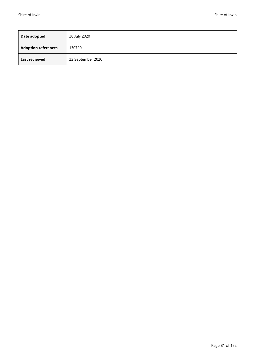| Date adopted               | 28 July 2020      |
|----------------------------|-------------------|
| <b>Adoption references</b> | 130720            |
| Last reviewed              | 22 September 2020 |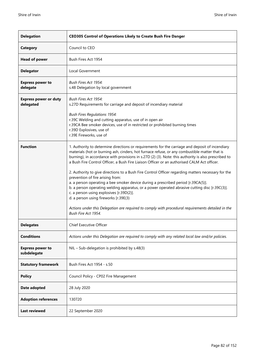| <b>Delegation</b>                         | <b>CEO305 Control of Operations Likely to Create Bush Fire Danger</b>                                                                                                                                                                                                                                                                                                                                                                                                                                                                                                                                                                                                                                                                                                                                                                                                                                                                                     |
|-------------------------------------------|-----------------------------------------------------------------------------------------------------------------------------------------------------------------------------------------------------------------------------------------------------------------------------------------------------------------------------------------------------------------------------------------------------------------------------------------------------------------------------------------------------------------------------------------------------------------------------------------------------------------------------------------------------------------------------------------------------------------------------------------------------------------------------------------------------------------------------------------------------------------------------------------------------------------------------------------------------------|
| Category                                  | Council to CEO                                                                                                                                                                                                                                                                                                                                                                                                                                                                                                                                                                                                                                                                                                                                                                                                                                                                                                                                            |
| <b>Head of power</b>                      | Bush Fires Act 1954                                                                                                                                                                                                                                                                                                                                                                                                                                                                                                                                                                                                                                                                                                                                                                                                                                                                                                                                       |
| <b>Delegator</b>                          | <b>Local Government</b>                                                                                                                                                                                                                                                                                                                                                                                                                                                                                                                                                                                                                                                                                                                                                                                                                                                                                                                                   |
| <b>Express power to</b><br>delegate       | Bush Fires Act 1954:<br>s.48 Delegation by local government                                                                                                                                                                                                                                                                                                                                                                                                                                                                                                                                                                                                                                                                                                                                                                                                                                                                                               |
| <b>Express power or duty</b><br>delegated | Bush Fires Act 1954:<br>s.27D Requirements for carriage and deposit of incendiary material<br><b>Bush Fires Regulations 1954:</b><br>r.39C Welding and cutting apparatus, use of in open air<br>r.39CA Bee smoker devices, use of in restricted or prohibited burning times<br>r.39D Explosives, use of<br>r.39E Fireworks, use of                                                                                                                                                                                                                                                                                                                                                                                                                                                                                                                                                                                                                        |
| <b>Function</b>                           | 1. Authority to determine directions or requirements for the carriage and deposit of incendiary<br>materials (hot or burning ash, cinders, hot furnace refuse, or any combustible matter that is<br>burning), in accordance with provisions in s.27D (2) (3). Note: this authority is also prescribed to<br>a Bush Fire Control Officer, a Bush Fire Liaison Officer or an authorised CALM Act officer.<br>2. Authority to give directions to a Bush Fire Control Officer regarding matters necessary for the<br>prevention of fire arising from:<br>a. a person operating a bee smoker device during a prescribed period [r.39CA(5)].<br>b. a person operating welding apparatus, or a power operated abrasive cutting disc [r.39C(3)].<br>c. a person using explosives [r.39D(2)].<br>d. a person using fireworks [r.39E(3)<br>Actions under this Delegation are required to comply with procedural requirements detailed in the<br>Bush Fire Act 1954. |
| <b>Delegates</b>                          | Chief Executive Officer                                                                                                                                                                                                                                                                                                                                                                                                                                                                                                                                                                                                                                                                                                                                                                                                                                                                                                                                   |
| <b>Conditions</b>                         | Actions under this Delegation are required to comply with any related local law and/or policies.                                                                                                                                                                                                                                                                                                                                                                                                                                                                                                                                                                                                                                                                                                                                                                                                                                                          |
| <b>Express power to</b><br>subdelegate    | NIL - Sub-delegation is prohibited by s.48(3)                                                                                                                                                                                                                                                                                                                                                                                                                                                                                                                                                                                                                                                                                                                                                                                                                                                                                                             |
| <b>Statutory framework</b>                | Bush Fires Act 1954 - s.50                                                                                                                                                                                                                                                                                                                                                                                                                                                                                                                                                                                                                                                                                                                                                                                                                                                                                                                                |
| <b>Policy</b>                             | Council Policy - CP02 Fire Management                                                                                                                                                                                                                                                                                                                                                                                                                                                                                                                                                                                                                                                                                                                                                                                                                                                                                                                     |
| Date adopted                              | 28 July 2020                                                                                                                                                                                                                                                                                                                                                                                                                                                                                                                                                                                                                                                                                                                                                                                                                                                                                                                                              |
| <b>Adoption references</b>                | 130720                                                                                                                                                                                                                                                                                                                                                                                                                                                                                                                                                                                                                                                                                                                                                                                                                                                                                                                                                    |
| <b>Last reviewed</b>                      | 22 September 2020                                                                                                                                                                                                                                                                                                                                                                                                                                                                                                                                                                                                                                                                                                                                                                                                                                                                                                                                         |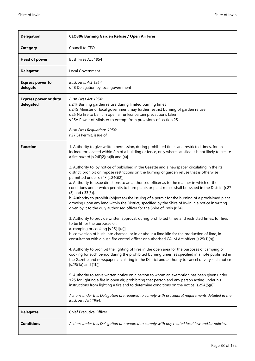| <b>Delegation</b>                         | <b>CEO306 Burning Garden Refuse / Open Air Fires</b>                                                                                                                                                                                                                                                                                                                                                                                                                                                                                                                                                                                                                                                                                                                                                                                                                                                                                                                                                                                                                                                                                                                                                                                                                                                                                                                                                                                                                                                                                                                                                                                                                                                                                                                                                                                                                                                                                                                                                                                                                                                                                                        |
|-------------------------------------------|-------------------------------------------------------------------------------------------------------------------------------------------------------------------------------------------------------------------------------------------------------------------------------------------------------------------------------------------------------------------------------------------------------------------------------------------------------------------------------------------------------------------------------------------------------------------------------------------------------------------------------------------------------------------------------------------------------------------------------------------------------------------------------------------------------------------------------------------------------------------------------------------------------------------------------------------------------------------------------------------------------------------------------------------------------------------------------------------------------------------------------------------------------------------------------------------------------------------------------------------------------------------------------------------------------------------------------------------------------------------------------------------------------------------------------------------------------------------------------------------------------------------------------------------------------------------------------------------------------------------------------------------------------------------------------------------------------------------------------------------------------------------------------------------------------------------------------------------------------------------------------------------------------------------------------------------------------------------------------------------------------------------------------------------------------------------------------------------------------------------------------------------------------------|
| <b>Category</b>                           | Council to CEO                                                                                                                                                                                                                                                                                                                                                                                                                                                                                                                                                                                                                                                                                                                                                                                                                                                                                                                                                                                                                                                                                                                                                                                                                                                                                                                                                                                                                                                                                                                                                                                                                                                                                                                                                                                                                                                                                                                                                                                                                                                                                                                                              |
| <b>Head of power</b>                      | Bush Fires Act 1954                                                                                                                                                                                                                                                                                                                                                                                                                                                                                                                                                                                                                                                                                                                                                                                                                                                                                                                                                                                                                                                                                                                                                                                                                                                                                                                                                                                                                                                                                                                                                                                                                                                                                                                                                                                                                                                                                                                                                                                                                                                                                                                                         |
| <b>Delegator</b>                          | Local Government                                                                                                                                                                                                                                                                                                                                                                                                                                                                                                                                                                                                                                                                                                                                                                                                                                                                                                                                                                                                                                                                                                                                                                                                                                                                                                                                                                                                                                                                                                                                                                                                                                                                                                                                                                                                                                                                                                                                                                                                                                                                                                                                            |
| <b>Express power to</b><br>delegate       | Bush Fires Act 1954:<br>s.48 Delegation by local government                                                                                                                                                                                                                                                                                                                                                                                                                                                                                                                                                                                                                                                                                                                                                                                                                                                                                                                                                                                                                                                                                                                                                                                                                                                                                                                                                                                                                                                                                                                                                                                                                                                                                                                                                                                                                                                                                                                                                                                                                                                                                                 |
| <b>Express power or duty</b><br>delegated | Bush Fires Act 1954:<br>s.24F Burning garden refuse during limited burning times<br>s.24G Minister or local government may further restrict burning of garden refuse<br>s.25 No fire to be lit in open air unless certain precautions taken<br>s.25A Power of Minister to exempt from provisions of section 25<br><b>Bush Fires Regulations 1954:</b><br>r.27(3) Permit, issue of                                                                                                                                                                                                                                                                                                                                                                                                                                                                                                                                                                                                                                                                                                                                                                                                                                                                                                                                                                                                                                                                                                                                                                                                                                                                                                                                                                                                                                                                                                                                                                                                                                                                                                                                                                           |
| <b>Function</b>                           | 1. Authority to give written permission, during prohibited times and restricted times, for an<br>incinerator located within 2m of a building or fence, only where satisfied it is not likely to create<br>a fire hazard [s.24F(2)(b)(ii) and (4)].<br>2. Authority to, by notice of published in the Gazette and a newspaper circulating in the its<br>district, prohibit or impose restrictions on the burning of garden refuse that is otherwise<br>permitted under s.24F [s.24G(2)]:<br>a. Authority to issue directions to an authorised officer as to the manner in which or the<br>conditions under which permits to burn plants or plant refuse shall be issued in the District [r.27<br>$(3)$ and $r.33(5)$ ].<br>b. Authority to prohibit (object to) the issuing of a permit for the burning of a proclaimed plant<br>growing upon any land within the District, specified by the Shire of Irwin in a notice in writing<br>given by it to the duly authorised officer for the Shire of Irwin [r.34].<br>3. Authority to provide written approval, during prohibited times and restricted times, for fires<br>to be lit for the purposes of:<br>a. camping or cooking [s.25(1)(a)].<br>b. conversion of bush into charcoal or in or about a lime kiln for the production of lime, in<br>consultation with a bush fire control officer or authorised CALM Act officer [s.25(1)(b)].<br>4. Authority to prohibit the lighting of fires in the open area for the purposes of camping or<br>cooking for such period during the prohibited burning times, as specified in a note published in<br>the Gazette and newspaper circulating in the District and authority to cancel or vary such notice<br>$[s.25(1a)$ and $(1b)].$<br>5. Authority to serve written notice on a person to whom an exemption has been given under<br>s.25 for lighting a fire in open air, prohibiting that person and any person acting under his<br>instructions from lighting a fire and to determine conditions on the notice [s.25A(5)(6)].<br>Actions under this Delegation are required to comply with procedural requirements detailed in the<br>Bush Fire Act 1954. |
| <b>Delegates</b>                          | Chief Executive Officer                                                                                                                                                                                                                                                                                                                                                                                                                                                                                                                                                                                                                                                                                                                                                                                                                                                                                                                                                                                                                                                                                                                                                                                                                                                                                                                                                                                                                                                                                                                                                                                                                                                                                                                                                                                                                                                                                                                                                                                                                                                                                                                                     |
| <b>Conditions</b>                         | Actions under this Delegation are required to comply with any related local law and/or policies.                                                                                                                                                                                                                                                                                                                                                                                                                                                                                                                                                                                                                                                                                                                                                                                                                                                                                                                                                                                                                                                                                                                                                                                                                                                                                                                                                                                                                                                                                                                                                                                                                                                                                                                                                                                                                                                                                                                                                                                                                                                            |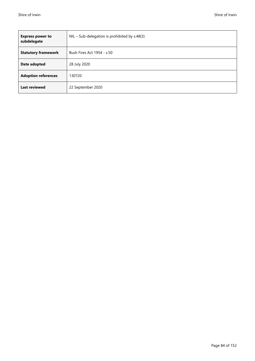| <b>Express power to</b><br>subdelegate | $NIL - Sub-delegation$ is prohibited by $s.48(3)$ |
|----------------------------------------|---------------------------------------------------|
| <b>Statutory framework</b>             | Bush Fires Act 1954 - s.50                        |
| Date adopted                           | 28 July 2020                                      |
| <b>Adoption references</b>             | 130720                                            |
| Last reviewed                          | 22 September 2020                                 |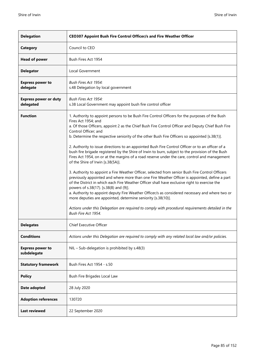| <b>Delegation</b>                         | CEO307 Appoint Bush Fire Control Officer/s and Fire Weather Officer                                                                                                                                                                                                                                                                                                                                                                                                                                                                                                                                                                                                                                                                                                                                                                                                                                                                                                                                                                                                                                                                                                                                                                                                                                                                           |
|-------------------------------------------|-----------------------------------------------------------------------------------------------------------------------------------------------------------------------------------------------------------------------------------------------------------------------------------------------------------------------------------------------------------------------------------------------------------------------------------------------------------------------------------------------------------------------------------------------------------------------------------------------------------------------------------------------------------------------------------------------------------------------------------------------------------------------------------------------------------------------------------------------------------------------------------------------------------------------------------------------------------------------------------------------------------------------------------------------------------------------------------------------------------------------------------------------------------------------------------------------------------------------------------------------------------------------------------------------------------------------------------------------|
| <b>Category</b>                           | Council to CEO                                                                                                                                                                                                                                                                                                                                                                                                                                                                                                                                                                                                                                                                                                                                                                                                                                                                                                                                                                                                                                                                                                                                                                                                                                                                                                                                |
| <b>Head of power</b>                      | Bush Fires Act 1954                                                                                                                                                                                                                                                                                                                                                                                                                                                                                                                                                                                                                                                                                                                                                                                                                                                                                                                                                                                                                                                                                                                                                                                                                                                                                                                           |
| <b>Delegator</b>                          | Local Government                                                                                                                                                                                                                                                                                                                                                                                                                                                                                                                                                                                                                                                                                                                                                                                                                                                                                                                                                                                                                                                                                                                                                                                                                                                                                                                              |
| <b>Express power to</b><br>delegate       | Bush Fires Act 1954:<br>s.48 Delegation by local government                                                                                                                                                                                                                                                                                                                                                                                                                                                                                                                                                                                                                                                                                                                                                                                                                                                                                                                                                                                                                                                                                                                                                                                                                                                                                   |
| <b>Express power or duty</b><br>delegated | Bush Fires Act 1954:<br>s.38 Local Government may appoint bush fire control officer                                                                                                                                                                                                                                                                                                                                                                                                                                                                                                                                                                                                                                                                                                                                                                                                                                                                                                                                                                                                                                                                                                                                                                                                                                                           |
| <b>Function</b>                           | 1. Authority to appoint persons to be Bush Fire Control Officers for the purposes of the Bush<br>Fires Act 1954; and<br>a. Of those Officers, appoint 2 as the Chief Bush Fire Control Officer and Deputy Chief Bush Fire<br>Control Officer; and<br>b. Determine the respective seniority of the other Bush Fire Officers so appointed [s.38(1)].<br>2. Authority to issue directions to an appointed Bush Fire Control Officer or to an officer of a<br>bush fire brigade registered by the Shire of Irwin to burn, subject to the provision of the Bush<br>Fires Act 1954, on or at the margins of a road reserve under the care, control and management<br>of the Shire of Irwin [s.38(5A)].<br>3. Authority to appoint a Fire Weather Officer, selected from senior Bush Fire Control Officers<br>previously appointed and where more than one Fire Weather Officer is appointed, define a part<br>of the District in which each Fire Weather Officer shall have exclusive right to exercise the<br>powers of s.38(17). [s.38(8) and (9)].<br>a. Authority to appoint deputy Fire Weather Officer/s as considered necessary and where two or<br>more deputies are appointed, determine seniority [s.38(10)].<br>Actions under this Delegation are required to comply with procedural requirements detailed in the<br>Bush Fire Act 1954. |
| <b>Delegates</b>                          | Chief Executive Officer                                                                                                                                                                                                                                                                                                                                                                                                                                                                                                                                                                                                                                                                                                                                                                                                                                                                                                                                                                                                                                                                                                                                                                                                                                                                                                                       |
| <b>Conditions</b>                         | Actions under this Delegation are required to comply with any related local law and/or policies.                                                                                                                                                                                                                                                                                                                                                                                                                                                                                                                                                                                                                                                                                                                                                                                                                                                                                                                                                                                                                                                                                                                                                                                                                                              |
| <b>Express power to</b><br>subdelegate    | NIL - Sub-delegation is prohibited by s.48(3)                                                                                                                                                                                                                                                                                                                                                                                                                                                                                                                                                                                                                                                                                                                                                                                                                                                                                                                                                                                                                                                                                                                                                                                                                                                                                                 |
| <b>Statutory framework</b>                | Bush Fires Act 1954 - s.50                                                                                                                                                                                                                                                                                                                                                                                                                                                                                                                                                                                                                                                                                                                                                                                                                                                                                                                                                                                                                                                                                                                                                                                                                                                                                                                    |
| <b>Policy</b>                             | Bush Fire Brigades Local Law                                                                                                                                                                                                                                                                                                                                                                                                                                                                                                                                                                                                                                                                                                                                                                                                                                                                                                                                                                                                                                                                                                                                                                                                                                                                                                                  |
| Date adopted                              | 28 July 2020                                                                                                                                                                                                                                                                                                                                                                                                                                                                                                                                                                                                                                                                                                                                                                                                                                                                                                                                                                                                                                                                                                                                                                                                                                                                                                                                  |
| <b>Adoption references</b>                | 130720                                                                                                                                                                                                                                                                                                                                                                                                                                                                                                                                                                                                                                                                                                                                                                                                                                                                                                                                                                                                                                                                                                                                                                                                                                                                                                                                        |
| <b>Last reviewed</b>                      | 22 September 2020                                                                                                                                                                                                                                                                                                                                                                                                                                                                                                                                                                                                                                                                                                                                                                                                                                                                                                                                                                                                                                                                                                                                                                                                                                                                                                                             |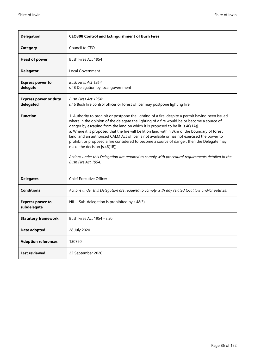| <b>Delegation</b>                         | <b>CEO308 Control and Extinguishment of Bush Fires</b>                                                                                                                                                                                                                                                                                                                                                                                                                                                                                                                                                                                                                                                                                        |
|-------------------------------------------|-----------------------------------------------------------------------------------------------------------------------------------------------------------------------------------------------------------------------------------------------------------------------------------------------------------------------------------------------------------------------------------------------------------------------------------------------------------------------------------------------------------------------------------------------------------------------------------------------------------------------------------------------------------------------------------------------------------------------------------------------|
| <b>Category</b>                           | Council to CEO                                                                                                                                                                                                                                                                                                                                                                                                                                                                                                                                                                                                                                                                                                                                |
| <b>Head of power</b>                      | Bush Fires Act 1954                                                                                                                                                                                                                                                                                                                                                                                                                                                                                                                                                                                                                                                                                                                           |
| <b>Delegator</b>                          | Local Government                                                                                                                                                                                                                                                                                                                                                                                                                                                                                                                                                                                                                                                                                                                              |
| <b>Express power to</b><br>delegate       | Bush Fires Act 1954:<br>s.48 Delegation by local government                                                                                                                                                                                                                                                                                                                                                                                                                                                                                                                                                                                                                                                                                   |
| <b>Express power or duty</b><br>delegated | Bush Fires Act 1954:<br>s.46 Bush fire control officer or forest officer may postpone lighting fire                                                                                                                                                                                                                                                                                                                                                                                                                                                                                                                                                                                                                                           |
| <b>Function</b>                           | 1. Authority to prohibit or postpone the lighting of a fire, despite a permit having been issued,<br>where in the opinion of the delegate the lighting of a fire would be or become a source of<br>danger by escaping from the land on which it is proposed to be lit [s.46(1A)].<br>a. Where it is proposed that the fire will be lit on land within 3km of the boundary of forest<br>land, and an authorised CALM Act officer is not available or has not exercised the power to<br>prohibit or proposed a fire considered to become a source of danger, then the Delegate may<br>make the decision [s.46(1B)].<br>Actions under this Delegation are required to comply with procedural requirements detailed in the<br>Bush Fire Act 1954. |
| <b>Delegates</b>                          | Chief Executive Officer                                                                                                                                                                                                                                                                                                                                                                                                                                                                                                                                                                                                                                                                                                                       |
| <b>Conditions</b>                         | Actions under this Delegation are required to comply with any related local law and/or policies.                                                                                                                                                                                                                                                                                                                                                                                                                                                                                                                                                                                                                                              |
| <b>Express power to</b><br>subdelegate    | NIL - Sub-delegation is prohibited by s.48(3)                                                                                                                                                                                                                                                                                                                                                                                                                                                                                                                                                                                                                                                                                                 |
| <b>Statutory framework</b>                | Bush Fires Act 1954 - s.50                                                                                                                                                                                                                                                                                                                                                                                                                                                                                                                                                                                                                                                                                                                    |
| Date adopted                              | 28 July 2020                                                                                                                                                                                                                                                                                                                                                                                                                                                                                                                                                                                                                                                                                                                                  |
| <b>Adoption references</b>                | 130720                                                                                                                                                                                                                                                                                                                                                                                                                                                                                                                                                                                                                                                                                                                                        |
| <b>Last reviewed</b>                      | 22 September 2020                                                                                                                                                                                                                                                                                                                                                                                                                                                                                                                                                                                                                                                                                                                             |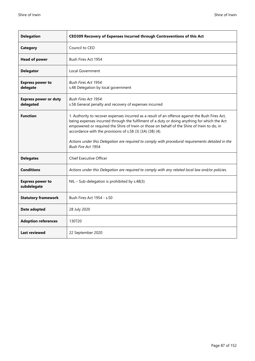| <b>Delegation</b>                         | CEO309 Recovery of Expenses Incurred through Contraventions of this Act                                                                                                                                                                                                                                                                                                                                                                                                                 |
|-------------------------------------------|-----------------------------------------------------------------------------------------------------------------------------------------------------------------------------------------------------------------------------------------------------------------------------------------------------------------------------------------------------------------------------------------------------------------------------------------------------------------------------------------|
| Category                                  | Council to CEO                                                                                                                                                                                                                                                                                                                                                                                                                                                                          |
| <b>Head of power</b>                      | Bush Fires Act 1954                                                                                                                                                                                                                                                                                                                                                                                                                                                                     |
| <b>Delegator</b>                          | Local Government                                                                                                                                                                                                                                                                                                                                                                                                                                                                        |
| <b>Express power to</b><br>delegate       | Bush Fires Act 1954:<br>s.48 Delegation by local government                                                                                                                                                                                                                                                                                                                                                                                                                             |
| <b>Express power or duty</b><br>delegated | Bush Fires Act 1954:<br>s.58 General penalty and recovery of expenses incurred                                                                                                                                                                                                                                                                                                                                                                                                          |
| <b>Function</b>                           | 1. Authority to recover expenses incurred as a result of an offence against the Bush Fires Act,<br>being expenses incurred through the fulfilment of a duty or doing anything for which the Act<br>empowered or required the Shire of Irwin or those on behalf of the Shire of Irwin to do, in<br>accordance with the provisions of s.58 (3) (3A) (3B) (4).<br>Actions under this Delegation are required to comply with procedural requirements detailed in the<br>Bush Fire Act 1954. |
| <b>Delegates</b>                          | <b>Chief Executive Officer</b>                                                                                                                                                                                                                                                                                                                                                                                                                                                          |
| <b>Conditions</b>                         | Actions under this Delegation are required to comply with any related local law and/or policies.                                                                                                                                                                                                                                                                                                                                                                                        |
| <b>Express power to</b><br>subdelegate    | NIL - Sub-delegation is prohibited by s.48(3)                                                                                                                                                                                                                                                                                                                                                                                                                                           |
| <b>Statutory framework</b>                | Bush Fires Act 1954 - s.50                                                                                                                                                                                                                                                                                                                                                                                                                                                              |
| Date adopted                              | 28 July 2020                                                                                                                                                                                                                                                                                                                                                                                                                                                                            |
| <b>Adoption references</b>                | 130720                                                                                                                                                                                                                                                                                                                                                                                                                                                                                  |
| <b>Last reviewed</b>                      | 22 September 2020                                                                                                                                                                                                                                                                                                                                                                                                                                                                       |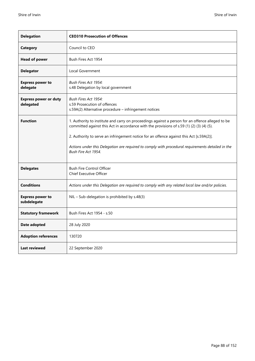| <b>Delegation</b>                         | <b>CEO310 Prosecution of Offences</b>                                                                                                                                                                                                                                                                                                                                                                                 |
|-------------------------------------------|-----------------------------------------------------------------------------------------------------------------------------------------------------------------------------------------------------------------------------------------------------------------------------------------------------------------------------------------------------------------------------------------------------------------------|
| Category                                  | Council to CEO                                                                                                                                                                                                                                                                                                                                                                                                        |
| <b>Head of power</b>                      | Bush Fires Act 1954                                                                                                                                                                                                                                                                                                                                                                                                   |
| <b>Delegator</b>                          | Local Government                                                                                                                                                                                                                                                                                                                                                                                                      |
| <b>Express power to</b><br>delegate       | Bush Fires Act 1954:<br>s.48 Delegation by local government                                                                                                                                                                                                                                                                                                                                                           |
| <b>Express power or duty</b><br>delegated | Bush Fires Act 1954:<br>s.59 Prosecution of offences<br>s.59A(2) Alternative procedure - infringement notices                                                                                                                                                                                                                                                                                                         |
| <b>Function</b>                           | 1. Authority to institute and carry on proceedings against a person for an offence alleged to be<br>committed against this Act in accordance with the provisions of s.59 (1) (2) (3) (4) (5).<br>2. Authority to serve an infringement notice for an offence against this Act [s.59A(2)].<br>Actions under this Delegation are required to comply with procedural requirements detailed in the<br>Bush Fire Act 1954. |
| <b>Delegates</b>                          | <b>Bush Fire Control Officer</b><br><b>Chief Executive Officer</b>                                                                                                                                                                                                                                                                                                                                                    |
| <b>Conditions</b>                         | Actions under this Delegation are required to comply with any related local law and/or policies.                                                                                                                                                                                                                                                                                                                      |
| <b>Express power to</b><br>subdelegate    | NIL - Sub-delegation is prohibited by s.48(3)                                                                                                                                                                                                                                                                                                                                                                         |
| <b>Statutory framework</b>                | Bush Fires Act 1954 - s.50                                                                                                                                                                                                                                                                                                                                                                                            |
| Date adopted                              | 28 July 2020                                                                                                                                                                                                                                                                                                                                                                                                          |
| <b>Adoption references</b>                | 130720                                                                                                                                                                                                                                                                                                                                                                                                                |
| <b>Last reviewed</b>                      | 22 September 2020                                                                                                                                                                                                                                                                                                                                                                                                     |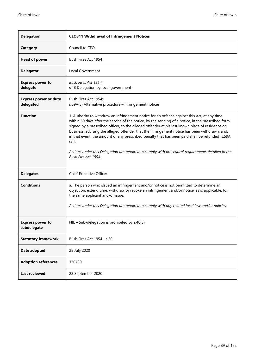| <b>Delegation</b>                         | <b>CEO311 Withdrawal of Infringement Notices</b>                                                                                                                                                                                                                                                                                                                                                                                                                                                                                                                                                                                                   |
|-------------------------------------------|----------------------------------------------------------------------------------------------------------------------------------------------------------------------------------------------------------------------------------------------------------------------------------------------------------------------------------------------------------------------------------------------------------------------------------------------------------------------------------------------------------------------------------------------------------------------------------------------------------------------------------------------------|
| Category                                  | Council to CEO                                                                                                                                                                                                                                                                                                                                                                                                                                                                                                                                                                                                                                     |
| <b>Head of power</b>                      | Bush Fires Act 1954                                                                                                                                                                                                                                                                                                                                                                                                                                                                                                                                                                                                                                |
| <b>Delegator</b>                          | Local Government                                                                                                                                                                                                                                                                                                                                                                                                                                                                                                                                                                                                                                   |
| <b>Express power to</b><br>delegate       | Bush Fires Act 1954:<br>s.48 Delegation by local government                                                                                                                                                                                                                                                                                                                                                                                                                                                                                                                                                                                        |
| <b>Express power or duty</b><br>delegated | Bush Fires Act 1954:<br>s.59A(5) Alternative procedure - infringement notices                                                                                                                                                                                                                                                                                                                                                                                                                                                                                                                                                                      |
| <b>Function</b>                           | 1. Authority to withdraw an infringement notice for an offence against this Act, at any time<br>within 60 days after the service of the notice, by the sending of a notice, in the prescribed form,<br>signed by a prescribed officer, to the alleged offender at his last known place of residence or<br>business, advising the alleged offender that the infringement notice has been withdrawn, and,<br>in that event, the amount of any prescribed penalty that has been paid shall be refunded [s.59A<br>$(5)$ ].<br>Actions under this Delegation are required to comply with procedural requirements detailed in the<br>Bush Fire Act 1954. |
| <b>Delegates</b>                          | <b>Chief Executive Officer</b>                                                                                                                                                                                                                                                                                                                                                                                                                                                                                                                                                                                                                     |
| <b>Conditions</b>                         | a. The person who issued an infringement and/or notice is not permitted to determine an<br>objection, extend time, withdraw or revoke an infringement and/or notice, as is applicable, for<br>the same applicant and/or issue.<br>Actions under this Delegation are required to comply with any related local law and/or policies.                                                                                                                                                                                                                                                                                                                 |
| <b>Express power to</b><br>subdelegate    | NIL - Sub-delegation is prohibited by s.48(3)                                                                                                                                                                                                                                                                                                                                                                                                                                                                                                                                                                                                      |
| <b>Statutory framework</b>                | Bush Fires Act 1954 - s.50                                                                                                                                                                                                                                                                                                                                                                                                                                                                                                                                                                                                                         |
| Date adopted                              | 28 July 2020                                                                                                                                                                                                                                                                                                                                                                                                                                                                                                                                                                                                                                       |
| <b>Adoption references</b>                | 130720                                                                                                                                                                                                                                                                                                                                                                                                                                                                                                                                                                                                                                             |
| Last reviewed                             | 22 September 2020                                                                                                                                                                                                                                                                                                                                                                                                                                                                                                                                                                                                                                  |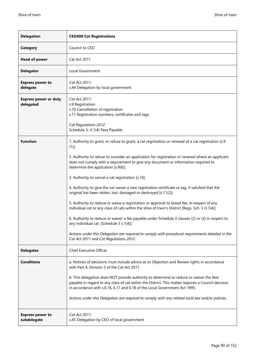| <b>Delegation</b>                         | <b>CEO400 Cat Registrations</b>                                                                                                                                                                                                                                                                                                                                                                                                                                                                                                                                                                                                                                                                                                                                                                                                                                                                                                                                                                                                    |
|-------------------------------------------|------------------------------------------------------------------------------------------------------------------------------------------------------------------------------------------------------------------------------------------------------------------------------------------------------------------------------------------------------------------------------------------------------------------------------------------------------------------------------------------------------------------------------------------------------------------------------------------------------------------------------------------------------------------------------------------------------------------------------------------------------------------------------------------------------------------------------------------------------------------------------------------------------------------------------------------------------------------------------------------------------------------------------------|
| <b>Category</b>                           | Council to CEO                                                                                                                                                                                                                                                                                                                                                                                                                                                                                                                                                                                                                                                                                                                                                                                                                                                                                                                                                                                                                     |
| <b>Head of power</b>                      | Cat Act 2011                                                                                                                                                                                                                                                                                                                                                                                                                                                                                                                                                                                                                                                                                                                                                                                                                                                                                                                                                                                                                       |
| <b>Delegator</b>                          | Local Government                                                                                                                                                                                                                                                                                                                                                                                                                                                                                                                                                                                                                                                                                                                                                                                                                                                                                                                                                                                                                   |
| <b>Express power to</b><br>delegate       | Cat Act 2011:<br>s.44 Delegation by local government                                                                                                                                                                                                                                                                                                                                                                                                                                                                                                                                                                                                                                                                                                                                                                                                                                                                                                                                                                               |
| <b>Express power or duty</b><br>delegated | Cat Act 2011:<br>s.9 Registration<br>s.10 Cancellation of registration<br>s.11 Registration numbers, certificates and tags<br>Cat Regulations 2012<br>Schedule 3, cl.1(4) Fees Payable                                                                                                                                                                                                                                                                                                                                                                                                                                                                                                                                                                                                                                                                                                                                                                                                                                             |
| <b>Function</b>                           | 1. Authority to grant, or refuse to grant, a cat registration or renewal of a cat registration [s.9<br>$(1)$ ].<br>2. Authority to refuse to consider an application for registration or renewal where an applicant<br>does not comply with a requirement to give any document or information required to<br>determine the application [s.9(6)].<br>3. Authority to cancel a cat registration [s.10].<br>4. Authority to give the cat owner a new registration certificate or tag, if satisfied that the<br>original has been stolen, lost, damaged or destroyed [s.11(2)].<br>5. Authority to reduce or waive a registration or approval to breed fee, in respect of any<br>individual cat or any class of cats within the shire of Irwin's District [Regs. Sch. 3 cl.1(4)].<br>6. Authority to reduce or waiver a fee payable under Schedule 3 clauses (2) or (3) in respect to<br>any individual cat. [Schedule 3 s.1(4)].<br>Actions under this Delegation are required to comply with procedural requirements detailed in the |
|                                           | Cat Act 2011 and Cat Regulations 2012.<br>Chief Executive Officer                                                                                                                                                                                                                                                                                                                                                                                                                                                                                                                                                                                                                                                                                                                                                                                                                                                                                                                                                                  |
| <b>Delegates</b><br><b>Conditions</b>     | a. Notices of decisions must include advice as to Objection and Review rights in accordance<br>with Part 4, Division 5 of the Cat Act 2011.<br>b. This delegation does NOT provide authority to determine to reduce or waiver the fees<br>payable in regard to any class of cat within the District. This matter requires a Council decision<br>in accordance with s.6.16, 6.17 and 6.18 of the Local Government Act 1995.<br>Actions under this Delegation are required to comply with any related local law and/or policies.                                                                                                                                                                                                                                                                                                                                                                                                                                                                                                     |
| <b>Express power to</b><br>subdelegate    | Cat Act 2011:<br>s.45 Delegation by CEO of local government                                                                                                                                                                                                                                                                                                                                                                                                                                                                                                                                                                                                                                                                                                                                                                                                                                                                                                                                                                        |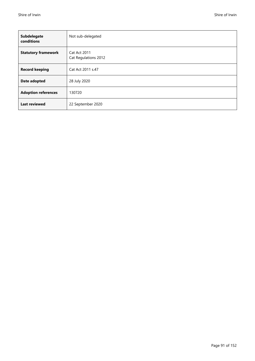| Subdelegate<br>conditions  | Not sub-delegated                           |
|----------------------------|---------------------------------------------|
| <b>Statutory framework</b> | <b>Cat Act 2011</b><br>Cat Regulations 2012 |
| <b>Record keeping</b>      | Cat Act 2011 s.47                           |
| Date adopted               | 28 July 2020                                |
| <b>Adoption references</b> | 130720                                      |
| <b>Last reviewed</b>       | 22 September 2020                           |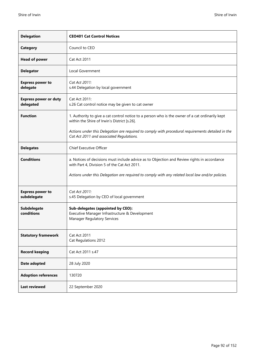| <b>Delegation</b>                         | <b>CEO401 Cat Control Notices</b>                                                                                                               |
|-------------------------------------------|-------------------------------------------------------------------------------------------------------------------------------------------------|
| <b>Category</b>                           | Council to CEO                                                                                                                                  |
| <b>Head of power</b>                      | Cat Act 2011                                                                                                                                    |
| <b>Delegator</b>                          | Local Government                                                                                                                                |
| <b>Express power to</b><br>delegate       | Cat Act 2011:<br>s.44 Delegation by local government                                                                                            |
| <b>Express power or duty</b><br>delegated | Cat Act 2011:<br>s.26 Cat control notice may be given to cat owner                                                                              |
| <b>Function</b>                           | 1. Authority to give a cat control notice to a person who is the owner of a cat ordinarily kept<br>within the Shire of Irwin's District [s.26]. |
|                                           | Actions under this Delegation are required to comply with procedural requirements detailed in the<br>Cat Act 2011 and associated Regulations.   |
| <b>Delegates</b>                          | Chief Executive Officer                                                                                                                         |
| <b>Conditions</b>                         | a. Notices of decisions must include advice as to Objection and Review rights in accordance<br>with Part 4, Division 5 of the Cat Act 2011.     |
|                                           | Actions under this Delegation are required to comply with any related local law and/or policies.                                                |
| <b>Express power to</b><br>subdelegate    | Cat Act 2011:<br>s.45 Delegation by CEO of local government                                                                                     |
| <b>Subdelegate</b><br>conditions          | Sub-delegates (appointed by CEO):<br>Executive Manager Infrastructure & Development<br><b>Manager Regulatory Services</b>                       |
| <b>Statutory framework</b>                | Cat Act 2011<br><b>Cat Regulations 2012</b>                                                                                                     |
| <b>Record keeping</b>                     | Cat Act 2011 s.47                                                                                                                               |
| Date adopted                              | 28 July 2020                                                                                                                                    |
| <b>Adoption references</b>                | 130720                                                                                                                                          |
| <b>Last reviewed</b>                      | 22 September 2020                                                                                                                               |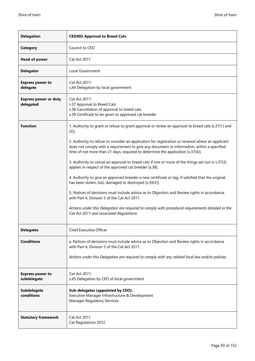| <b>Delegation</b>                         | <b>CEO402 Approval to Breed Cats</b>                                                                                                                                                                                                                                              |
|-------------------------------------------|-----------------------------------------------------------------------------------------------------------------------------------------------------------------------------------------------------------------------------------------------------------------------------------|
| Category                                  | Council to CEO                                                                                                                                                                                                                                                                    |
| <b>Head of power</b>                      | <b>Cat Act 2011</b>                                                                                                                                                                                                                                                               |
| <b>Delegator</b>                          | <b>Local Government</b>                                                                                                                                                                                                                                                           |
| <b>Express power to</b><br>delegate       | Cat Act 2011:<br>s.44 Delegation by local government                                                                                                                                                                                                                              |
| <b>Express power or duty</b><br>delegated | Cat Act 2011:<br>s.37 Approval to Breed Cats<br>s.38 Cancellation of approval to breed cats<br>s.39 Certificate to be given to approved cat breeder                                                                                                                               |
| <b>Function</b>                           | 1. Authority to grant or refuse to grant approval or renew an approval to breed cats [s.37(1) and<br>$(2)$ ].                                                                                                                                                                     |
|                                           | 2. Authority to refuse to consider an application for registration or renewal where an applicant<br>does not comply with a requirement to give any document or information, within a specified<br>time of not more than 21 days, required to determine the application [s.37(4)]. |
|                                           | 3. Authority to cancel an approval to breed cats if one or more of the things set out in s.37(2)<br>applies in respect of the approved cat breeder [s.38].                                                                                                                        |
|                                           | 4. Authority to give an approved breeder a new certificate or tag, if satisfied that the original<br>has been stolen, lost, damaged or destroyed [s.39(2)].                                                                                                                       |
|                                           | 5. Notices of decisions must include advice as to Objection and Review rights in accordance<br>with Part 4, Division 5 of the Cat Act 2011.                                                                                                                                       |
|                                           | Actions under this Delegation are required to comply with procedural requirements detailed in the<br>Cat Act 2011 and associated Regulations.                                                                                                                                     |
| <b>Delegates</b>                          | Chief Executive Officer                                                                                                                                                                                                                                                           |
| <b>Conditions</b>                         | a. Notices of decisions must include advice as to Objection and Review rights in accordance<br>with Part 4, Division 5 of the Cat Act 2011.                                                                                                                                       |
|                                           | Actions under this Delegation are required to comply with any related local law and/or policies.                                                                                                                                                                                  |
| <b>Express power to</b><br>subdelegate    | Cat Act 2011:<br>s.45 Delegation by CEO of local government                                                                                                                                                                                                                       |
| Subdelegate<br>conditions                 | Sub-delegates (appointed by CEO):<br>Executive Manager Infrastructure & Development<br><b>Manager Regulatory Services</b>                                                                                                                                                         |
| <b>Statutory framework</b>                | <b>Cat Act 2011</b><br><b>Cat Regulations 2012</b>                                                                                                                                                                                                                                |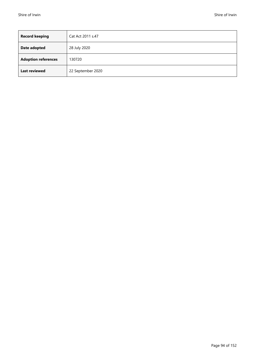| <b>Record keeping</b>      | Cat Act 2011 s.47 |
|----------------------------|-------------------|
| Date adopted               | 28 July 2020      |
| <b>Adoption references</b> | 130720            |
| <b>Last reviewed</b>       | 22 September 2020 |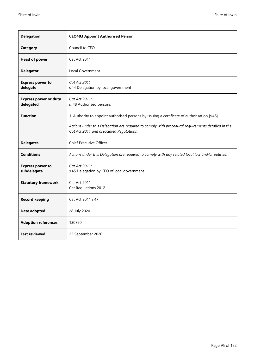| <b>Delegation</b>                         | <b>CEO403 Appoint Authorised Person</b>                                                                                                       |
|-------------------------------------------|-----------------------------------------------------------------------------------------------------------------------------------------------|
| <b>Category</b>                           | Council to CEO                                                                                                                                |
| <b>Head of power</b>                      | Cat Act 2011                                                                                                                                  |
| <b>Delegator</b>                          | Local Government                                                                                                                              |
| <b>Express power to</b><br>delegate       | Cat Act 2011:<br>s.44 Delegation by local government                                                                                          |
| <b>Express power or duty</b><br>delegated | Cat Act 2011:<br>s. 48 Authorised persons                                                                                                     |
| <b>Function</b>                           | 1. Authority to appoint authorised persons by issuing a certificate of authorisation [s.48].                                                  |
|                                           | Actions under this Delegation are required to comply with procedural requirements detailed in the<br>Cat Act 2011 and associated Regulations. |
| <b>Delegates</b>                          | Chief Executive Officer                                                                                                                       |
| <b>Conditions</b>                         | Actions under this Delegation are required to comply with any related local law and/or policies.                                              |
| <b>Express power to</b><br>subdelegate    | Cat Act 2011:<br>s.45 Delegation by CEO of local government                                                                                   |
| <b>Statutory framework</b>                | Cat Act 2011<br>Cat Regulations 2012                                                                                                          |
| <b>Record keeping</b>                     | Cat Act 2011 s.47                                                                                                                             |
| Date adopted                              | 28 July 2020                                                                                                                                  |
| <b>Adoption references</b>                | 130720                                                                                                                                        |
| Last reviewed                             | 22 September 2020                                                                                                                             |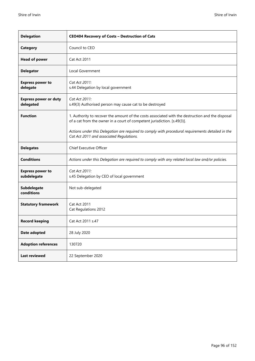| <b>Delegation</b>                         | <b>CEO404 Recovery of Costs - Destruction of Cats</b>                                                                                                                        |
|-------------------------------------------|------------------------------------------------------------------------------------------------------------------------------------------------------------------------------|
| <b>Category</b>                           | Council to CEO                                                                                                                                                               |
| <b>Head of power</b>                      | Cat Act 2011                                                                                                                                                                 |
| <b>Delegator</b>                          | Local Government                                                                                                                                                             |
| <b>Express power to</b><br>delegate       | Cat Act 2011:<br>s.44 Delegation by local government                                                                                                                         |
| <b>Express power or duty</b><br>delegated | Cat Act 2011:<br>s.49(3) Authorised person may cause cat to be destroyed                                                                                                     |
| <b>Function</b>                           | 1. Authority to recover the amount of the costs associated with the destruction and the disposal<br>of a cat from the owner in a court of competent jurisdiction. [s.49(3)]. |
|                                           | Actions under this Delegation are required to comply with procedural requirements detailed in the<br>Cat Act 2011 and associated Regulations.                                |
| <b>Delegates</b>                          | Chief Executive Officer                                                                                                                                                      |
| <b>Conditions</b>                         | Actions under this Delegation are required to comply with any related local law and/or policies.                                                                             |
| <b>Express power to</b><br>subdelegate    | Cat Act 2011:<br>s.45 Delegation by CEO of local government                                                                                                                  |
| Subdelegate<br>conditions                 | Not sub-delegated                                                                                                                                                            |
| <b>Statutory framework</b>                | Cat Act 2011<br>Cat Regulations 2012                                                                                                                                         |
| <b>Record keeping</b>                     | Cat Act 2011 s.47                                                                                                                                                            |
| Date adopted                              | 28 July 2020                                                                                                                                                                 |
| <b>Adoption references</b>                | 130720                                                                                                                                                                       |
| <b>Last reviewed</b>                      | 22 September 2020                                                                                                                                                            |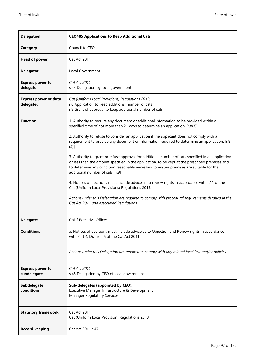| <b>Delegation</b>                         | <b>CEO405 Applications to Keep Additional Cats</b>                                                                                                                                                                                                                                                                                   |
|-------------------------------------------|--------------------------------------------------------------------------------------------------------------------------------------------------------------------------------------------------------------------------------------------------------------------------------------------------------------------------------------|
| Category                                  | Council to CEO                                                                                                                                                                                                                                                                                                                       |
| <b>Head of power</b>                      | Cat Act 2011                                                                                                                                                                                                                                                                                                                         |
| <b>Delegator</b>                          | Local Government                                                                                                                                                                                                                                                                                                                     |
| <b>Express power to</b><br>delegate       | Cat Act 2011:<br>s.44 Delegation by local government                                                                                                                                                                                                                                                                                 |
| <b>Express power or duty</b><br>delegated | Cat (Uniform Local Provisions) Regulations 2013:<br>r.8 Application to keep additional number of cats<br>r.9 Grant of approval to keep additional number of cats                                                                                                                                                                     |
| <b>Function</b>                           | 1. Authority to require any document or additional information to be provided within a<br>specified time of not more than 21 days to determine an application. [r.8(3)]                                                                                                                                                              |
|                                           | 2. Authority to refuse to consider an application if the applicant does not comply with a<br>requirement to provide any document or information required to determine an application. [r.8<br>(4)]                                                                                                                                   |
|                                           | 3. Authority to grant or refuse approval for additional number of cats specified in an application<br>or less than the amount specified in the application, to be kept at the prescribed premises and<br>to determine any condition reasonably necessary to ensure premises are suitable for the<br>additional number of cats. [r.9] |
|                                           | 4. Notices of decisions must include advice as to review rights in accordance with r.11 of the<br>Cat (Uniform Local Provisions) Regulations 2013.                                                                                                                                                                                   |
|                                           | Actions under this Delegation are required to comply with procedural requirements detailed in the<br>Cat Act 2011 and associated Regulations.                                                                                                                                                                                        |
| <b>Delegates</b>                          | <b>Chief Executive Officer</b>                                                                                                                                                                                                                                                                                                       |
| <b>Conditions</b>                         | a. Notices of decisions must include advice as to Objection and Review rights in accordance<br>with Part 4, Division 5 of the Cat Act 2011.                                                                                                                                                                                          |
|                                           | Actions under this Delegation are required to comply with any related local law and/or policies.                                                                                                                                                                                                                                     |
| <b>Express power to</b><br>subdelegate    | Cat Act 2011:<br>s.45 Delegation by CEO of local government                                                                                                                                                                                                                                                                          |
| Subdelegate<br>conditions                 | Sub-delegates (appointed by CEO):<br>Executive Manager Infrastructure & Development<br><b>Manager Regulatory Services</b>                                                                                                                                                                                                            |
| <b>Statutory framework</b>                | Cat Act 2011<br>Cat (Uniform Local Provision) Regulations 2013                                                                                                                                                                                                                                                                       |
| <b>Record keeping</b>                     | Cat Act 2011 s.47                                                                                                                                                                                                                                                                                                                    |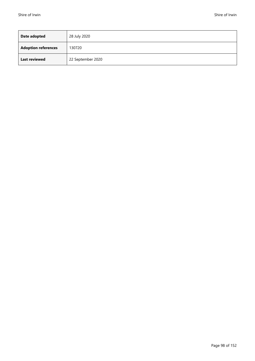| Date adopted               | 28 July 2020      |
|----------------------------|-------------------|
| <b>Adoption references</b> | 130720            |
| Last reviewed              | 22 September 2020 |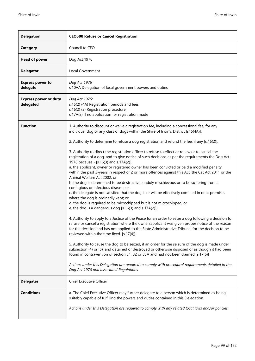| <b>Delegation</b>                         | <b>CEO500 Refuse or Cancel Registration</b>                                                                                                                                                                                                                                                                                                                                                                                                                                                                                                                                                                                                                                                                                                                                                                                                                                                                                                                                                                                                                                                                                                                                                                                                                                                                                                                                                                                                                                                                                                                                                                                                                    |
|-------------------------------------------|----------------------------------------------------------------------------------------------------------------------------------------------------------------------------------------------------------------------------------------------------------------------------------------------------------------------------------------------------------------------------------------------------------------------------------------------------------------------------------------------------------------------------------------------------------------------------------------------------------------------------------------------------------------------------------------------------------------------------------------------------------------------------------------------------------------------------------------------------------------------------------------------------------------------------------------------------------------------------------------------------------------------------------------------------------------------------------------------------------------------------------------------------------------------------------------------------------------------------------------------------------------------------------------------------------------------------------------------------------------------------------------------------------------------------------------------------------------------------------------------------------------------------------------------------------------------------------------------------------------------------------------------------------------|
| <b>Category</b>                           | Council to CEO                                                                                                                                                                                                                                                                                                                                                                                                                                                                                                                                                                                                                                                                                                                                                                                                                                                                                                                                                                                                                                                                                                                                                                                                                                                                                                                                                                                                                                                                                                                                                                                                                                                 |
| <b>Head of power</b>                      | Dog Act 1976                                                                                                                                                                                                                                                                                                                                                                                                                                                                                                                                                                                                                                                                                                                                                                                                                                                                                                                                                                                                                                                                                                                                                                                                                                                                                                                                                                                                                                                                                                                                                                                                                                                   |
| <b>Delegator</b>                          | Local Government                                                                                                                                                                                                                                                                                                                                                                                                                                                                                                                                                                                                                                                                                                                                                                                                                                                                                                                                                                                                                                                                                                                                                                                                                                                                                                                                                                                                                                                                                                                                                                                                                                               |
| <b>Express power to</b><br>delegate       | Dog Act 1976:<br>s.10AA Delegation of local government powers and duties                                                                                                                                                                                                                                                                                                                                                                                                                                                                                                                                                                                                                                                                                                                                                                                                                                                                                                                                                                                                                                                                                                                                                                                                                                                                                                                                                                                                                                                                                                                                                                                       |
| <b>Express power or duty</b><br>delegated | Dog Act 1976:<br>s.15(2) (4A) Registration periods and fees<br>s.16(2) (3) Registration procedure<br>s.17A(2) If no application for registration made                                                                                                                                                                                                                                                                                                                                                                                                                                                                                                                                                                                                                                                                                                                                                                                                                                                                                                                                                                                                                                                                                                                                                                                                                                                                                                                                                                                                                                                                                                          |
| <b>Function</b>                           | 1. Authority to discount or waive a registration fee, including a concessional fee, for any<br>individual dog or any class of dogs within the Shire of Irwin's District [s15(4A)].                                                                                                                                                                                                                                                                                                                                                                                                                                                                                                                                                                                                                                                                                                                                                                                                                                                                                                                                                                                                                                                                                                                                                                                                                                                                                                                                                                                                                                                                             |
|                                           | 2. Authority to determine to refuse a dog registration and refund the fee, if any [s.16(2)].                                                                                                                                                                                                                                                                                                                                                                                                                                                                                                                                                                                                                                                                                                                                                                                                                                                                                                                                                                                                                                                                                                                                                                                                                                                                                                                                                                                                                                                                                                                                                                   |
|                                           | 3. Authority to direct the registration officer to refuse to effect or renew or to cancel the<br>registration of a dog, and to give notice of such decisions as per the requirements the Dog Act<br>1976 because - [s.16(3) and s.17A(2)].<br>a. the applicant, owner or registered owner has been convicted or paid a modified penalty<br>within the past 3-years in respect of 2 or more offences against this Act, the Cat Act 2011 or the<br>Animal Welfare Act 2002; or<br>b. the dog is determined to be destructive, unduly mischievous or to be suffering from a<br>contagious or infectious disease; or<br>c. the delegate is not satisfied that the dog is or will be effectively confined in or at premises<br>where the dog is ordinarily kept; or<br>d. the dog is required to be microchipped but is not microchipped; or<br>e. the dog is a dangerous dog [s.16(3) and s.17A(2)].<br>4. Authority to apply to a Justice of the Peace for an order to seize a dog following a decision to<br>refuse or cancel a registration where the owner/applicant was given proper notice of the reason<br>for the decision and has not applied to the State Administrative Tribunal for the decision to be<br>reviewed within the time fixed. [s.17(4)].<br>5. Authority to cause the dog to be seized, if an order for the seizure of the dog is made under<br>subsection (4) or (5), and detained or destroyed or otherwise disposed of as though it had been<br>found in contravention of section 31, 32 or 33A and had not been claimed [s.17(6)]<br>Actions under this Delegation are required to comply with procedural requirements detailed in the |
| <b>Delegates</b>                          | Dog Act 1976 and associated Regulations.<br>Chief Executive Officer                                                                                                                                                                                                                                                                                                                                                                                                                                                                                                                                                                                                                                                                                                                                                                                                                                                                                                                                                                                                                                                                                                                                                                                                                                                                                                                                                                                                                                                                                                                                                                                            |
| <b>Conditions</b>                         | a. The Chief Executive Officer may further delegate to a person which is determined as being<br>suitably capable of fulfilling the powers and duties contained in this Delegation.<br>Actions under this Delegation are required to comply with any related local laws and/or policies.                                                                                                                                                                                                                                                                                                                                                                                                                                                                                                                                                                                                                                                                                                                                                                                                                                                                                                                                                                                                                                                                                                                                                                                                                                                                                                                                                                        |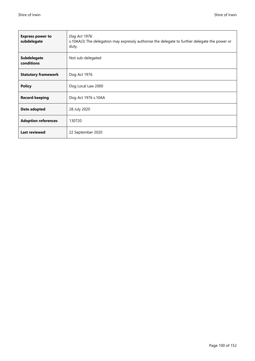| <b>Express power to</b><br>subdelegate | Dog Act 1976:<br>s.10AA(3) The delegation may expressly authorise the delegate to further delegate the power or<br>duty. |
|----------------------------------------|--------------------------------------------------------------------------------------------------------------------------|
| Subdelegate<br>conditions              | Not sub-delegated                                                                                                        |
| <b>Statutory framework</b>             | Dog Act 1976                                                                                                             |
| <b>Policy</b>                          | Dog Local Law 2000                                                                                                       |
| <b>Record keeping</b>                  | Dog Act 1976 s.10AA                                                                                                      |
| Date adopted                           | 28 July 2020                                                                                                             |
| <b>Adoption references</b>             | 130720                                                                                                                   |
| <b>Last reviewed</b>                   | 22 September 2020                                                                                                        |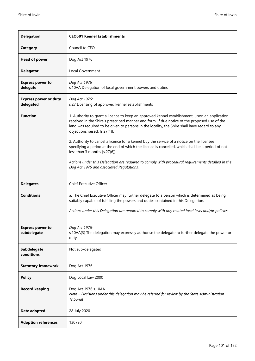| <b>Delegation</b>                         | <b>CEO501 Kennel Establishments</b>                                                                                                                                                                                                                                                                                                                                                                                                                                                                                                                                                                                                                                   |
|-------------------------------------------|-----------------------------------------------------------------------------------------------------------------------------------------------------------------------------------------------------------------------------------------------------------------------------------------------------------------------------------------------------------------------------------------------------------------------------------------------------------------------------------------------------------------------------------------------------------------------------------------------------------------------------------------------------------------------|
| Category                                  | Council to CEO                                                                                                                                                                                                                                                                                                                                                                                                                                                                                                                                                                                                                                                        |
| <b>Head of power</b>                      | Dog Act 1976                                                                                                                                                                                                                                                                                                                                                                                                                                                                                                                                                                                                                                                          |
| <b>Delegator</b>                          | Local Government                                                                                                                                                                                                                                                                                                                                                                                                                                                                                                                                                                                                                                                      |
| <b>Express power to</b><br>delegate       | Dog Act 1976:<br>s.10AA Delegation of local government powers and duties                                                                                                                                                                                                                                                                                                                                                                                                                                                                                                                                                                                              |
| <b>Express power or duty</b><br>delegated | Dog Act 1976:<br>s.27 Licensing of approved kennel establishments                                                                                                                                                                                                                                                                                                                                                                                                                                                                                                                                                                                                     |
| <b>Function</b>                           | 1. Authority to grant a licence to keep an approved kennel establishment, upon an application<br>received in the Shire's prescribed manner and form. If due notice of the proposed use of the<br>land was required to be given to persons in the locality, the Shire shall have regard to any<br>objections raised. [s.27(4)].<br>2. Authority to cancel a licence for a kennel buy the service of a notice on the licensee<br>specifying a period at the end of which the licence is cancelled, which shall be a period of not<br>less than 3 months [s.27(6)].<br>Actions under this Delegation are required to comply with procedural requirements detailed in the |
|                                           | Dog Act 1976 and associated Regulations.                                                                                                                                                                                                                                                                                                                                                                                                                                                                                                                                                                                                                              |
| <b>Delegates</b>                          | <b>Chief Executive Officer</b>                                                                                                                                                                                                                                                                                                                                                                                                                                                                                                                                                                                                                                        |
| <b>Conditions</b>                         | a. The Chief Executive Officer may further delegate to a person which is determined as being<br>suitably capable of fulfilling the powers and duties contained in this Delegation.<br>Actions under this Delegation are required to comply with any related local laws and/or policies.                                                                                                                                                                                                                                                                                                                                                                               |
| <b>Express power to</b><br>subdelegate    | Dog Act 1976:<br>s.10AA(3) The delegation may expressly authorise the delegate to further delegate the power or<br>duty.                                                                                                                                                                                                                                                                                                                                                                                                                                                                                                                                              |
| Subdelegate<br>conditions                 | Not sub-delegated                                                                                                                                                                                                                                                                                                                                                                                                                                                                                                                                                                                                                                                     |
| <b>Statutory framework</b>                | Dog Act 1976                                                                                                                                                                                                                                                                                                                                                                                                                                                                                                                                                                                                                                                          |
| <b>Policy</b>                             | Dog Local Law 2000                                                                                                                                                                                                                                                                                                                                                                                                                                                                                                                                                                                                                                                    |
| <b>Record keeping</b>                     | Dog Act 1976 s.10AA<br>Note - Decisions under this delegation may be referred for review by the State Administration<br><b>Tribunal</b>                                                                                                                                                                                                                                                                                                                                                                                                                                                                                                                               |
| Date adopted                              | 28 July 2020                                                                                                                                                                                                                                                                                                                                                                                                                                                                                                                                                                                                                                                          |
| <b>Adoption references</b>                | 130720                                                                                                                                                                                                                                                                                                                                                                                                                                                                                                                                                                                                                                                                |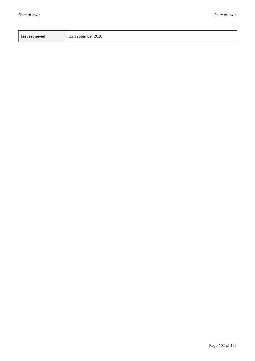**Last reviewed** 22 September 2020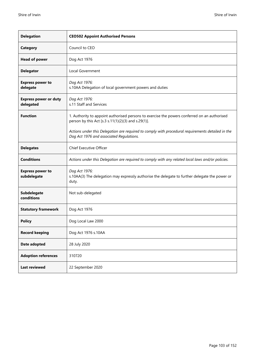| <b>Delegation</b>                         | <b>CEO502 Appoint Authorised Persons</b>                                                                                                            |
|-------------------------------------------|-----------------------------------------------------------------------------------------------------------------------------------------------------|
| <b>Category</b>                           | Council to CEO                                                                                                                                      |
| <b>Head of power</b>                      | Dog Act 1976                                                                                                                                        |
| <b>Delegator</b>                          | Local Government                                                                                                                                    |
| <b>Express power to</b><br>delegate       | Dog Act 1976:<br>s.10AA Delegation of local government powers and duties                                                                            |
| <b>Express power or duty</b><br>delegated | Dog Act 1976:<br>s.11 Staff and Services                                                                                                            |
| <b>Function</b>                           | 1. Authority to appoint authorised persons to exercise the powers conferred on an authorised<br>person by this Act [s.3 s.11(1)(2)(3) and s.29(1)]. |
|                                           | Actions under this Delegation are required to comply with procedural requirements detailed in the<br>Dog Act 1976 and associated Regulations.       |
| <b>Delegates</b>                          | Chief Executive Officer                                                                                                                             |
| <b>Conditions</b>                         | Actions under this Delegation are required to comply with any related local laws and/or policies.                                                   |
| <b>Express power to</b><br>subdelegate    | Dog Act 1976:<br>s.10AA(3) The delegation may expressly authorise the delegate to further delegate the power or<br>duty.                            |
| Subdelegate<br>conditions                 | Not sub-delegated                                                                                                                                   |
| <b>Statutory framework</b>                | Dog Act 1976                                                                                                                                        |
| <b>Policy</b>                             | Dog Local Law 2000                                                                                                                                  |
| <b>Record keeping</b>                     | Dog Act 1976 s.10AA                                                                                                                                 |
| Date adopted                              | 28 July 2020                                                                                                                                        |
| <b>Adoption references</b>                | 310720                                                                                                                                              |
| <b>Last reviewed</b>                      | 22 September 2020                                                                                                                                   |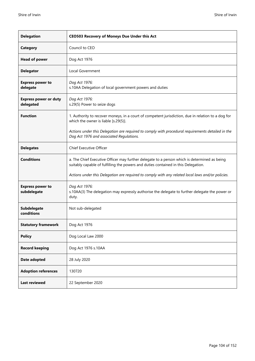| <b>Delegation</b>                         | <b>CEO503 Recovery of Moneys Due Under this Act</b>                                                                                                                                |
|-------------------------------------------|------------------------------------------------------------------------------------------------------------------------------------------------------------------------------------|
| <b>Category</b>                           | Council to CEO                                                                                                                                                                     |
| <b>Head of power</b>                      | Dog Act 1976                                                                                                                                                                       |
| <b>Delegator</b>                          | <b>Local Government</b>                                                                                                                                                            |
| <b>Express power to</b><br>delegate       | Dog Act 1976:<br>s.10AA Delegation of local government powers and duties                                                                                                           |
| <b>Express power or duty</b><br>delegated | Dog Act 1976:<br>s.29(5) Power to seize dogs                                                                                                                                       |
| <b>Function</b>                           | 1. Authority to recover moneys, in a court of competent jurisdiction, due in relation to a dog for<br>which the owner is liable [s.29(5)].                                         |
|                                           | Actions under this Delegation are required to comply with procedural requirements detailed in the<br>Dog Act 1976 and associated Regulations.                                      |
| <b>Delegates</b>                          | <b>Chief Executive Officer</b>                                                                                                                                                     |
| <b>Conditions</b>                         | a. The Chief Executive Officer may further delegate to a person which is determined as being<br>suitably capable of fulfilling the powers and duties contained in this Delegation. |
|                                           | Actions under this Delegation are required to comply with any related local laws and/or policies.                                                                                  |
| <b>Express power to</b><br>subdelegate    | Dog Act 1976:<br>s.10AA(3) The delegation may expressly authorise the delegate to further delegate the power or<br>duty.                                                           |
| Subdelegate<br>conditions                 | Not sub-delegated                                                                                                                                                                  |
| <b>Statutory framework</b>                | Dog Act 1976                                                                                                                                                                       |
| <b>Policy</b>                             | Dog Local Law 2000                                                                                                                                                                 |
| <b>Record keeping</b>                     | Dog Act 1976 s.10AA                                                                                                                                                                |
| Date adopted                              | 28 July 2020                                                                                                                                                                       |
| <b>Adoption references</b>                | 130720                                                                                                                                                                             |
| <b>Last reviewed</b>                      | 22 September 2020                                                                                                                                                                  |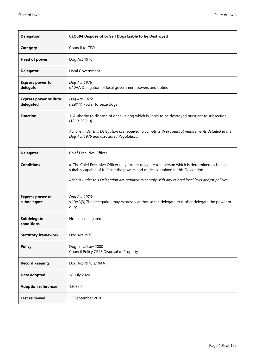| <b>Delegation</b>                         | <b>CEO504 Dispose of or Sell Dogs Liable to be Destroyed</b>                                                                                                                       |
|-------------------------------------------|------------------------------------------------------------------------------------------------------------------------------------------------------------------------------------|
| <b>Category</b>                           | Council to CEO                                                                                                                                                                     |
| <b>Head of power</b>                      | Dog Act 1976                                                                                                                                                                       |
| <b>Delegator</b>                          | Local Government                                                                                                                                                                   |
| <b>Express power to</b><br>delegate       | Dog Act 1976:<br>s.10AA Delegation of local government powers and duties                                                                                                           |
| <b>Express power or duty</b><br>delegated | Dog Act 1976:<br>s.29(11) Power to seize dogs                                                                                                                                      |
| <b>Function</b>                           | 1. Authority to dispose of or sell a dog which is liable to be destroyed pursuant to subsection<br>$(10)$ [s.29 $(11)$ ].                                                          |
|                                           | Actions under this Delegation are required to comply with procedural requirements detailed in the<br>Dog Act 1976 and associated Regulations.                                      |
| <b>Delegates</b>                          | Chief Executive Officer                                                                                                                                                            |
| <b>Conditions</b>                         | a. The Chief Executive Officer may further delegate to a person which is determined as being<br>suitably capable of fulfilling the powers and duties contained in this Delegation. |
|                                           | Actions under this Delegation are required to comply with any related local laws and/or policies.                                                                                  |
| <b>Express power to</b><br>subdelegate    | Dog Act 1976:<br>s.10AA(3) The delegation may expressly authorise the delegate to further delegate the power or<br>duty.                                                           |
| Subdelegate<br>conditions                 | Not sub-delegated                                                                                                                                                                  |
| <b>Statutory framework</b>                | Dog Act 1976                                                                                                                                                                       |
| <b>Policy</b>                             | Dog Local Law 2000<br>Council Policy CP43 Disposal of Property                                                                                                                     |
| <b>Record keeping</b>                     | Dog Act 1976 s.10AA                                                                                                                                                                |
| Date adopted                              | 28 July 2020                                                                                                                                                                       |
| <b>Adoption references</b>                | 130720                                                                                                                                                                             |
| <b>Last reviewed</b>                      | 22 September 2020                                                                                                                                                                  |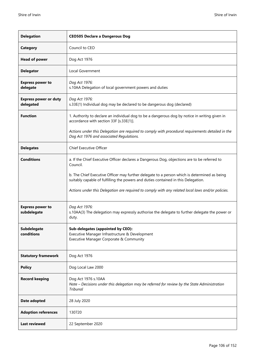| <b>Delegation</b>                         | <b>CEO505 Declare a Dangerous Dog</b>                                                                                                                                              |
|-------------------------------------------|------------------------------------------------------------------------------------------------------------------------------------------------------------------------------------|
| <b>Category</b>                           | Council to CEO                                                                                                                                                                     |
| <b>Head of power</b>                      | Dog Act 1976                                                                                                                                                                       |
| <b>Delegator</b>                          | Local Government                                                                                                                                                                   |
| <b>Express power to</b><br>delegate       | Dog Act 1976:<br>s.10AA Delegation of local government powers and duties                                                                                                           |
| <b>Express power or duty</b><br>delegated | Dog Act 1976:<br>s.33E(1) Individual dog may be declared to be dangerous dog (declared)                                                                                            |
| <b>Function</b>                           | 1. Authority to declare an individual dog to be a dangerous dog by notice in writing given in<br>accordance with section 33F [s.33E(1)].                                           |
|                                           | Actions under this Delegation are required to comply with procedural requirements detailed in the<br>Dog Act 1976 and associated Regulations.                                      |
| <b>Delegates</b>                          | <b>Chief Executive Officer</b>                                                                                                                                                     |
| <b>Conditions</b>                         | a. If the Chief Executive Officer declares a Dangerous Dog, objections are to be referred to<br>Council.                                                                           |
|                                           | b. The Chief Executive Officer may further delegate to a person which is determined as being<br>suitably capable of fulfilling the powers and duties contained in this Delegation. |
|                                           | Actions under this Delegation are required to comply with any related local laws and/or policies.                                                                                  |
| <b>Express power to</b><br>subdelegate    | Dog Act 1976:<br>s.10AA(3) The delegation may expressly authorise the delegate to further delegate the power or<br>duty.                                                           |
| Subdelegate<br>conditions                 | Sub-delegates (appointed by CEO):<br>Executive Manager Infrastructure & Development<br>Executive Manager Corporate & Community                                                     |
| <b>Statutory framework</b>                | Dog Act 1976                                                                                                                                                                       |
| <b>Policy</b>                             | Dog Local Law 2000                                                                                                                                                                 |
| <b>Record keeping</b>                     | Dog Act 1976 s.10AA<br>Note - Decisions under this delegation may be referred for review by the State Administration<br><b>Tribunal</b>                                            |
| Date adopted                              | 28 July 2020                                                                                                                                                                       |
| <b>Adoption references</b>                | 130720                                                                                                                                                                             |
| <b>Last reviewed</b>                      | 22 September 2020                                                                                                                                                                  |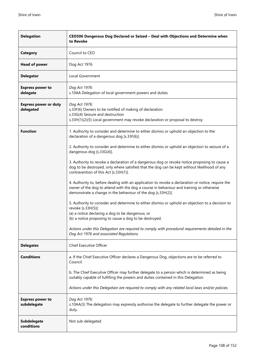| <b>Delegation</b>                         | CEO506 Dangerous Dog Declared or Seized - Deal with Objections and Determine when<br>to Revoke                                                                                                                                                                |
|-------------------------------------------|---------------------------------------------------------------------------------------------------------------------------------------------------------------------------------------------------------------------------------------------------------------|
| Category                                  | Council to CEO                                                                                                                                                                                                                                                |
| <b>Head of power</b>                      | Dog Act 1976                                                                                                                                                                                                                                                  |
| <b>Delegator</b>                          | <b>Local Government</b>                                                                                                                                                                                                                                       |
| <b>Express power to</b><br>delegate       | Dog Act 1976:<br>s.10AA Delegation of local government powers and duties                                                                                                                                                                                      |
| <b>Express power or duty</b><br>delegated | Dog Act 1976:<br>s.33F(6) Owners to be notified of making of declaration<br>s.33G(4) Seizure and destruction<br>s.33H(1)(2)(5) Local government may revoke declaration or proposal to destroy                                                                 |
| <b>Function</b>                           | 1. Authority to consider and determine to either dismiss or uphold an objection to the<br>declaration of a dangerous dog [s.33F(6)].                                                                                                                          |
|                                           | 2. Authority to consider and determine to either dismiss or uphold an objection to seizure of a<br>dangerous dog [s.33G(4)].                                                                                                                                  |
|                                           | 3. Authority to revoke a declaration of a dangerous dog or revoke notice proposing to cause a<br>dog to be destroyed, only where satisfied that the dog can be kept without likelihood of any<br>contravention of this Act [s.33H(1)].                        |
|                                           | 4. Authority to, before dealing with an application to revoke a declaration or notice, require the<br>owner of the dog to attend with the dog a course in behaviour and training or otherwise<br>demonstrate a change in the behaviour of the dog [s.33H(2)]. |
|                                           | 5. Authority to consider and determine to either dismiss or uphold an objection to a decision to<br>revoke [s.33H(5)]:<br>(a) a notice declaring a dog to be dangerous; or<br>(b) a notice proposing to cause a dog to be destroyed.                          |
|                                           | Actions under this Delegation are required to comply with procedural requirements detailed in the<br>Dog Act 1976 and associated Regulations.                                                                                                                 |
| <b>Delegates</b>                          | <b>Chief Executive Officer</b>                                                                                                                                                                                                                                |
| <b>Conditions</b>                         | a. If the Chief Executive Officer declares a Dangerous Dog, objections are to be referred to<br>Council.                                                                                                                                                      |
|                                           | b. The Chief Executive Officer may further delegate to a person which is determined as being<br>suitably capable of fulfilling the powers and duties contained in this Delegation.                                                                            |
|                                           | Actions under this Delegation are required to comply with any related local laws and/or policies.                                                                                                                                                             |
| <b>Express power to</b><br>subdelegate    | Dog Act 1976:<br>s.10AA(3) The delegation may expressly authorise the delegate to further delegate the power or<br>duty.                                                                                                                                      |
| Subdelegate<br>conditions                 | Not sub-delegated                                                                                                                                                                                                                                             |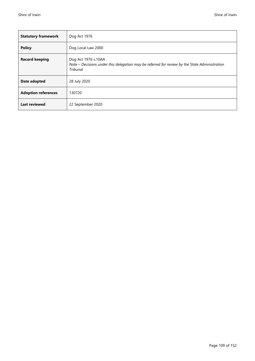| <b>Statutory framework</b> | Dog Act 1976                                                                                                                     |
|----------------------------|----------------------------------------------------------------------------------------------------------------------------------|
| <b>Policy</b>              | Dog Local Law 2000                                                                                                               |
| <b>Record keeping</b>      | Dog Act 1976 s.10AA<br>Note - Decisions under this delegation may be referred for review by the State Administration<br>Tribunal |
| Date adopted               | 28 July 2020                                                                                                                     |
| <b>Adoption references</b> | 130720                                                                                                                           |
| <b>Last reviewed</b>       | 22 September 2020                                                                                                                |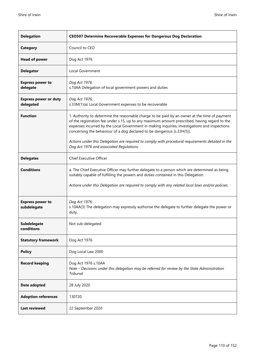| <b>Delegation</b>                         | <b>CEO507 Determine Recoverable Expenses for Dangerous Dog Declaration</b>                                                                                                                                                                                                                                                                                                                                                                                                     |
|-------------------------------------------|--------------------------------------------------------------------------------------------------------------------------------------------------------------------------------------------------------------------------------------------------------------------------------------------------------------------------------------------------------------------------------------------------------------------------------------------------------------------------------|
| <b>Category</b>                           | Council to CEO                                                                                                                                                                                                                                                                                                                                                                                                                                                                 |
| <b>Head of power</b>                      | Dog Act 1976                                                                                                                                                                                                                                                                                                                                                                                                                                                                   |
| <b>Delegator</b>                          | Local Government                                                                                                                                                                                                                                                                                                                                                                                                                                                               |
| <b>Express power to</b><br>delegate       | Dog Act 1976:<br>s.10AA Delegation of local government powers and duties                                                                                                                                                                                                                                                                                                                                                                                                       |
| <b>Express power or duty</b><br>delegated | Dog Act 1976:<br>s.33M(1)(a) Local Government expenses to be recoverable                                                                                                                                                                                                                                                                                                                                                                                                       |
| <b>Function</b>                           | 1. Authority to determine the reasonable charge to be paid by an owner at the time of payment<br>of the registration fee under s.15, up to any maximum amount prescribed, having regard to the<br>expenses incurred by the Local Government in making inquiries, investigations and inspections<br>concerning the behaviour of a dog declared to be dangerous [s.33H(5)].<br>Actions under this Delegation are required to comply with procedural requirements detailed in the |
|                                           | Dog Act 1976 and associated Regulations.                                                                                                                                                                                                                                                                                                                                                                                                                                       |
| <b>Delegates</b>                          | <b>Chief Executive Officer</b>                                                                                                                                                                                                                                                                                                                                                                                                                                                 |
| <b>Conditions</b>                         | a. The Chief Executive Officer may further delegate to a person which are determined as being<br>suitably capable of fulfilling the powers and duties contained in this Delegation.<br>Actions under this Delegation are required to comply with any related local laws and/or policies.                                                                                                                                                                                       |
|                                           |                                                                                                                                                                                                                                                                                                                                                                                                                                                                                |
| <b>Express power to</b><br>subdelegate    | Dog Act 1976:<br>s.10AA(3) The delegation may expressly authorise the delegate to further delegate the power or<br>duty.                                                                                                                                                                                                                                                                                                                                                       |
| Subdelegate<br>conditions                 | Not sub-delegated                                                                                                                                                                                                                                                                                                                                                                                                                                                              |
| <b>Statutory framework</b>                | Dog Act 1976                                                                                                                                                                                                                                                                                                                                                                                                                                                                   |
| <b>Policy</b>                             | Dog Local Law 2000                                                                                                                                                                                                                                                                                                                                                                                                                                                             |
| <b>Record keeping</b>                     | Dog Act 1976 s.10AA<br>Note - Decisions under this delegation may be referred for review by the State Administration<br><b>Tribunal</b>                                                                                                                                                                                                                                                                                                                                        |
| Date adopted                              | 28 July 2020                                                                                                                                                                                                                                                                                                                                                                                                                                                                   |
| <b>Adoption references</b>                | 130720                                                                                                                                                                                                                                                                                                                                                                                                                                                                         |
| <b>Last reviewed</b>                      | 22 September 2020                                                                                                                                                                                                                                                                                                                                                                                                                                                              |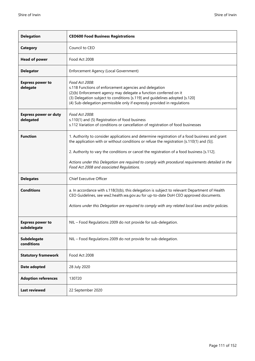| <b>Delegation</b>                         | <b>CEO600 Food Business Registrations</b>                                                                                                                                                                                                                                                                                                                                                                                                  |
|-------------------------------------------|--------------------------------------------------------------------------------------------------------------------------------------------------------------------------------------------------------------------------------------------------------------------------------------------------------------------------------------------------------------------------------------------------------------------------------------------|
| <b>Category</b>                           | Council to CEO                                                                                                                                                                                                                                                                                                                                                                                                                             |
| <b>Head of power</b>                      | Food Act 2008                                                                                                                                                                                                                                                                                                                                                                                                                              |
| <b>Delegator</b>                          | Enforcement Agency (Local Government)                                                                                                                                                                                                                                                                                                                                                                                                      |
| <b>Express power to</b><br>delegate       | Food Act 2008:<br>s.118 Functions of enforcement agencies and delegation<br>(2)(b) Enforcement agency may delegate a function conferred on it<br>(3) Delegation subject to conditions [s.119] and guidelines adopted [s.120]<br>(4) Sub-delegation permissible only if expressly provided in regulations                                                                                                                                   |
| <b>Express power or duty</b><br>delegated | Food Act 2008:<br>s.110(1) and (5) Registration of food business<br>s.112 Variation of conditions or cancellation of registration of food businesses                                                                                                                                                                                                                                                                                       |
| <b>Function</b>                           | 1. Authority to consider applications and determine registration of a food business and grant<br>the application with or without conditions or refuse the registration [s.110(1) and (5)].<br>2. Authority to vary the conditions or cancel the registration of a food business [s.112].<br>Actions under this Delegation are required to comply with procedural requirements detailed in the<br>Food Act 2008 and associated Regulations. |
| <b>Delegates</b>                          | <b>Chief Executive Officer</b>                                                                                                                                                                                                                                                                                                                                                                                                             |
| <b>Conditions</b>                         | a. In accordance with s.118(3)(b), this delegation is subject to relevant Department of Health<br>CEO Guidelines, see ww2.health.wa.gov.au for up-to-date DoH CEO approved documents.<br>Actions under this Delegation are required to comply with any related local laws and/or policies.                                                                                                                                                 |
| <b>Express power to</b><br>subdelegate    | NIL - Food Regulations 2009 do not provide for sub-delegation.                                                                                                                                                                                                                                                                                                                                                                             |
| Subdelegate<br>conditions                 | NIL - Food Regulations 2009 do not provide for sub-delegation.                                                                                                                                                                                                                                                                                                                                                                             |
| <b>Statutory framework</b>                | Food Act 2008                                                                                                                                                                                                                                                                                                                                                                                                                              |
| Date adopted                              | 28 July 2020                                                                                                                                                                                                                                                                                                                                                                                                                               |
| <b>Adoption references</b>                | 130720                                                                                                                                                                                                                                                                                                                                                                                                                                     |
| <b>Last reviewed</b>                      | 22 September 2020                                                                                                                                                                                                                                                                                                                                                                                                                          |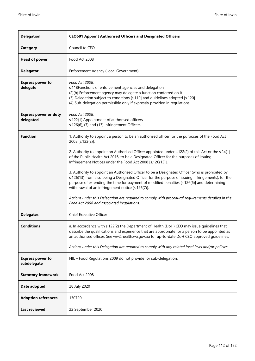| <b>Delegation</b>                         | <b>CEO601 Appoint Authorised Officers and Designated Officers</b>                                                                                                                                                                                                                                                                                     |
|-------------------------------------------|-------------------------------------------------------------------------------------------------------------------------------------------------------------------------------------------------------------------------------------------------------------------------------------------------------------------------------------------------------|
| Category                                  | Council to CEO                                                                                                                                                                                                                                                                                                                                        |
| <b>Head of power</b>                      | Food Act 2008                                                                                                                                                                                                                                                                                                                                         |
| <b>Delegator</b>                          | Enforcement Agency (Local Government)                                                                                                                                                                                                                                                                                                                 |
| <b>Express power to</b><br>delegate       | Food Act 2008:<br>s.118Functions of enforcement agencies and delegation<br>(2)(b) Enforcement agency may delegate a function conferred on it<br>(3) Delegation subject to conditions [s.119] and guidelines adopted [s.120]<br>(4) Sub-delegation permissible only if expressly provided in regulations                                               |
| <b>Express power or duty</b><br>delegated | Food Act 2008:<br>s.122(1) Appointment of authorised officers<br>s.126(6), (7) and (13) Infringement Officers                                                                                                                                                                                                                                         |
| <b>Function</b>                           | 1. Authority to appoint a person to be an authorised officer for the purposes of the Food Act<br>2008 [s.122(2)].                                                                                                                                                                                                                                     |
|                                           | 2. Authority to appoint an Authorised Officer appointed under s.122(2) of this Act or the s.24(1)<br>of the Public Health Act 2016, to be a Designated Officer for the purposes of issuing<br>Infringement Notices under the Food Act 2008 [s.126(13)].                                                                                               |
|                                           | 3. Authority to appoint an Authorised Officer to be a Designated Officer (who is prohibited by<br>s.126(13) from also being a Designated Officer for the purpose of issuing infringements), for the<br>purpose of extending the time for payment of modified penalties [s.126(6)] and determining<br>withdrawal of an infringement notice [s.126(7)]. |
|                                           | Actions under this Delegation are required to comply with procedural requirements detailed in the<br>Food Act 2008 and associated Regulations.                                                                                                                                                                                                        |
| <b>Delegates</b>                          | Chief Executive Officer                                                                                                                                                                                                                                                                                                                               |
| <b>Conditions</b>                         | a. In accordance with s.122(2) the Department of Health (DoH) CEO may issue guidelines that<br>describe the qualifications and experience that are appropriate for a person to be appointed as<br>an authorised officer. See ww2.health.wa.gov.au for up-to-date DoH CEO approved guidelines.                                                         |
|                                           | Actions under this Delegation are required to comply with any related local laws and/or policies.                                                                                                                                                                                                                                                     |
| <b>Express power to</b><br>subdelegate    | NIL - Food Regulations 2009 do not provide for sub-delegation.                                                                                                                                                                                                                                                                                        |
| <b>Statutory framework</b>                | Food Act 2008                                                                                                                                                                                                                                                                                                                                         |
| Date adopted                              | 28 July 2020                                                                                                                                                                                                                                                                                                                                          |
| <b>Adoption references</b>                | 130720                                                                                                                                                                                                                                                                                                                                                |
| <b>Last reviewed</b>                      | 22 September 2020                                                                                                                                                                                                                                                                                                                                     |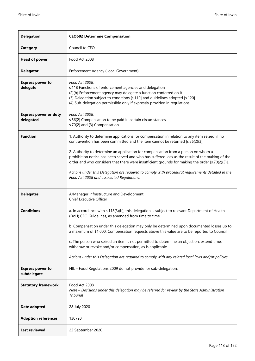| <b>Delegation</b>                         | <b>CEO602 Determine Compensation</b>                                                                                                                                                                                                                                                                                                                                                                                                                                                                                                                                                                                         |
|-------------------------------------------|------------------------------------------------------------------------------------------------------------------------------------------------------------------------------------------------------------------------------------------------------------------------------------------------------------------------------------------------------------------------------------------------------------------------------------------------------------------------------------------------------------------------------------------------------------------------------------------------------------------------------|
| <b>Category</b>                           | Council to CEO                                                                                                                                                                                                                                                                                                                                                                                                                                                                                                                                                                                                               |
| <b>Head of power</b>                      | Food Act 2008                                                                                                                                                                                                                                                                                                                                                                                                                                                                                                                                                                                                                |
| <b>Delegator</b>                          | Enforcement Agency (Local Government)                                                                                                                                                                                                                                                                                                                                                                                                                                                                                                                                                                                        |
| <b>Express power to</b><br>delegate       | Food Act 2008:<br>s.118 Functions of enforcement agencies and delegation<br>(2)(b) Enforcement agency may delegate a function conferred on it<br>(3) Delegation subject to conditions [s.119] and guidelines adopted [s.120]<br>(4) Sub-delegation permissible only if expressly provided in regulations                                                                                                                                                                                                                                                                                                                     |
| <b>Express power or duty</b><br>delegated | Food Act 2008:<br>s.56(2) Compensation to be paid in certain circumstances<br>s.70(2) and (3) Compensation                                                                                                                                                                                                                                                                                                                                                                                                                                                                                                                   |
| <b>Function</b>                           | 1. Authority to determine applications for compensation in relation to any item seized, if no<br>contravention has been committed and the item cannot be returned [s.56(2)(3)].<br>2. Authority to determine an application for compensation from a person on whom a<br>prohibition notice has been served and who has suffered loss as the result of the making of the<br>order and who considers that there were insufficient grounds for making the order [s.70(2)(3)].<br>Actions under this Delegation are required to comply with procedural requirements detailed in the<br>Food Act 2008 and associated Regulations. |
| <b>Delegates</b>                          | A/Manager Infrastructure and Development<br><b>Chief Executive Officer</b>                                                                                                                                                                                                                                                                                                                                                                                                                                                                                                                                                   |
| <b>Conditions</b>                         | a. In accordance with s.118(3)(b), this delegation is subject to relevant Department of Health<br>(DoH) CEO Guidelines, as amended from time to time.<br>b. Compensation under this delegation may only be determined upon documented losses up to<br>a maximum of \$1,000. Compensation requests above this value are to be reported to Council.<br>c. The person who seized an item is not permitted to determine an objection, extend time,<br>withdraw or revoke and/or compensation, as is applicable.<br>Actions under this Delegation are required to comply with any related local laws and/or policies.             |
| <b>Express power to</b><br>subdelegate    | NIL - Food Regulations 2009 do not provide for sub-delegation.                                                                                                                                                                                                                                                                                                                                                                                                                                                                                                                                                               |
| <b>Statutory framework</b>                | Food Act 2008<br>Note - Decisions under this delegation may be referred for review by the State Administration<br><b>Tribunal</b>                                                                                                                                                                                                                                                                                                                                                                                                                                                                                            |
| Date adopted                              | 28 July 2020                                                                                                                                                                                                                                                                                                                                                                                                                                                                                                                                                                                                                 |
| <b>Adoption references</b>                | 130720                                                                                                                                                                                                                                                                                                                                                                                                                                                                                                                                                                                                                       |
| <b>Last reviewed</b>                      | 22 September 2020                                                                                                                                                                                                                                                                                                                                                                                                                                                                                                                                                                                                            |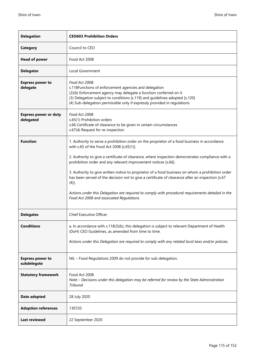| <b>Delegation</b>                         | <b>CEO603 Prohibition Orders</b>                                                                                                                                                                                                                                                                        |
|-------------------------------------------|---------------------------------------------------------------------------------------------------------------------------------------------------------------------------------------------------------------------------------------------------------------------------------------------------------|
| <b>Category</b>                           | Council to CEO                                                                                                                                                                                                                                                                                          |
| <b>Head of power</b>                      | Food Act 2008                                                                                                                                                                                                                                                                                           |
| <b>Delegator</b>                          | <b>Local Government</b>                                                                                                                                                                                                                                                                                 |
| <b>Express power to</b><br>delegate       | Food Act 2008:<br>s.118Functions of enforcement agencies and delegation<br>(2)(b) Enforcement agency may delegate a function conferred on it<br>(3) Delegation subject to conditions [s.119] and guidelines adopted [s.120]<br>(4) Sub-delegation permissible only if expressly provided in regulations |
| <b>Express power or duty</b><br>delegated | Food Act 2008:<br>s.65(1) Prohibition orders<br>s.66 Certificate of clearance to be given in certain circumstances<br>s.67(4) Request for re-inspection                                                                                                                                                 |
| <b>Function</b>                           | 1. Authority to serve a prohibition order on the proprietor of a food business in accordance<br>with s.65 of the Food Act 2008 [s.65(1)].                                                                                                                                                               |
|                                           | 2. Authority to give a certificate of clearance, where inspection demonstrates compliance with a<br>prohibition order and any relevant improvement notices [s.66].                                                                                                                                      |
|                                           | 3. Authority to give written notice to proprietor of a food business on whom a prohibition order<br>has been served of the decision not to give a certificate of clearance after an inspection [s.67<br>$(4)$ ].                                                                                        |
|                                           | Actions under this Delegation are required to comply with procedural requirements detailed in the<br>Food Act 2008 and associated Regulations.                                                                                                                                                          |
| <b>Delegates</b>                          | <b>Chief Executive Officer</b>                                                                                                                                                                                                                                                                          |
| <b>Conditions</b>                         | a. In accordance with s.118(3)(b), this delegation is subject to relevant Department of Health<br>(DoH) CEO Guidelines, as amended from time to time.                                                                                                                                                   |
|                                           | Actions under this Delegation are required to comply with any related local laws and/or policies.                                                                                                                                                                                                       |
| <b>Express power to</b><br>subdelegate    | NIL - Food Regulations 2009 do not provide for sub-delegation.                                                                                                                                                                                                                                          |
| <b>Statutory framework</b>                | Food Act 2008<br>Note - Decisions under this delegation may be referred for review by the State Administration<br><b>Tribunal</b>                                                                                                                                                                       |
| Date adopted                              | 28 July 2020                                                                                                                                                                                                                                                                                            |
| <b>Adoption references</b>                | 130720                                                                                                                                                                                                                                                                                                  |
| <b>Last reviewed</b>                      | 22 September 2020                                                                                                                                                                                                                                                                                       |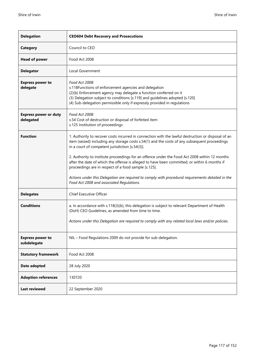| <b>Delegation</b>                         | <b>CEO604 Debt Recovery and Prosecutions</b>                                                                                                                                                                                                                                                                                                                                                                                                                                                                                                                                                                                                                      |
|-------------------------------------------|-------------------------------------------------------------------------------------------------------------------------------------------------------------------------------------------------------------------------------------------------------------------------------------------------------------------------------------------------------------------------------------------------------------------------------------------------------------------------------------------------------------------------------------------------------------------------------------------------------------------------------------------------------------------|
| Category                                  | Council to CEO                                                                                                                                                                                                                                                                                                                                                                                                                                                                                                                                                                                                                                                    |
| <b>Head of power</b>                      | Food Act 2008                                                                                                                                                                                                                                                                                                                                                                                                                                                                                                                                                                                                                                                     |
| <b>Delegator</b>                          | Local Government                                                                                                                                                                                                                                                                                                                                                                                                                                                                                                                                                                                                                                                  |
| <b>Express power to</b><br>delegate       | Food Act 2008:<br>s.118Functions of enforcement agencies and delegation<br>(2)(b) Enforcement agency may delegate a function conferred on it<br>(3) Delegation subject to conditions [s.119] and guidelines adopted [s.120]<br>(4) Sub-delegation permissible only if expressly provided in regulations                                                                                                                                                                                                                                                                                                                                                           |
| <b>Express power or duty</b><br>delegated | Food Act 2008:<br>s.54 Cost of destruction or disposal of forfeited item<br>s.125 Institution of proceedings                                                                                                                                                                                                                                                                                                                                                                                                                                                                                                                                                      |
| <b>Function</b>                           | 1. Authority to recover costs incurred in connection with the lawful destruction or disposal of an<br>item (seized) including any storage costs s.54(1) and the costs of any subsequent proceedings<br>in a court of competent jurisdiction [s.54(3)].<br>2. Authority to institute proceedings for an offence under the Food Act 2008 within 12 months<br>after the date of which the offense is alleged to have been committed, or within 6 months if<br>proceedings are in respect of a food sample [s.125].<br>Actions under this Delegation are required to comply with procedural requirements detailed in the<br>Food Act 2008 and associated Regulations. |
| <b>Delegates</b>                          | Chief Executive Officer                                                                                                                                                                                                                                                                                                                                                                                                                                                                                                                                                                                                                                           |
| <b>Conditions</b>                         | a. In accordance with s.118(3)(b), this delegation is subject to relevant Department of Health<br>(DoH) CEO Guidelines, as amended from time to time.<br>Actions under this Delegation are required to comply with any related local laws and/or policies.                                                                                                                                                                                                                                                                                                                                                                                                        |
| <b>Express power to</b><br>subdelegate    | NIL - Food Regulations 2009 do not provide for sub-delegation.                                                                                                                                                                                                                                                                                                                                                                                                                                                                                                                                                                                                    |
| <b>Statutory framework</b>                | Food Act 2008                                                                                                                                                                                                                                                                                                                                                                                                                                                                                                                                                                                                                                                     |
| Date adopted                              | 28 July 2020                                                                                                                                                                                                                                                                                                                                                                                                                                                                                                                                                                                                                                                      |
| <b>Adoption references</b>                | 130720                                                                                                                                                                                                                                                                                                                                                                                                                                                                                                                                                                                                                                                            |
| <b>Last reviewed</b>                      | 22 September 2020                                                                                                                                                                                                                                                                                                                                                                                                                                                                                                                                                                                                                                                 |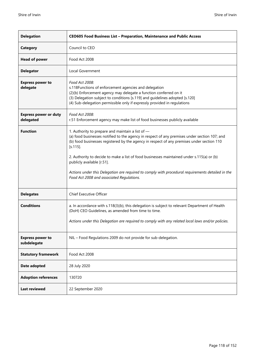| <b>Delegation</b>                         | CEO605 Food Business List - Preparation, Maintenance and Public Access                                                                                                                                                                                                                                                                                                                                                                                                                                                                    |
|-------------------------------------------|-------------------------------------------------------------------------------------------------------------------------------------------------------------------------------------------------------------------------------------------------------------------------------------------------------------------------------------------------------------------------------------------------------------------------------------------------------------------------------------------------------------------------------------------|
| <b>Category</b>                           | Council to CEO                                                                                                                                                                                                                                                                                                                                                                                                                                                                                                                            |
| <b>Head of power</b>                      | Food Act 2008                                                                                                                                                                                                                                                                                                                                                                                                                                                                                                                             |
| <b>Delegator</b>                          | <b>Local Government</b>                                                                                                                                                                                                                                                                                                                                                                                                                                                                                                                   |
| <b>Express power to</b><br>delegate       | Food Act 2008:<br>s.118Functions of enforcement agencies and delegation<br>(2)(b) Enforcement agency may delegate a function conferred on it<br>(3) Delegation subject to conditions [s.119] and guidelines adopted [s.120]<br>(4) Sub-delegation permissible only if expressly provided in regulations                                                                                                                                                                                                                                   |
| <b>Express power or duty</b><br>delegated | Food Act 2008:<br>r.51 Enforcement agency may make list of food businesses publicly available                                                                                                                                                                                                                                                                                                                                                                                                                                             |
| <b>Function</b>                           | 1. Authority to prepare and maintain a list of -<br>(a) food businesses notified to the agency in respect of any premises under section 107; and<br>(b) food businesses registered by the agency in respect of any premises under section 110<br>$[s.115]$ .<br>2. Authority to decide to make a list of food businesses maintained under s.115(a) or (b)<br>publicly available [r.51].<br>Actions under this Delegation are required to comply with procedural requirements detailed in the<br>Food Act 2008 and associated Regulations. |
| <b>Delegates</b>                          | Chief Executive Officer                                                                                                                                                                                                                                                                                                                                                                                                                                                                                                                   |
| <b>Conditions</b>                         | a. In accordance with s.118(3)(b), this delegation is subject to relevant Department of Health<br>(DoH) CEO Guidelines, as amended from time to time.<br>Actions under this Delegation are required to comply with any related local laws and/or policies.                                                                                                                                                                                                                                                                                |
| <b>Express power to</b><br>subdelegate    | NIL - Food Regulations 2009 do not provide for sub-delegation.                                                                                                                                                                                                                                                                                                                                                                                                                                                                            |
| <b>Statutory framework</b>                | Food Act 2008                                                                                                                                                                                                                                                                                                                                                                                                                                                                                                                             |
| Date adopted                              | 28 July 2020                                                                                                                                                                                                                                                                                                                                                                                                                                                                                                                              |
| <b>Adoption references</b>                | 130720                                                                                                                                                                                                                                                                                                                                                                                                                                                                                                                                    |
| <b>Last reviewed</b>                      | 22 September 2020                                                                                                                                                                                                                                                                                                                                                                                                                                                                                                                         |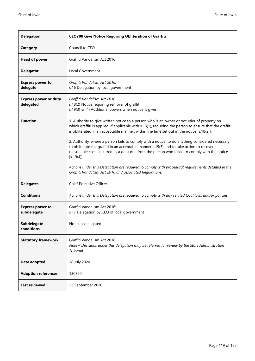| <b>Delegation</b>                         | <b>CEO700 Give Notice Requiring Obliteration of Graffiti</b>                                                                                                                                                                                                                                                                                                                                                                                                                                                                                                                                                                                                                                                                                                                   |
|-------------------------------------------|--------------------------------------------------------------------------------------------------------------------------------------------------------------------------------------------------------------------------------------------------------------------------------------------------------------------------------------------------------------------------------------------------------------------------------------------------------------------------------------------------------------------------------------------------------------------------------------------------------------------------------------------------------------------------------------------------------------------------------------------------------------------------------|
| <b>Category</b>                           | Council to CEO                                                                                                                                                                                                                                                                                                                                                                                                                                                                                                                                                                                                                                                                                                                                                                 |
| <b>Head of power</b>                      | Graffiti Vandalism Act 2016                                                                                                                                                                                                                                                                                                                                                                                                                                                                                                                                                                                                                                                                                                                                                    |
| <b>Delegator</b>                          | <b>Local Government</b>                                                                                                                                                                                                                                                                                                                                                                                                                                                                                                                                                                                                                                                                                                                                                        |
| <b>Express power to</b><br>delegate       | Graffiti Vandalism Act 2016:<br>s.16 Delegation by local government                                                                                                                                                                                                                                                                                                                                                                                                                                                                                                                                                                                                                                                                                                            |
| <b>Express power or duty</b><br>delegated | Graffiti Vandalism Act 2016<br>s.18(2) Notice requiring removal of graffiti<br>s.19(3) & (4) Additional powers when notice is given                                                                                                                                                                                                                                                                                                                                                                                                                                                                                                                                                                                                                                            |
| <b>Function</b>                           | 1. Authority to give written notice to a person who is an owner or occupier of property on<br>which graffiti is applied, if applicable with s.18(1), requiring the person to ensure that the graffiti<br>is obliterated in an acceptable manner, within the time set out in the notice [s.18(2)].<br>2. Authority, where a person fails to comply with a notice, to do anything considered necessary<br>to obliterate the graffiti in an acceptable manner s.19(3) and to take action to recover<br>reasonable costs incurred as a debt due from the person who failed to comply with the notice<br>[s.19(4)].<br>Actions under this Delegation are required to comply with procedural requirements detailed in the<br>Graffiti Vandalism Act 2016 and associated Regulations. |
| <b>Delegates</b>                          | <b>Chief Executive Officer</b>                                                                                                                                                                                                                                                                                                                                                                                                                                                                                                                                                                                                                                                                                                                                                 |
| <b>Conditions</b>                         | Actions under this Delegation are required to comply with any related local laws and/or policies.                                                                                                                                                                                                                                                                                                                                                                                                                                                                                                                                                                                                                                                                              |
| <b>Express power to</b><br>subdelegate    | Graffiti Vandalism Act 2016:<br>s.17 Delegation by CEO of local government                                                                                                                                                                                                                                                                                                                                                                                                                                                                                                                                                                                                                                                                                                     |
| Subdelegate<br>conditions                 | Not sub-delegated                                                                                                                                                                                                                                                                                                                                                                                                                                                                                                                                                                                                                                                                                                                                                              |
| <b>Statutory framework</b>                | Graffiti Vandalism Act 2016<br>Note - Decisions under this delegation may be referred for review by the State Administration<br><b>Tribunal</b>                                                                                                                                                                                                                                                                                                                                                                                                                                                                                                                                                                                                                                |
| Date adopted                              | 28 July 2020                                                                                                                                                                                                                                                                                                                                                                                                                                                                                                                                                                                                                                                                                                                                                                   |
| <b>Adoption references</b>                | 130720                                                                                                                                                                                                                                                                                                                                                                                                                                                                                                                                                                                                                                                                                                                                                                         |
| <b>Last reviewed</b>                      | 22 September 2020                                                                                                                                                                                                                                                                                                                                                                                                                                                                                                                                                                                                                                                                                                                                                              |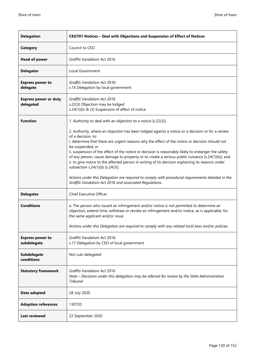| <b>Delegation</b>                         | CEO701 Notices - Deal with Objections and Suspension of Effect of Notices                                                                                                                                                                                                                                                                                                                                                                                                                                                                                                                                                                                                                                                                                      |
|-------------------------------------------|----------------------------------------------------------------------------------------------------------------------------------------------------------------------------------------------------------------------------------------------------------------------------------------------------------------------------------------------------------------------------------------------------------------------------------------------------------------------------------------------------------------------------------------------------------------------------------------------------------------------------------------------------------------------------------------------------------------------------------------------------------------|
| <b>Category</b>                           | Council to CEO                                                                                                                                                                                                                                                                                                                                                                                                                                                                                                                                                                                                                                                                                                                                                 |
| <b>Head of power</b>                      | Graffiti Vandalism Act 2016                                                                                                                                                                                                                                                                                                                                                                                                                                                                                                                                                                                                                                                                                                                                    |
| <b>Delegator</b>                          | Local Government                                                                                                                                                                                                                                                                                                                                                                                                                                                                                                                                                                                                                                                                                                                                               |
| <b>Express power to</b><br>delegate       | Graffiti Vandalism Act 2016:<br>s.16 Delegation by local government                                                                                                                                                                                                                                                                                                                                                                                                                                                                                                                                                                                                                                                                                            |
| <b>Express power or duty</b><br>delegated | Graffiti Vandalism Act 2016<br>s.22(3) Objection may be lodged<br>s.24(1)(b) & (3) Suspension of effect of notice                                                                                                                                                                                                                                                                                                                                                                                                                                                                                                                                                                                                                                              |
| <b>Function</b>                           | 1. Authority to deal with an objection to a notice [s.22(3)].                                                                                                                                                                                                                                                                                                                                                                                                                                                                                                                                                                                                                                                                                                  |
|                                           | 2. Authority, where an objection has been lodged against a notice or a decision or for a review<br>of a decision, to:<br>i. determine that there are urgent reasons why the effect of the notice or decision should not<br>be suspended; or<br>ii. suspension of the effect of the notice or decision is reasonably likely to endanger the safety<br>of any person, cause damage to property or to create a serious public nuisance [s.24(1)(b)]; and<br>ii. to give notice to the affected person in writing of its decision explaining its reasons under<br>subsection s.24(1)(b) [s.24(3)].<br>Actions under this Delegation are required to comply with procedural requirements detailed in the<br>Graffiti Vandalism Act 2016 and associated Regulations. |
| <b>Delegates</b>                          | <b>Chief Executive Officer</b>                                                                                                                                                                                                                                                                                                                                                                                                                                                                                                                                                                                                                                                                                                                                 |
| <b>Conditions</b>                         | a. The person who issued an infringement and/or notice is not permitted to determine an<br>objection, extend time, withdraw or revoke an infringement and/or notice, as is applicable, for<br>the same applicant and/or issue.<br>Actions under this Delegation are required to comply with any related local laws and/or policies.                                                                                                                                                                                                                                                                                                                                                                                                                            |
| <b>Express power to</b><br>subdelegate    | Graffiti Vandalism Act 2016:<br>s.17 Delegation by CEO of local government                                                                                                                                                                                                                                                                                                                                                                                                                                                                                                                                                                                                                                                                                     |
| Subdelegate<br>conditions                 | Not sub-delegated                                                                                                                                                                                                                                                                                                                                                                                                                                                                                                                                                                                                                                                                                                                                              |
| <b>Statutory framework</b>                | Graffiti Vandalism Act 2016<br>Note - Decisions under this delegation may be referred for review by the State Administration<br><b>Tribunal</b>                                                                                                                                                                                                                                                                                                                                                                                                                                                                                                                                                                                                                |
| Date adopted                              | 28 July 2020                                                                                                                                                                                                                                                                                                                                                                                                                                                                                                                                                                                                                                                                                                                                                   |
| <b>Adoption references</b>                | 130720                                                                                                                                                                                                                                                                                                                                                                                                                                                                                                                                                                                                                                                                                                                                                         |
| <b>Last reviewed</b>                      | 22 September 2020                                                                                                                                                                                                                                                                                                                                                                                                                                                                                                                                                                                                                                                                                                                                              |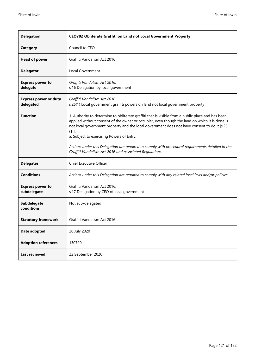| <b>Delegation</b>                         | CEO702 Obliterate Graffiti on Land not Local Government Property                                                                                                                                                                                                                                                                                                                                                                                                                                                           |
|-------------------------------------------|----------------------------------------------------------------------------------------------------------------------------------------------------------------------------------------------------------------------------------------------------------------------------------------------------------------------------------------------------------------------------------------------------------------------------------------------------------------------------------------------------------------------------|
| <b>Category</b>                           | Council to CEO                                                                                                                                                                                                                                                                                                                                                                                                                                                                                                             |
| <b>Head of power</b>                      | Graffiti Vandalism Act 2016                                                                                                                                                                                                                                                                                                                                                                                                                                                                                                |
| <b>Delegator</b>                          | Local Government                                                                                                                                                                                                                                                                                                                                                                                                                                                                                                           |
| <b>Express power to</b><br>delegate       | Graffiti Vandalism Act 2016:<br>s.16 Delegation by local government                                                                                                                                                                                                                                                                                                                                                                                                                                                        |
| <b>Express power or duty</b><br>delegated | Graffiti Vandalism Act 2016<br>s.25(1) Local government graffiti powers on land not local government property                                                                                                                                                                                                                                                                                                                                                                                                              |
| <b>Function</b>                           | 1. Authority to determine to obliterate graffiti that is visible from a public place and has been<br>applied without consent of the owner or occupier, even though the land on which it is done is<br>not local government property and the local government does not have consent to do it [s.25<br>$(1)$ ].<br>a. Subject to exercising Powers of Entry.<br>Actions under this Delegation are required to comply with procedural requirements detailed in the<br>Graffiti Vandalism Act 2016 and associated Regulations. |
| <b>Delegates</b>                          | <b>Chief Executive Officer</b>                                                                                                                                                                                                                                                                                                                                                                                                                                                                                             |
| <b>Conditions</b>                         | Actions under this Delegation are required to comply with any related local laws and/or policies.                                                                                                                                                                                                                                                                                                                                                                                                                          |
| <b>Express power to</b><br>subdelegate    | Graffiti Vandalism Act 2016:<br>s.17 Delegation by CEO of local government                                                                                                                                                                                                                                                                                                                                                                                                                                                 |
| Subdelegate<br>conditions                 | Not sub-delegated                                                                                                                                                                                                                                                                                                                                                                                                                                                                                                          |
| <b>Statutory framework</b>                | Graffiti Vandalism Act 2016                                                                                                                                                                                                                                                                                                                                                                                                                                                                                                |
| Date adopted                              | 28 July 2020                                                                                                                                                                                                                                                                                                                                                                                                                                                                                                               |
| <b>Adoption references</b>                | 130720                                                                                                                                                                                                                                                                                                                                                                                                                                                                                                                     |
| <b>Last reviewed</b>                      | 22 September 2020                                                                                                                                                                                                                                                                                                                                                                                                                                                                                                          |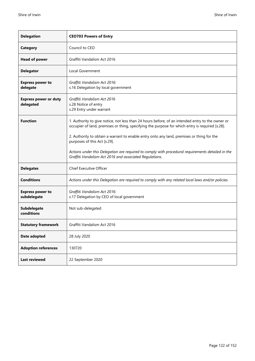| <b>Delegation</b>                         | <b>CEO703 Powers of Entry</b>                                                                                                                                                                                                                                                                                                                                                                                                                                                                    |
|-------------------------------------------|--------------------------------------------------------------------------------------------------------------------------------------------------------------------------------------------------------------------------------------------------------------------------------------------------------------------------------------------------------------------------------------------------------------------------------------------------------------------------------------------------|
| <b>Category</b>                           | Council to CEO                                                                                                                                                                                                                                                                                                                                                                                                                                                                                   |
| <b>Head of power</b>                      | Graffiti Vandalism Act 2016                                                                                                                                                                                                                                                                                                                                                                                                                                                                      |
| <b>Delegator</b>                          | Local Government                                                                                                                                                                                                                                                                                                                                                                                                                                                                                 |
| <b>Express power to</b><br>delegate       | Graffiti Vandalism Act 2016:<br>s.16 Delegation by local government                                                                                                                                                                                                                                                                                                                                                                                                                              |
| <b>Express power or duty</b><br>delegated | Graffiti Vandalism Act 2016<br>s.28 Notice of entry<br>s.29 Entry under warrant                                                                                                                                                                                                                                                                                                                                                                                                                  |
| <b>Function</b>                           | 1. Authority to give notice, not less than 24 hours before, of an intended entry to the owner or<br>occupier of land, premises or thing, specifying the purpose for which entry is required [s.28].<br>2. Authority to obtain a warrant to enable entry onto any land, premises or thing for the<br>purposes of this Act [s.29].<br>Actions under this Delegation are required to comply with procedural requirements detailed in the<br>Graffiti Vandalism Act 2016 and associated Regulations. |
| <b>Delegates</b>                          | Chief Executive Officer                                                                                                                                                                                                                                                                                                                                                                                                                                                                          |
| <b>Conditions</b>                         | Actions under this Delegation are required to comply with any related local laws and/or policies.                                                                                                                                                                                                                                                                                                                                                                                                |
| <b>Express power to</b><br>subdelegate    | Graffiti Vandalism Act 2016:<br>s.17 Delegation by CEO of local government                                                                                                                                                                                                                                                                                                                                                                                                                       |
| Subdelegate<br>conditions                 | Not sub-delegated                                                                                                                                                                                                                                                                                                                                                                                                                                                                                |
| <b>Statutory framework</b>                | Graffiti Vandalism Act 2016                                                                                                                                                                                                                                                                                                                                                                                                                                                                      |
| Date adopted                              | 28 July 2020                                                                                                                                                                                                                                                                                                                                                                                                                                                                                     |
| <b>Adoption references</b>                | 130720                                                                                                                                                                                                                                                                                                                                                                                                                                                                                           |
| <b>Last reviewed</b>                      | 22 September 2020                                                                                                                                                                                                                                                                                                                                                                                                                                                                                |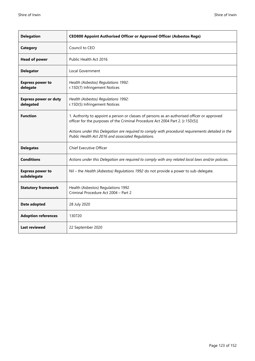| <b>Delegation</b>                         | <b>CEO800 Appoint Authorised Officer or Approved Officer (Asbestos Regs)</b>                                                                                                                                                                                                                                                             |
|-------------------------------------------|------------------------------------------------------------------------------------------------------------------------------------------------------------------------------------------------------------------------------------------------------------------------------------------------------------------------------------------|
| Category                                  | Council to CEO                                                                                                                                                                                                                                                                                                                           |
| <b>Head of power</b>                      | Public Health Act 2016                                                                                                                                                                                                                                                                                                                   |
| <b>Delegator</b>                          | Local Government                                                                                                                                                                                                                                                                                                                         |
| <b>Express power to</b><br>delegate       | Health (Asbestos) Regulations 1992:<br>r.15D(7) Infringement Notices                                                                                                                                                                                                                                                                     |
| <b>Express power or duty</b><br>delegated | Health (Asbestos) Regulations 1992:<br>r.15D(5) Infringement Notices                                                                                                                                                                                                                                                                     |
| <b>Function</b>                           | 1. Authority to appoint a person or classes of persons as an authorised officer or approved<br>officer for the purposes of the Criminal Procedure Act 2004 Part 2. [r.15D(5)]<br>Actions under this Delegation are required to comply with procedural requirements detailed in the<br>Public Health Act 2016 and associated Regulations. |
| <b>Delegates</b>                          | Chief Executive Officer                                                                                                                                                                                                                                                                                                                  |
| <b>Conditions</b>                         | Actions under this Delegation are required to comply with any related local laws and/or policies.                                                                                                                                                                                                                                        |
| <b>Express power to</b><br>subdelegate    | Nil - the Health (Asbestos) Regulations 1992 do not provide a power to sub-delegate.                                                                                                                                                                                                                                                     |
| <b>Statutory framework</b>                | Health (Asbestos) Regulations 1992<br>Criminal Procedure Act 2004 - Part 2                                                                                                                                                                                                                                                               |
| Date adopted                              | 28 July 2020                                                                                                                                                                                                                                                                                                                             |
| <b>Adoption references</b>                | 130720                                                                                                                                                                                                                                                                                                                                   |
| Last reviewed                             | 22 September 2020                                                                                                                                                                                                                                                                                                                        |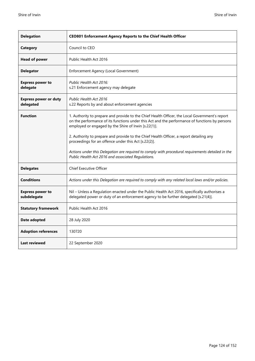| <b>Delegation</b>                         | <b>CEO801 Enforcement Agency Reports to the Chief Health Officer</b>                                                                                                                                                                                     |
|-------------------------------------------|----------------------------------------------------------------------------------------------------------------------------------------------------------------------------------------------------------------------------------------------------------|
| Category                                  | Council to CEO                                                                                                                                                                                                                                           |
| <b>Head of power</b>                      | Public Health Act 2016                                                                                                                                                                                                                                   |
| <b>Delegator</b>                          | Enforcement Agency (Local Government)                                                                                                                                                                                                                    |
| <b>Express power to</b><br>delegate       | Public Health Act 2016:<br>s.21 Enforcement agency may delegate                                                                                                                                                                                          |
| <b>Express power or duty</b><br>delegated | Public Health Act 2016<br>s.22 Reports by and about enforcement agencies                                                                                                                                                                                 |
| <b>Function</b>                           | 1. Authority to prepare and provide to the Chief Health Officer, the Local Government's report<br>on the performance of its functions under this Act and the performance of functions by persons<br>employed or engaged by the Shire of Irwin [s.22(1)]. |
|                                           | 2. Authority to prepare and provide to the Chief Health Officer, a report detailing any<br>proceedings for an offence under this Act [s.22(2)].                                                                                                          |
|                                           | Actions under this Delegation are required to comply with procedural requirements detailed in the<br>Public Health Act 2016 and associated Regulations.                                                                                                  |
| <b>Delegates</b>                          | <b>Chief Executive Officer</b>                                                                                                                                                                                                                           |
| <b>Conditions</b>                         | Actions under this Delegation are required to comply with any related local laws and/or policies.                                                                                                                                                        |
| <b>Express power to</b><br>subdelegate    | Nil - Unless a Regulation enacted under the Public Health Act 2016, specifically authorises a<br>delegated power or duty of an enforcement agency to be further delegated [s.21(4)].                                                                     |
| <b>Statutory framework</b>                | Public Health Act 2016                                                                                                                                                                                                                                   |
| Date adopted                              | 28 July 2020                                                                                                                                                                                                                                             |
| <b>Adoption references</b>                | 130720                                                                                                                                                                                                                                                   |
| Last reviewed                             | 22 September 2020                                                                                                                                                                                                                                        |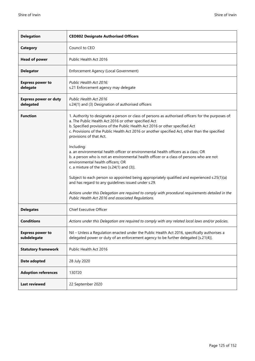| <b>Delegation</b>                         | <b>CEO802 Designate Authorised Officers</b>                                                                                                                                                                                                                                                                                                                                                                                                                                                                                                                                                                                                                                                                                                                                                                                                                                                                                                                                       |
|-------------------------------------------|-----------------------------------------------------------------------------------------------------------------------------------------------------------------------------------------------------------------------------------------------------------------------------------------------------------------------------------------------------------------------------------------------------------------------------------------------------------------------------------------------------------------------------------------------------------------------------------------------------------------------------------------------------------------------------------------------------------------------------------------------------------------------------------------------------------------------------------------------------------------------------------------------------------------------------------------------------------------------------------|
| Category                                  | Council to CEO                                                                                                                                                                                                                                                                                                                                                                                                                                                                                                                                                                                                                                                                                                                                                                                                                                                                                                                                                                    |
| <b>Head of power</b>                      | Public Health Act 2016                                                                                                                                                                                                                                                                                                                                                                                                                                                                                                                                                                                                                                                                                                                                                                                                                                                                                                                                                            |
| <b>Delegator</b>                          | Enforcement Agency (Local Government)                                                                                                                                                                                                                                                                                                                                                                                                                                                                                                                                                                                                                                                                                                                                                                                                                                                                                                                                             |
| <b>Express power to</b><br>delegate       | Public Health Act 2016:<br>s.21 Enforcement agency may delegate                                                                                                                                                                                                                                                                                                                                                                                                                                                                                                                                                                                                                                                                                                                                                                                                                                                                                                                   |
| <b>Express power or duty</b><br>delegated | Public Health Act 2016<br>s.24(1) and (3) Designation of authorised officers                                                                                                                                                                                                                                                                                                                                                                                                                                                                                                                                                                                                                                                                                                                                                                                                                                                                                                      |
| <b>Function</b>                           | 1. Authority to designate a person or class of persons as authorised officers for the purposes of:<br>a. The Public Health Act 2016 or other specified Act<br>b. Specified provisions of the Public Health Act 2016 or other specified Act<br>c. Provisions of the Public Health Act 2016 or another specified Act, other than the specified<br>provisions of that Act.<br>Including:<br>a. an environmental health officer or environmental health officers as a class; OR<br>b. a person who is not an environmental health officer or a class of persons who are not<br>environmental health officers; OR<br>c. a mixture of the two $[s.24(1)$ and $(3)]$ .<br>Subject to each person so appointed being appropriately qualified and experienced s.25(1)(a)<br>and has regard to any guidelines issued under s.29.<br>Actions under this Delegation are required to comply with procedural requirements detailed in the<br>Public Health Act 2016 and associated Regulations. |
| <b>Delegates</b>                          | Chief Executive Officer                                                                                                                                                                                                                                                                                                                                                                                                                                                                                                                                                                                                                                                                                                                                                                                                                                                                                                                                                           |
| <b>Conditions</b>                         | Actions under this Delegation are required to comply with any related local laws and/or policies.                                                                                                                                                                                                                                                                                                                                                                                                                                                                                                                                                                                                                                                                                                                                                                                                                                                                                 |
| <b>Express power to</b><br>subdelegate    | Nil - Unless a Regulation enacted under the Public Health Act 2016, specifically authorises a<br>delegated power or duty of an enforcement agency to be further delegated [s.21(4)].                                                                                                                                                                                                                                                                                                                                                                                                                                                                                                                                                                                                                                                                                                                                                                                              |
| <b>Statutory framework</b>                | Public Health Act 2016                                                                                                                                                                                                                                                                                                                                                                                                                                                                                                                                                                                                                                                                                                                                                                                                                                                                                                                                                            |
| Date adopted                              | 28 July 2020                                                                                                                                                                                                                                                                                                                                                                                                                                                                                                                                                                                                                                                                                                                                                                                                                                                                                                                                                                      |
| <b>Adoption references</b>                | 130720                                                                                                                                                                                                                                                                                                                                                                                                                                                                                                                                                                                                                                                                                                                                                                                                                                                                                                                                                                            |
| <b>Last reviewed</b>                      | 22 September 2020                                                                                                                                                                                                                                                                                                                                                                                                                                                                                                                                                                                                                                                                                                                                                                                                                                                                                                                                                                 |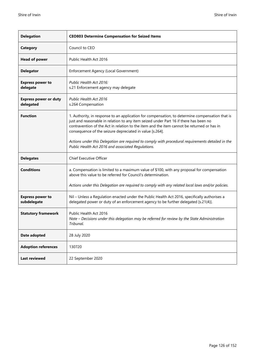| <b>Delegation</b>                         | <b>CEO803 Determine Compensation for Seized Items</b>                                                                                                                                                                                                                                                                                              |
|-------------------------------------------|----------------------------------------------------------------------------------------------------------------------------------------------------------------------------------------------------------------------------------------------------------------------------------------------------------------------------------------------------|
| <b>Category</b>                           | Council to CEO                                                                                                                                                                                                                                                                                                                                     |
| <b>Head of power</b>                      | Public Health Act 2016                                                                                                                                                                                                                                                                                                                             |
| <b>Delegator</b>                          | Enforcement Agency (Local Government)                                                                                                                                                                                                                                                                                                              |
| <b>Express power to</b><br>delegate       | Public Health Act 2016:<br>s.21 Enforcement agency may delegate                                                                                                                                                                                                                                                                                    |
| <b>Express power or duty</b><br>delegated | Public Health Act 2016<br>s.264 Compensation                                                                                                                                                                                                                                                                                                       |
| <b>Function</b>                           | 1. Authority, in response to an application for compensation, to determine compensation that is<br>just and reasonable in relation to any item seized under Part 16 if there has been no<br>contravention of the Act in relation to the item and the item cannot be returned or has in<br>consequence of the seizure depreciated in value [s.264]. |
|                                           | Actions under this Delegation are required to comply with procedural requirements detailed in the<br>Public Health Act 2016 and associated Regulations.                                                                                                                                                                                            |
| <b>Delegates</b>                          | <b>Chief Executive Officer</b>                                                                                                                                                                                                                                                                                                                     |
| <b>Conditions</b>                         | a. Compensation is limited to a maximum value of \$100, with any proposal for compensation<br>above this value to be referred for Council's determination.                                                                                                                                                                                         |
|                                           | Actions under this Delegation are required to comply with any related local laws and/or policies.                                                                                                                                                                                                                                                  |
| <b>Express power to</b><br>subdelegate    | Nil - Unless a Regulation enacted under the Public Health Act 2016, specifically authorises a<br>delegated power or duty of an enforcement agency to be further delegated [s.21(4)].                                                                                                                                                               |
| <b>Statutory framework</b>                | Public Health Act 2016<br>Note - Decisions under this delegation may be referred for review by the State Administration<br>Tribunal.                                                                                                                                                                                                               |
| Date adopted                              | 28 July 2020                                                                                                                                                                                                                                                                                                                                       |
| <b>Adoption references</b>                | 130720                                                                                                                                                                                                                                                                                                                                             |
| <b>Last reviewed</b>                      | 22 September 2020                                                                                                                                                                                                                                                                                                                                  |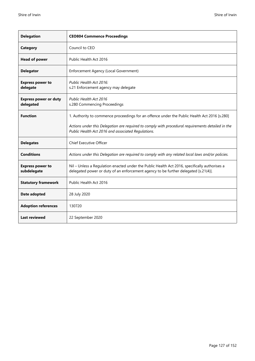| <b>Delegation</b>                         | <b>CEO804 Commence Proceedings</b>                                                                                                                                                   |
|-------------------------------------------|--------------------------------------------------------------------------------------------------------------------------------------------------------------------------------------|
| Category                                  | Council to CEO                                                                                                                                                                       |
| <b>Head of power</b>                      | Public Health Act 2016                                                                                                                                                               |
| <b>Delegator</b>                          | Enforcement Agency (Local Government)                                                                                                                                                |
| <b>Express power to</b><br>delegate       | Public Health Act 2016:<br>s.21 Enforcement agency may delegate                                                                                                                      |
| <b>Express power or duty</b><br>delegated | Public Health Act 2016<br>s.280 Commencing Proceedings                                                                                                                               |
| <b>Function</b>                           | 1. Authority to commence proceedings for an offence under the Public Health Act 2016 [s.280]                                                                                         |
|                                           | Actions under this Delegation are required to comply with procedural requirements detailed in the<br>Public Health Act 2016 and associated Regulations.                              |
| <b>Delegates</b>                          | Chief Executive Officer                                                                                                                                                              |
| <b>Conditions</b>                         | Actions under this Delegation are required to comply with any related local laws and/or policies.                                                                                    |
| <b>Express power to</b><br>subdelegate    | Nil - Unless a Regulation enacted under the Public Health Act 2016, specifically authorises a<br>delegated power or duty of an enforcement agency to be further delegated [s.21(4)]. |
| <b>Statutory framework</b>                | Public Health Act 2016                                                                                                                                                               |
| Date adopted                              | 28 July 2020                                                                                                                                                                         |
| <b>Adoption references</b>                | 130720                                                                                                                                                                               |
| Last reviewed                             | 22 September 2020                                                                                                                                                                    |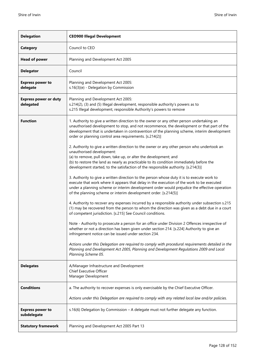| <b>Delegation</b>                         | <b>CEO900 Illegal Development</b>                                                                                                                                                                                                                                                                                                                                                                                                                                          |
|-------------------------------------------|----------------------------------------------------------------------------------------------------------------------------------------------------------------------------------------------------------------------------------------------------------------------------------------------------------------------------------------------------------------------------------------------------------------------------------------------------------------------------|
| Category                                  | Council to CEO                                                                                                                                                                                                                                                                                                                                                                                                                                                             |
| <b>Head of power</b>                      | Planning and Development Act 2005                                                                                                                                                                                                                                                                                                                                                                                                                                          |
| <b>Delegator</b>                          | Council                                                                                                                                                                                                                                                                                                                                                                                                                                                                    |
| <b>Express power to</b><br>delegate       | Planning and Development Act 2005:<br>s.16(3)(e) - Delegation by Commission                                                                                                                                                                                                                                                                                                                                                                                                |
| <b>Express power or duty</b><br>delegated | Planning and Development Act 2005:<br>s.214(2), (3) and (5) Illegal development, responsible authority's powers as to<br>s.215 Illegal development, responsible Authority's powers to remove                                                                                                                                                                                                                                                                               |
| <b>Function</b>                           | 1. Authority to give a written direction to the owner or any other person undertaking an<br>unauthorised development to stop, and not recommence, the development or that part of the<br>development that is undertaken in contravention of the planning scheme, interim development<br>order or planning control area requirements. [s.214(2)]<br>2. Authority to give a written direction to the owner or any other person who undertook an<br>unauthorised development: |
|                                           | (a) to remove, pull down, take up, or alter the development; and<br>(b) to restore the land as nearly as practicable to its condition immediately before the<br>development started, to the satisfaction of the responsible authority. [s.214(3)]<br>3. Authority to give a written direction to the person whose duty it is to execute work to                                                                                                                            |
|                                           | execute that work where it appears that delay in the execution of the work to be executed<br>under a planning scheme or interim development order would prejudice the effective operation<br>of the planning scheme or interim development order. [s.214(5)]                                                                                                                                                                                                               |
|                                           | 4. Authority to recover any expenses incurred by a responsible authority under subsection s.215<br>(1) may be recovered from the person to whom the direction was given as a debt due in a court<br>of competent jurisdiction. [s.215] See Council conditions.                                                                                                                                                                                                             |
|                                           | Note - Authority to prosecute a person for an office under Division 2 Offences irrespective of<br>whether or not a direction has been given under section 214. [s.224] Authority to give an<br>infringement notice can be issued under section 234.                                                                                                                                                                                                                        |
|                                           | Actions under this Delegation are required to comply with procedural requirements detailed in the<br>Planning and Development Act 2005, Planning and Development Regulations 2009 and Local<br>Planning Scheme 05.                                                                                                                                                                                                                                                         |
| <b>Delegates</b>                          | A/Manager Infrastructure and Development<br>Chief Executive Officer<br>Manager Development                                                                                                                                                                                                                                                                                                                                                                                 |
| <b>Conditions</b>                         | a. The authority to recover expenses is only exercisable by the Chief Executive Officer.<br>Actions under this Delegation are required to comply with any related local law and/or policies.                                                                                                                                                                                                                                                                               |
| <b>Express power to</b><br>subdelegate    | s.16(6) Delegation by Commission - A delegate must not further delegate any function.                                                                                                                                                                                                                                                                                                                                                                                      |
| <b>Statutory framework</b>                | Planning and Development Act 2005 Part 13                                                                                                                                                                                                                                                                                                                                                                                                                                  |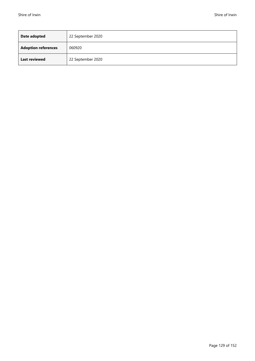| Date adopted               | 22 September 2020 |
|----------------------------|-------------------|
| <b>Adoption references</b> | 060920            |
| Last reviewed              | 22 September 2020 |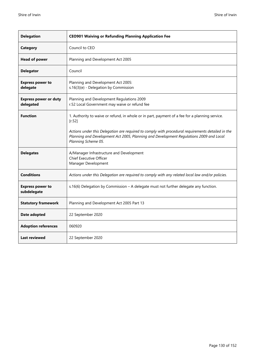| <b>Delegation</b>                         | <b>CEO901 Waiving or Refunding Planning Application Fee</b>                                                                                                                                                        |
|-------------------------------------------|--------------------------------------------------------------------------------------------------------------------------------------------------------------------------------------------------------------------|
| <b>Category</b>                           | Council to CEO                                                                                                                                                                                                     |
| <b>Head of power</b>                      | Planning and Development Act 2005                                                                                                                                                                                  |
| <b>Delegator</b>                          | Council                                                                                                                                                                                                            |
| <b>Express power to</b><br>delegate       | Planning and Development Act 2005:<br>s.16(3)(e) - Delegation by Commission                                                                                                                                        |
| <b>Express power or duty</b><br>delegated | Planning and Development Regulations 2009<br>r.52 Local Government may waive or refund fee                                                                                                                         |
| <b>Function</b>                           | 1. Authority to waive or refund, in whole or in part, payment of a fee for a planning service.<br>[r.52]                                                                                                           |
|                                           | Actions under this Delegation are required to comply with procedural requirements detailed in the<br>Planning and Development Act 2005, Planning and Development Regulations 2009 and Local<br>Planning Scheme 05. |
| <b>Delegates</b>                          | A/Manager Infrastructure and Development<br><b>Chief Executive Officer</b><br>Manager Development                                                                                                                  |
| <b>Conditions</b>                         | Actions under this Delegation are required to comply with any related local law and/or policies.                                                                                                                   |
| <b>Express power to</b><br>subdelegate    | s.16(6) Delegation by Commission - A delegate must not further delegate any function.                                                                                                                              |
| <b>Statutory framework</b>                | Planning and Development Act 2005 Part 13                                                                                                                                                                          |
| Date adopted                              | 22 September 2020                                                                                                                                                                                                  |
| <b>Adoption references</b>                | 060920                                                                                                                                                                                                             |
| <b>Last reviewed</b>                      | 22 September 2020                                                                                                                                                                                                  |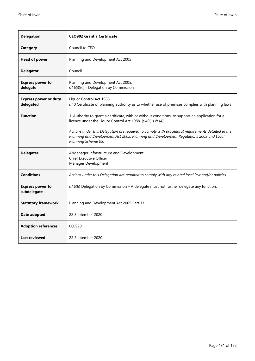| <b>Delegation</b>                         | <b>CEO902 Grant a Certificate</b>                                                                                                                                                                                  |
|-------------------------------------------|--------------------------------------------------------------------------------------------------------------------------------------------------------------------------------------------------------------------|
| Category                                  | Council to CEO                                                                                                                                                                                                     |
| <b>Head of power</b>                      | Planning and Development Act 2005                                                                                                                                                                                  |
| <b>Delegator</b>                          | Council                                                                                                                                                                                                            |
| <b>Express power to</b><br>delegate       | Planning and Development Act 2005:<br>s.16(3)(e) - Delegation by Commission                                                                                                                                        |
| <b>Express power or duty</b><br>delegated | Liquor Control Act 1988:<br>s.40 Certificate of planning authority as to whether use of premises complies with planning laws                                                                                       |
| <b>Function</b>                           | 1. Authority to grant a certificate, with or without conditions, to support an application for a<br>licence under the Liquor Control Act 1988. [s.40(1) & (4)]                                                     |
|                                           | Actions under this Delegation are required to comply with procedural requirements detailed in the<br>Planning and Development Act 2005, Planning and Development Regulations 2009 and Local<br>Planning Scheme 05. |
| <b>Delegates</b>                          | A/Manager Infrastructure and Development<br>Chief Executive Officer<br>Manager Development                                                                                                                         |
| <b>Conditions</b>                         | Actions under this Delegation are required to comply with any related local law and/or policies.                                                                                                                   |
| <b>Express power to</b><br>subdelegate    | s.16(6) Delegation by Commission - A delegate must not further delegate any function.                                                                                                                              |
| <b>Statutory framework</b>                | Planning and Development Act 2005 Part 13                                                                                                                                                                          |
| Date adopted                              | 22 September 2020                                                                                                                                                                                                  |
| <b>Adoption references</b>                | 060920                                                                                                                                                                                                             |
| Last reviewed                             | 22 September 2020                                                                                                                                                                                                  |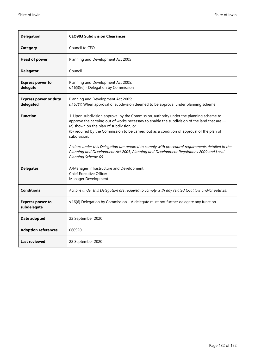| <b>Delegation</b>                         | <b>CEO903 Subdivision Clearances</b>                                                                                                                                                                                                                                                                                                                                                                                                                                                                                                                                   |
|-------------------------------------------|------------------------------------------------------------------------------------------------------------------------------------------------------------------------------------------------------------------------------------------------------------------------------------------------------------------------------------------------------------------------------------------------------------------------------------------------------------------------------------------------------------------------------------------------------------------------|
| <b>Category</b>                           | Council to CEO                                                                                                                                                                                                                                                                                                                                                                                                                                                                                                                                                         |
| <b>Head of power</b>                      | Planning and Development Act 2005                                                                                                                                                                                                                                                                                                                                                                                                                                                                                                                                      |
| <b>Delegator</b>                          | Council                                                                                                                                                                                                                                                                                                                                                                                                                                                                                                                                                                |
| <b>Express power to</b><br>delegate       | Planning and Development Act 2005:<br>s.16(3)(e) - Delegation by Commission                                                                                                                                                                                                                                                                                                                                                                                                                                                                                            |
| <b>Express power or duty</b><br>delegated | Planning and Development Act 2005:<br>s.157(1) When approval of subdivision deemed to be approval under planning scheme                                                                                                                                                                                                                                                                                                                                                                                                                                                |
| <b>Function</b>                           | 1. Upon subdivision approval by the Commission, authority under the planning scheme to<br>approve the carrying out of works necessary to enable the subdivision of the land that are -<br>(a) shown on the plan of subdivision; or<br>(b) required by the Commission to be carried out as a condition of approval of the plan of<br>subdivision.<br>Actions under this Delegation are required to comply with procedural requirements detailed in the<br>Planning and Development Act 2005, Planning and Development Regulations 2009 and Local<br>Planning Scheme 05. |
| <b>Delegates</b>                          | A/Manager Infrastructure and Development<br>Chief Executive Officer<br>Manager Development                                                                                                                                                                                                                                                                                                                                                                                                                                                                             |
| <b>Conditions</b>                         | Actions under this Delegation are required to comply with any related local law and/or policies.                                                                                                                                                                                                                                                                                                                                                                                                                                                                       |
| <b>Express power to</b><br>subdelegate    | s.16(6) Delegation by Commission - A delegate must not further delegate any function.                                                                                                                                                                                                                                                                                                                                                                                                                                                                                  |
| Date adopted                              | 22 September 2020                                                                                                                                                                                                                                                                                                                                                                                                                                                                                                                                                      |
| <b>Adoption references</b>                | 060920                                                                                                                                                                                                                                                                                                                                                                                                                                                                                                                                                                 |
| <b>Last reviewed</b>                      | 22 September 2020                                                                                                                                                                                                                                                                                                                                                                                                                                                                                                                                                      |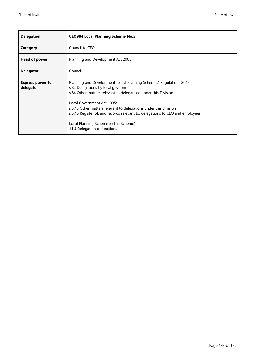| <b>Delegation</b>                   | <b>CEO904 Local Planning Scheme No.5</b>                                                                                                                                                                                                                                                                                                                                                                                                |
|-------------------------------------|-----------------------------------------------------------------------------------------------------------------------------------------------------------------------------------------------------------------------------------------------------------------------------------------------------------------------------------------------------------------------------------------------------------------------------------------|
| Category                            | Council to CEO                                                                                                                                                                                                                                                                                                                                                                                                                          |
| <b>Head of power</b>                | Planning and Development Act 2005                                                                                                                                                                                                                                                                                                                                                                                                       |
| <b>Delegator</b>                    | Council                                                                                                                                                                                                                                                                                                                                                                                                                                 |
| <b>Express power to</b><br>delegate | Planning and Development (Local Planning Schemes) Regulations 2015<br>s.82 Delegations by local government<br>s.84 Other matters relevant to delegations under this Division<br>Local Government Act 1995:<br>s.5.45 Other matters relevant to delegations under this Division<br>s.5.46 Register of, and records relevant to, delegations to CEO and employees<br>Local Planning Scheme 5 (The Scheme)<br>11.3 Delegation of functions |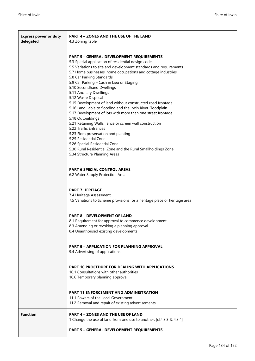| <b>Express power or duty</b><br>delegated | <b>PART 4 - ZONES AND THE USE OF THE LAND</b><br>4.3 Zoning table                                                                                                                                                                                                                                                                                                                                                                                                                                                                                                                                                                                                                                                                                                                                                                                                                                               |
|-------------------------------------------|-----------------------------------------------------------------------------------------------------------------------------------------------------------------------------------------------------------------------------------------------------------------------------------------------------------------------------------------------------------------------------------------------------------------------------------------------------------------------------------------------------------------------------------------------------------------------------------------------------------------------------------------------------------------------------------------------------------------------------------------------------------------------------------------------------------------------------------------------------------------------------------------------------------------|
|                                           | <b>PART 5 - GENERAL DEVELOPMENT REQUIREMENTS</b><br>5.3 Special application of residential design codes<br>5.5 Variations to site and development standards and requirements<br>5.7 Home businesses, home occupations and cottage industries<br>5.8 Car Parking Standards<br>5.9 Car Parking - Cash in Lieu or Staging<br>5.10 Secondhand Dwellings<br>5.11 Ancillary Dwellings<br>5.12 Waste Disposal<br>5.15 Development of land without constructed road frontage<br>5.16 Land liable to flooding and the Irwin River Floodplain<br>5.17 Development of lots with more than one street frontage<br>5.18 Outbuildings<br>5.21 Retaining Walls, fence or screen wall construction<br>5.22 Traffic Entrances<br>5.23 Flora preservation and planting<br>5.25 Residential Zone<br>5.26 Special Residential Zone<br>5.30 Rural Residential Zone and the Rural Smallholdings Zone<br>5.34 Structure Planning Areas |
|                                           | <b>PART 6 SPECIAL CONTROL AREAS</b><br>6.2 Water Supply Protection Area<br><b>PART 7 HERITAGE</b><br>7.4 Heritage Assessment<br>7.5 Variations to Scheme provisions for a heritage place or heritage area                                                                                                                                                                                                                                                                                                                                                                                                                                                                                                                                                                                                                                                                                                       |
|                                           | <b>PART 8 - DEVELOPMENT OF LAND</b><br>8.1 Requirement for approval to commence development<br>8.3 Amending or revoking a planning approval<br>8.4 Unauthorised existing developments                                                                                                                                                                                                                                                                                                                                                                                                                                                                                                                                                                                                                                                                                                                           |
|                                           | <b>PART 9 - APPLICATION FOR PLANNING APPROVAL</b><br>9.4 Advertising of applications                                                                                                                                                                                                                                                                                                                                                                                                                                                                                                                                                                                                                                                                                                                                                                                                                            |
|                                           | PART 10 PROCEDURE FOR DEALING WITH APPLICATIONS<br>10.1 Consultations with other authorities<br>10.6 Temporary planning approval                                                                                                                                                                                                                                                                                                                                                                                                                                                                                                                                                                                                                                                                                                                                                                                |
|                                           | PART 11 ENFORCEMENT AND ADMINISTRATION<br>11.1 Powers of the Local Government<br>11.2 Removal and repair of existing advertisements                                                                                                                                                                                                                                                                                                                                                                                                                                                                                                                                                                                                                                                                                                                                                                             |
| <b>Function</b>                           | <b>PART 4 - ZONES AND THE USE OF LAND</b><br>1 Change the use of land from one use to another. [cl.4.3.3 & 4.3.4]<br><b>PART 5 - GENERAL DEVELOPMENT REQUIREMENTS</b>                                                                                                                                                                                                                                                                                                                                                                                                                                                                                                                                                                                                                                                                                                                                           |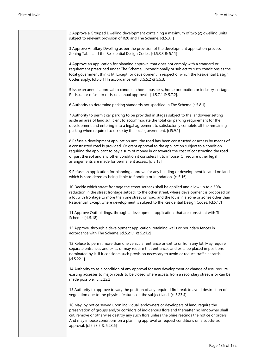2 Approve a Grouped Dwelling development containing a maximum of two (2) dwelling units, subject to relevant provision of R20 and The Scheme. [cl.5.3.1]

3 Approve Ancillary Dwelling as per the provision of the development application process, Zoning Table and the Residential Design Codes. [cl.5.3.3 & 5.11]

4 Approve an application for planning approval that does not comply with a standard or requirement prescribed under The Scheme, unconditionally or subject to such conditions as the local government thinks fit. Except for development in respect of which the Residential Design Codes apply. [cl.5.5.1] In accordance with cl.5.5.2 & 5.5.3.

5 Issue an annual approval to conduct a home business, home occupation or industry-cottage. Re-issue or refuse to re-issue annual approvals. [cl.5.7.1 & 5.7.2].

6 Authority to determine parking standards not specified in The Scheme [cl5.8.1]

7 Authority to permit car parking to be provided in stages subject to the landowner setting aside an area of land sufficient to accommodate the total car parking requirement for the development and entering into a legal agreement to satisfactorily complete all the remaining parking when required to do so by the local government. [cl5.9.1]

8 Refuse a development application until the road has been constructed or access by means of a constructed road is provided. Or grant approval to the application subject to a condition requiring the applicant to pay a sum of money in or towards the cost of constructing the road or part thereof and any other condition it considers fit to impose. Or require other legal arrangements are made for permanent access. [cl.5.15]

9 Refuse an application for planning approval for any building or development located on land which is considered as being liable to flooding or inundation. [cl.5.16]

10 Decide which street frontage the street setback shall be applied and allow up to a 50% reduction in the street frontage setback to the other street, where development is proposed on a lot with frontage to more than one street or road, and the lot is in a zone or zones other than Residential. Except where development is subject to the Residential Design Codes. [cl.5.17]

11 Approve Outbuildings, through a development application, that are consistent with The Scheme. [cl.5.18]

12 Approve, through a development application, retaining walls or boundary fences in accordance with The Scheme. [cl.5.21.1 & 5.21.2]

13 Refuse to permit more than one vehicular entrance or exit to or from any lot. May require separate entrances and exits; or may require that entrances and exits be placed in positions nominated by it, if it considers such provision necessary to avoid or reduce traffic hazards. [cl.5.22.1]

14 Authority to as a condition of any approval for new development or change of use, require existing accesses to major roads to be closed where access from a secondary street is or can be made possible. [cl.5.22.2]

15 Authority to approve to vary the position of any required firebreak to avoid destruction of vegetation due to the physical features on the subject land. [cl.5.23.4]

16 May, by notice served upon individual landowners or developers of land, require the preservation of groups and/or corridors of indigenous flora and thereafter no landowner shall cut, remove or otherwise destroy any such flora unless the Shire rescinds the notice or orders. And may impose conditions on a planning approval or request conditions on a subdivision approval. [cl.5.23.5 & 5.23.6]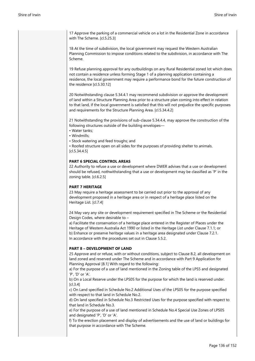17 Approve the parking of a commercial vehicle on a lot in the Residential Zone in accordance with The Scheme. [cl.5.25.3]

18 At the time of subdivision, the local government may request the Western Australian Planning Commission to impose conditions related to the subdivision, in accordance with The Scheme.

19 Refuse planning approval for any outbuildings on any Rural Residential zoned lot which does not contain a residence unless forming Stage 1 of a planning application containing a residence, the local government may require a performance bond for the future construction of the residence [cl.5.30.12]

20 Notwithstanding clause 5.34.4.1 may recommend subdivision or approve the development of land within a Structure Planning Area prior to a structure plan coming into effect in relation to that land, if the local government is satisfied that this will not prejudice the specific purposes and requirements for the Structure Planning Area. [cl.5.34.4.2]

21 Notwithstanding the provisions of sub-clause 5.34.4.4, may approve the construction of the following structures outside of the building envelopes—

- Water tanks;
- Windmills;

• Stock watering and feed troughs; and

• Roofed structure open on all sides for the purposes of providing shelter to animals. [cl.5.34.4.5]

## **PART 6 SPECIAL CONTROL AREAS**

22 Authority to refuse a use or development where DWER advises that a use or development should be refused, nothwithstanding that a use or development may be classified as 'P' in the zoning table. [cl.6.2.5]

## **PART 7 HERITAGE**

23 May require a heritage assessment to be carried out prior to the approval of any development proposed in a heritage area or in respect of a heritage place listed on the Heritage List. [cl.7.4]

24 May vary any site or development requirement specified in The Scheme or the Residential Design Codes, where desirable to –

a) Facilitate the conservation of a heritage place entered in the Register of Places under the Heritage of Western Australia Act 1990 or listed in the Heritage List under Clause 7.1.1; or b) Enhance or preserve heritage values in a heritage area designated under Clause 7.2.1. In accordance with the procedures set out in Clause 5.5.2.

## **PART 8 – DEVELOPMENT OF LAND**

25 Approve and or refuse, with or without conditions, subject to Clause 8.2, all development on land zoned and reserved under The Scheme and in accordance with Part 9 Application for Planning Approval [8.1] With regard to the following:

a) For the purpose of a use of land mentioned in the Zoning table of the LPS5 and designated 'P', 'D' or 'A'.

b) On a Local Reserve under the LPS05 for the purpose for which the land is reserved under.  $[cl.3.4]$ 

c) On Land specified in Schedule No.2 Additional Uses of the LPS05 for the purpose specified with respect to that land in Schedule No.2.

d) On land specified in Schedule No.3 Restricted Uses for the purpose specified with respect to that land in Schedule No.3.

e) For the purpose of a use of land mentioned in Schedule No.4 Special Use Zones of LPS05 and designated 'P', 'D' or 'A'.

f) To the erection placement and display of advertisements and the use of land or buildings for that purpose in accordance with The Scheme.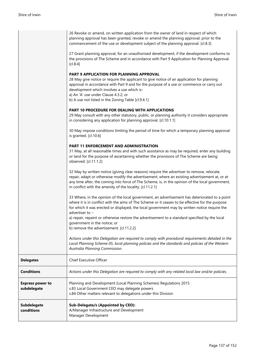|                                        | 26 Revoke or amend, on written application from the owner of land in respect of which<br>planning approval has been granted, revoke or amend the planning approval, prior to the<br>commencement of the use or development subject of the planning approval. [cl.8.3]                                                                                                         |
|----------------------------------------|-------------------------------------------------------------------------------------------------------------------------------------------------------------------------------------------------------------------------------------------------------------------------------------------------------------------------------------------------------------------------------|
|                                        | 27 Grant planning approval, for an unauthorised development, if the development conforms to<br>the provisions of The Scheme and in accordance with Part 9 Application for Planning Approval.<br>$[cl.8.4]$                                                                                                                                                                    |
|                                        | PART 9 APPLICATION FOR PLANNING APPROVAL<br>28 May give notice or require the applicant to give notice of an application for planning<br>approval in accordance with Part 9 and for the purpose of a use or commence or carry out<br>development which involves a use which is-<br>a) An 'A' use under Clause 4.3.2; or<br>b) A use not listed in the Zoning Table [cl.9.4.1] |
|                                        | PART 10 PROCEDURE FOR DEALING WITH APPLICATIONS<br>29 May consult with any other statutory, public, or planning authority it considers appropriate<br>in considering any application for planning approval. [cl.10.1.1]                                                                                                                                                       |
|                                        | 30 May impose conditions limiting the period of time for which a temporary planning approval<br>is granted. [cl.10.6]                                                                                                                                                                                                                                                         |
|                                        | PART 11 ENFORCEMENT AND ADMINISTRATION<br>31 May, at all reasonable times and with such assistance as may be required, enter any building<br>or land for the purpose of ascertaining whether the provisions of The Scheme are being<br>observed. [cl.11.1.2]                                                                                                                  |
|                                        | 32 May by written notice (giving clear reasons) require the advertiser to remove, relocate,<br>repair, adapt or otherwise modify the advertisement, where an existing advertisement at, or at<br>any time after, the coming into force of The Scheme, is, in the opinion of the local government,<br>in conflict with the amenity of the locality. [cl.11.2.1]                |
|                                        | 33 Where, in the opinion of the local government, an advertisement has deteriorated to a point<br>where it is in conflict with the aims of The Scheme or it ceases to be effective for the purpose<br>for which it was erected or displayed, the local government may by written notice require the<br>advertiser to -                                                        |
|                                        | a) repair, repaint or otherwise restore the advertisement to a standard specified by the local<br>government in the notice; or<br>b) remove the advertisement. [cl.11.2.2]                                                                                                                                                                                                    |
|                                        | Actions under this Delegation are required to comply with procedural requirements detailed in the<br>Local Planning Scheme 05, local planning policies and the standards and policies of the Western<br>Australia Planning Commission.                                                                                                                                        |
| <b>Delegates</b>                       | Chief Executive Officer                                                                                                                                                                                                                                                                                                                                                       |
| <b>Conditions</b>                      | Actions under this Delegation are required to comply with any related local law and/or policies.                                                                                                                                                                                                                                                                              |
| <b>Express power to</b><br>subdelegate | Planning and Development (Local Planning Schemes) Regulations 2015<br>s.83 Local Government CEO may delegate powers<br>s.84 Other matters relevant to delegations under this Division                                                                                                                                                                                         |
| Subdelegate<br>conditions              | Sub-Delegate/s (Appointed by CEO):<br>A/Manager Infrastructure and Development<br>Manager Development                                                                                                                                                                                                                                                                         |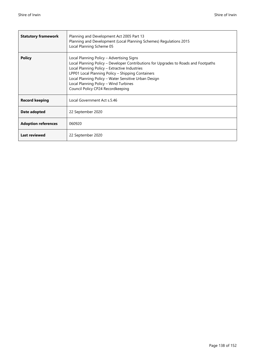| <b>Statutory framework</b> | Planning and Development Act 2005 Part 13<br>Planning and Development (Local Planning Schemes) Regulations 2015<br>Local Planning Scheme 05                                                                                                                                                                                                                                  |
|----------------------------|------------------------------------------------------------------------------------------------------------------------------------------------------------------------------------------------------------------------------------------------------------------------------------------------------------------------------------------------------------------------------|
| <b>Policy</b>              | Local Planning Policy - Advertising Signs<br>Local Planning Policy - Developer Contributions for Upgrades to Roads and Footpaths<br>Local Planning Policy - Extractive Industries<br>LPP01 Local Planning Policy - Shipping Containers<br>Local Planning Policy - Water Sensitive Urban Design<br>Local Planning Policy - Wind Turbines<br>Council Policy CP24 Recordkeeping |
| <b>Record keeping</b>      | Local Government Act s.5.46                                                                                                                                                                                                                                                                                                                                                  |
| Date adopted               | 22 September 2020                                                                                                                                                                                                                                                                                                                                                            |
| <b>Adoption references</b> | 060920                                                                                                                                                                                                                                                                                                                                                                       |
| <b>Last reviewed</b>       | 22 September 2020                                                                                                                                                                                                                                                                                                                                                            |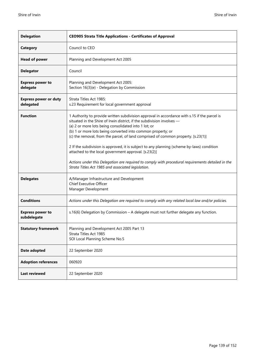| <b>Delegation</b>                         | <b>CEO905 Strata Title Applications - Certificates of Approval</b>                                                                                                                                                                                                                                                                                                                                                                                                                                                                                                                                                                                                                                  |
|-------------------------------------------|-----------------------------------------------------------------------------------------------------------------------------------------------------------------------------------------------------------------------------------------------------------------------------------------------------------------------------------------------------------------------------------------------------------------------------------------------------------------------------------------------------------------------------------------------------------------------------------------------------------------------------------------------------------------------------------------------------|
| <b>Category</b>                           | Council to CEO                                                                                                                                                                                                                                                                                                                                                                                                                                                                                                                                                                                                                                                                                      |
| <b>Head of power</b>                      | Planning and Development Act 2005                                                                                                                                                                                                                                                                                                                                                                                                                                                                                                                                                                                                                                                                   |
| <b>Delegator</b>                          | Council                                                                                                                                                                                                                                                                                                                                                                                                                                                                                                                                                                                                                                                                                             |
| <b>Express power to</b><br>delegate       | Planning and Development Act 2005:<br>Section 16(3)(e) - Delegation by Commission                                                                                                                                                                                                                                                                                                                                                                                                                                                                                                                                                                                                                   |
| <b>Express power or duty</b><br>delegated | Strata Titles Act 1985:<br>s.23 Requirement for local government approval                                                                                                                                                                                                                                                                                                                                                                                                                                                                                                                                                                                                                           |
| <b>Function</b>                           | 1 Authority to provide written subdivision approval in accordance with s.15 if the parcel is<br>situated in the Shire of Irwin district, if the subdivision involves -<br>(a) 2 or more lots being consolidated into 1 lot; or<br>(b) 1 or more lots being converted into common property; or<br>(c) the removal, from the parcel, of land comprised of common property. [s.23(1)]<br>2 If the subdivision is approved, it is subject to any planning (scheme by-laws) condition<br>attached to the local government approval. [s.23(2)]<br>Actions under this Delegation are required to comply with procedural requirements detailed in the<br>Strata Titles Act 1985 and associated legislation. |
| <b>Delegates</b>                          | A/Manager Infrastructure and Development<br>Chief Executive Officer<br>Manager Development                                                                                                                                                                                                                                                                                                                                                                                                                                                                                                                                                                                                          |
| <b>Conditions</b>                         | Actions under this Delegation are required to comply with any related local law and/or policies.                                                                                                                                                                                                                                                                                                                                                                                                                                                                                                                                                                                                    |
| <b>Express power to</b><br>subdelegate    | s.16(6) Delegation by Commission - A delegate must not further delegate any function.                                                                                                                                                                                                                                                                                                                                                                                                                                                                                                                                                                                                               |
| <b>Statutory framework</b>                | Planning and Development Act 2005 Part 13<br>Strata Titles Act 1985<br>SOI Local Planning Scheme No.5                                                                                                                                                                                                                                                                                                                                                                                                                                                                                                                                                                                               |
| Date adopted                              | 22 September 2020                                                                                                                                                                                                                                                                                                                                                                                                                                                                                                                                                                                                                                                                                   |
| <b>Adoption references</b>                | 060920                                                                                                                                                                                                                                                                                                                                                                                                                                                                                                                                                                                                                                                                                              |
| <b>Last reviewed</b>                      | 22 September 2020                                                                                                                                                                                                                                                                                                                                                                                                                                                                                                                                                                                                                                                                                   |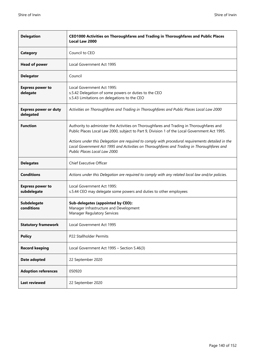| <b>Delegation</b>                         | CEO1000 Activities on Thoroughfares and Trading in Thoroughfares and Public Places<br>Local Law 2000                                                                                                                             |
|-------------------------------------------|----------------------------------------------------------------------------------------------------------------------------------------------------------------------------------------------------------------------------------|
| Category                                  | Council to CEO                                                                                                                                                                                                                   |
| <b>Head of power</b>                      | Local Government Act 1995                                                                                                                                                                                                        |
| <b>Delegator</b>                          | Council                                                                                                                                                                                                                          |
| <b>Express power to</b><br>delegate       | Local Government Act 1995:<br>s.5.42 Delegation of some powers or duties to the CEO<br>s.5.43 Limitations on delegations to the CEO                                                                                              |
| <b>Express power or duty</b><br>delegated | Activities on Thoroughfares and Trading in Thoroughfares and Public Places Local Law 2000                                                                                                                                        |
| <b>Function</b>                           | Authority to administer the Activities on Thoroughfares and Trading in Thoroughfares and<br>Public Places Local Law 2000, subject to Part 9, Division 1 of the Local Government Act 1995.                                        |
|                                           | Actions under this Delegation are required to comply with procedural requirements detailed in the<br>Local Government Act 1995 and Activities on Thoroughfares and Trading in Thoroughfares and<br>Public Places Local Law 2000. |
| <b>Delegates</b>                          | <b>Chief Executive Officer</b>                                                                                                                                                                                                   |
| <b>Conditions</b>                         | Actions under this Delegation are required to comply with any related local law and/or policies.                                                                                                                                 |
| <b>Express power to</b><br>subdelegate    | Local Government Act 1995:<br>s.5.44 CEO may delegate some powers and duties to other employees                                                                                                                                  |
| Subdelegate<br>conditions                 | Sub-delegates (appointed by CEO):<br>Manager Infrastructure and Development<br><b>Manager Regulatory Services</b>                                                                                                                |
| <b>Statutory framework</b>                | Local Government Act 1995                                                                                                                                                                                                        |
| <b>Policy</b>                             | P22 Stallholder Permits                                                                                                                                                                                                          |
| <b>Record keeping</b>                     | Local Government Act 1995 - Section 5.46(3)                                                                                                                                                                                      |
| Date adopted                              | 22 September 2020                                                                                                                                                                                                                |
| <b>Adoption references</b>                | 050920                                                                                                                                                                                                                           |
| <b>Last reviewed</b>                      | 22 September 2020                                                                                                                                                                                                                |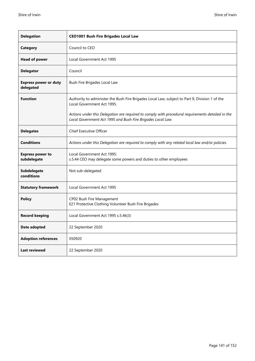| <b>Delegation</b>                         | <b>CEO1001 Bush Fire Brigades Local Law</b>                                                                                                                      |
|-------------------------------------------|------------------------------------------------------------------------------------------------------------------------------------------------------------------|
| <b>Category</b>                           | Council to CEO                                                                                                                                                   |
| <b>Head of power</b>                      | Local Government Act 1995                                                                                                                                        |
| <b>Delegator</b>                          | Council                                                                                                                                                          |
| <b>Express power or duty</b><br>delegated | Bush Fire Brigades Local Law                                                                                                                                     |
| <b>Function</b>                           | Authority to administer the Bush Fire Brigades Local Law, subject to Part 9, Division 1 of the<br>Local Government Act 1995.                                     |
|                                           | Actions under this Delegation are required to comply with procedural requirements detailed in the<br>Local Government Act 1995 and Bush Fire Brigades Local Law. |
| <b>Delegates</b>                          | <b>Chief Executive Officer</b>                                                                                                                                   |
| <b>Conditions</b>                         | Actions under this Delegation are required to comply with any related local law and/or policies.                                                                 |
| <b>Express power to</b><br>subdelegate    | Local Government Act 1995:<br>s.5.44 CEO may delegate some powers and duties to other employees                                                                  |
| <b>Subdelegate</b><br>conditions          | Not sub-delegated                                                                                                                                                |
| <b>Statutory framework</b>                | Local Government Act 1995                                                                                                                                        |
| <b>Policy</b>                             | CP02 Bush Fire Management<br>E21 Protective Clothing Volunteer Bush Fire Brigades                                                                                |
| <b>Record keeping</b>                     | Local Government Act 1995 s.5.46(3)                                                                                                                              |
| Date adopted                              | 22 September 2020                                                                                                                                                |
| <b>Adoption references</b>                | 050920                                                                                                                                                           |
| <b>Last reviewed</b>                      | 22 September 2020                                                                                                                                                |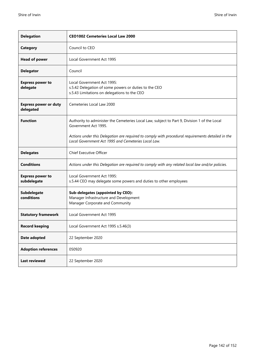| <b>Delegation</b>                         | <b>CEO1002 Cemeteries Local Law 2000</b>                                                                                                                 |
|-------------------------------------------|----------------------------------------------------------------------------------------------------------------------------------------------------------|
| <b>Category</b>                           | Council to CEO                                                                                                                                           |
| <b>Head of power</b>                      | Local Government Act 1995                                                                                                                                |
| <b>Delegator</b>                          | Council                                                                                                                                                  |
| <b>Express power to</b><br>delegate       | Local Government Act 1995:<br>s.5.42 Delegation of some powers or duties to the CEO<br>s.5.43 Limitations on delegations to the CEO                      |
| <b>Express power or duty</b><br>delegated | Cemeteries Local Law 2000                                                                                                                                |
| <b>Function</b>                           | Authority to administer the Cemeteries Local Law, subject to Part 9, Division 1 of the Local<br>Government Act 1995.                                     |
|                                           | Actions under this Delegation are required to comply with procedural requirements detailed in the<br>Local Government Act 1995 and Cemeteries Local Law. |
| <b>Delegates</b>                          | <b>Chief Executive Officer</b>                                                                                                                           |
| <b>Conditions</b>                         | Actions under this Delegation are required to comply with any related local law and/or policies.                                                         |
| <b>Express power to</b><br>subdelegate    | Local Government Act 1995:<br>s.5.44 CEO may delegate some powers and duties to other employees                                                          |
| Subdelegate<br>conditions                 | Sub-delegates (appointed by CEO):<br>Manager Infrastructure and Development<br>Manager Corporate and Community                                           |
| <b>Statutory framework</b>                | Local Government Act 1995                                                                                                                                |
| <b>Record keeping</b>                     | Local Government Act 1995 s.5.46(3)                                                                                                                      |
| Date adopted                              | 22 September 2020                                                                                                                                        |
| <b>Adoption references</b>                | 050920                                                                                                                                                   |
| <b>Last reviewed</b>                      | 22 September 2020                                                                                                                                        |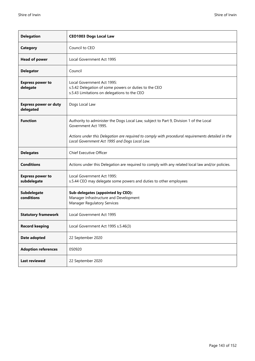| <b>Delegation</b>                         | <b>CEO1003 Dogs Local Law</b>                                                                                                                      |
|-------------------------------------------|----------------------------------------------------------------------------------------------------------------------------------------------------|
| <b>Category</b>                           | Council to CEO                                                                                                                                     |
| <b>Head of power</b>                      | Local Government Act 1995                                                                                                                          |
| <b>Delegator</b>                          | Council                                                                                                                                            |
| <b>Express power to</b><br>delegate       | Local Government Act 1995:<br>s.5.42 Delegation of some powers or duties to the CEO<br>s.5.43 Limitations on delegations to the CEO                |
| <b>Express power or duty</b><br>delegated | Dogs Local Law                                                                                                                                     |
| <b>Function</b>                           | Authority to administer the Dogs Local Law, subject to Part 9, Division 1 of the Local<br>Government Act 1995.                                     |
|                                           | Actions under this Delegation are required to comply with procedural requirements detailed in the<br>Local Government Act 1995 and Dogs Local Law. |
| <b>Delegates</b>                          | <b>Chief Executive Officer</b>                                                                                                                     |
| <b>Conditions</b>                         | Actions under this Delegation are required to comply with any related local law and/or policies.                                                   |
| <b>Express power to</b><br>subdelegate    | Local Government Act 1995:<br>s.5.44 CEO may delegate some powers and duties to other employees                                                    |
| <b>Subdelegate</b><br>conditions          | Sub-delegates (appointed by CEO):<br>Manager Infrastructure and Development<br><b>Manager Regulatory Services</b>                                  |
| <b>Statutory framework</b>                | Local Government Act 1995                                                                                                                          |
| <b>Record keeping</b>                     | Local Government Act 1995 s.5.46(3)                                                                                                                |
| Date adopted                              | 22 September 2020                                                                                                                                  |
| <b>Adoption references</b>                | 050920                                                                                                                                             |
| <b>Last reviewed</b>                      | 22 September 2020                                                                                                                                  |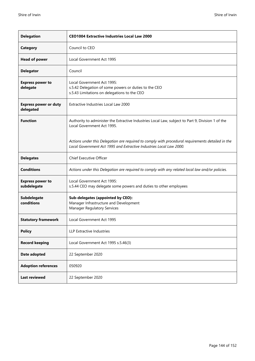| <b>Delegation</b>                         | <b>CEO1004 Extractive Industries Local Law 2000</b>                                                                                                                      |
|-------------------------------------------|--------------------------------------------------------------------------------------------------------------------------------------------------------------------------|
| <b>Category</b>                           | Council to CEO                                                                                                                                                           |
| <b>Head of power</b>                      | Local Government Act 1995                                                                                                                                                |
| <b>Delegator</b>                          | Council                                                                                                                                                                  |
| <b>Express power to</b><br>delegate       | Local Government Act 1995:<br>s.5.42 Delegation of some powers or duties to the CEO<br>s.5.43 Limitations on delegations to the CEO                                      |
| <b>Express power or duty</b><br>delegated | Extractive Industries Local Law 2000                                                                                                                                     |
| <b>Function</b>                           | Authority to administer the Extractive Industries Local Law, subject to Part 9, Division 1 of the<br>Local Government Act 1995.                                          |
|                                           | Actions under this Delegation are required to comply with procedural requirements detailed in the<br>Local Government Act 1995 and Extractive Industries Local Law 2000. |
| <b>Delegates</b>                          | Chief Executive Officer                                                                                                                                                  |
| <b>Conditions</b>                         | Actions under this Delegation are required to comply with any related local law and/or policies.                                                                         |
| <b>Express power to</b><br>subdelegate    | Local Government Act 1995:<br>s.5.44 CEO may delegate some powers and duties to other employees                                                                          |
| <b>Subdelegate</b><br>conditions          | Sub-delegates (appointed by CEO):<br>Manager Infrastructure and Development<br><b>Manager Regulatory Services</b>                                                        |
| <b>Statutory framework</b>                | Local Government Act 1995                                                                                                                                                |
| <b>Policy</b>                             | LLP Extractive Industries                                                                                                                                                |
| <b>Record keeping</b>                     | Local Government Act 1995 s.5.46(3)                                                                                                                                      |
| Date adopted                              | 22 September 2020                                                                                                                                                        |
| <b>Adoption references</b>                | 050920                                                                                                                                                                   |
| <b>Last reviewed</b>                      | 22 September 2020                                                                                                                                                        |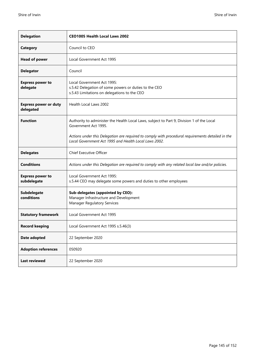| <b>Delegation</b>                         | <b>CEO1005 Health Local Laws 2002</b>                                                                                                                      |  |  |  |  |
|-------------------------------------------|------------------------------------------------------------------------------------------------------------------------------------------------------------|--|--|--|--|
| <b>Category</b>                           | Council to CEO                                                                                                                                             |  |  |  |  |
|                                           |                                                                                                                                                            |  |  |  |  |
| <b>Head of power</b>                      | Local Government Act 1995                                                                                                                                  |  |  |  |  |
| <b>Delegator</b>                          | Council                                                                                                                                                    |  |  |  |  |
| <b>Express power to</b><br>delegate       | Local Government Act 1995:<br>s.5.42 Delegation of some powers or duties to the CEO<br>s.5.43 Limitations on delegations to the CEO                        |  |  |  |  |
| <b>Express power or duty</b><br>delegated | Health Local Laws 2002                                                                                                                                     |  |  |  |  |
| <b>Function</b>                           | Authority to administer the Health Local Laws, subject to Part 9, Division 1 of the Local<br>Government Act 1995.                                          |  |  |  |  |
|                                           | Actions under this Delegation are required to comply with procedural requirements detailed in the<br>Local Government Act 1995 and Health Local Laws 2002. |  |  |  |  |
| <b>Delegates</b>                          | <b>Chief Executive Officer</b>                                                                                                                             |  |  |  |  |
| <b>Conditions</b>                         | Actions under this Delegation are required to comply with any related local law and/or policies.                                                           |  |  |  |  |
| <b>Express power to</b><br>subdelegate    | Local Government Act 1995:<br>s.5.44 CEO may delegate some powers and duties to other employees                                                            |  |  |  |  |
|                                           | Sub-delegates (appointed by CEO):<br>Manager Infrastructure and Development<br><b>Manager Regulatory Services</b>                                          |  |  |  |  |
| Subdelegate<br>conditions                 |                                                                                                                                                            |  |  |  |  |
| <b>Statutory framework</b>                | Local Government Act 1995                                                                                                                                  |  |  |  |  |
| <b>Record keeping</b>                     | Local Government Act 1995 s.5.46(3)                                                                                                                        |  |  |  |  |
| Date adopted                              | 22 September 2020                                                                                                                                          |  |  |  |  |
| <b>Adoption references</b>                | 050920                                                                                                                                                     |  |  |  |  |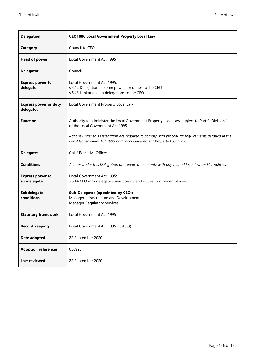| <b>Delegation</b>                         | <b>CEO1006 Local Government Property Local Law</b>                                                                                                                      |  |  |  |  |
|-------------------------------------------|-------------------------------------------------------------------------------------------------------------------------------------------------------------------------|--|--|--|--|
| <b>Category</b>                           | Council to CEO                                                                                                                                                          |  |  |  |  |
| <b>Head of power</b>                      | Local Government Act 1995                                                                                                                                               |  |  |  |  |
| <b>Delegator</b>                          | Council                                                                                                                                                                 |  |  |  |  |
| <b>Express power to</b><br>delegate       | Local Government Act 1995:<br>s.5.42 Delegation of some powers or duties to the CEO<br>s.5.43 Limitations on delegations to the CEO                                     |  |  |  |  |
| <b>Express power or duty</b><br>delegated | Local Government Property Local Law                                                                                                                                     |  |  |  |  |
| <b>Function</b>                           | Authority to administer the Local Government Property Local Law, subject to Part 9, Division 1<br>of the Local Government Act 1995.                                     |  |  |  |  |
|                                           | Actions under this Delegation are required to comply with procedural requirements detailed in the<br>Local Government Act 1995 and Local Government Property Local Law. |  |  |  |  |
| <b>Delegates</b>                          | Chief Executive Officer                                                                                                                                                 |  |  |  |  |
| <b>Conditions</b>                         | Actions under this Delegation are required to comply with any related local law and/or policies.                                                                        |  |  |  |  |
| <b>Express power to</b><br>subdelegate    | Local Government Act 1995:<br>s.5.44 CEO may delegate some powers and duties to other employees                                                                         |  |  |  |  |
| Subdelegate<br>conditions                 | <b>Sub-Delegates (appointed by CEO):</b><br>Manager Infrastructure and Development<br><b>Manager Regulatory Services</b>                                                |  |  |  |  |
| <b>Statutory framework</b>                | Local Government Act 1995                                                                                                                                               |  |  |  |  |
| <b>Record keeping</b>                     | Local Government Act 1995 s.5.46(3)                                                                                                                                     |  |  |  |  |
| Date adopted                              | 22 September 2020                                                                                                                                                       |  |  |  |  |
| <b>Adoption references</b>                | 050920                                                                                                                                                                  |  |  |  |  |
| <b>Last reviewed</b>                      | 22 September 2020                                                                                                                                                       |  |  |  |  |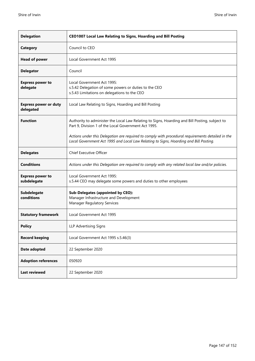| <b>Delegation</b>                         | <b>CEO1007 Local Law Relating to Signs, Hoarding and Bill Posting</b>                                                                                                                      |  |  |  |  |
|-------------------------------------------|--------------------------------------------------------------------------------------------------------------------------------------------------------------------------------------------|--|--|--|--|
| <b>Category</b>                           | Council to CEO                                                                                                                                                                             |  |  |  |  |
| <b>Head of power</b>                      | Local Government Act 1995                                                                                                                                                                  |  |  |  |  |
| <b>Delegator</b>                          | Council                                                                                                                                                                                    |  |  |  |  |
| <b>Express power to</b><br>delegate       | Local Government Act 1995:<br>s.5.42 Delegation of some powers or duties to the CEO<br>s.5.43 Limitations on delegations to the CEO                                                        |  |  |  |  |
| <b>Express power or duty</b><br>delegated | Local Law Relating to Signs, Hoarding and Bill Posting                                                                                                                                     |  |  |  |  |
| <b>Function</b>                           | Authority to administer the Local Law Relating to Signs, Hoarding and Bill Posting, subject to<br>Part 9, Division 1 of the Local Government Act 1995.                                     |  |  |  |  |
|                                           | Actions under this Delegation are required to comply with procedural requirements detailed in the<br>Local Government Act 1995 and Local Law Relating to Signs, Hoarding and Bill Posting. |  |  |  |  |
| <b>Delegates</b>                          | <b>Chief Executive Officer</b>                                                                                                                                                             |  |  |  |  |
| <b>Conditions</b>                         | Actions under this Delegation are required to comply with any related local law and/or policies.                                                                                           |  |  |  |  |
| <b>Express power to</b><br>subdelegate    | Local Government Act 1995:<br>s.5.44 CEO may delegate some powers and duties to other employees                                                                                            |  |  |  |  |
| <b>Subdelegate</b><br>conditions          | Sub-Delegates (appointed by CEO):<br>Manager Infrastructure and Development<br><b>Manager Regulatory Services</b>                                                                          |  |  |  |  |
| <b>Statutory framework</b>                | Local Government Act 1995                                                                                                                                                                  |  |  |  |  |
| <b>Policy</b>                             | <b>LLP Advertising Signs</b>                                                                                                                                                               |  |  |  |  |
| <b>Record keeping</b>                     | Local Government Act 1995 s.5.46(3)                                                                                                                                                        |  |  |  |  |
| Date adopted                              | 22 September 2020                                                                                                                                                                          |  |  |  |  |
| <b>Adoption references</b>                | 050920                                                                                                                                                                                     |  |  |  |  |
| <b>Last reviewed</b>                      | 22 September 2020                                                                                                                                                                          |  |  |  |  |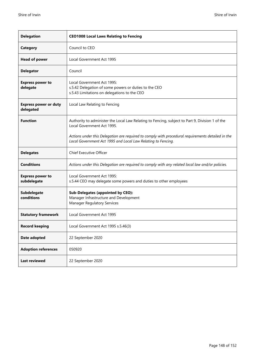| <b>Delegation</b>                         | <b>CEO1008 Local Laws Relating to Fencing</b>                                                                                                                     |  |  |  |  |
|-------------------------------------------|-------------------------------------------------------------------------------------------------------------------------------------------------------------------|--|--|--|--|
| <b>Category</b>                           | Council to CEO                                                                                                                                                    |  |  |  |  |
| <b>Head of power</b>                      | Local Government Act 1995                                                                                                                                         |  |  |  |  |
| <b>Delegator</b>                          | Council                                                                                                                                                           |  |  |  |  |
| <b>Express power to</b><br>delegate       | Local Government Act 1995:<br>s.5.42 Delegation of some powers or duties to the CEO<br>s.5.43 Limitations on delegations to the CEO                               |  |  |  |  |
| <b>Express power or duty</b><br>delegated | Local Law Relating to Fencing                                                                                                                                     |  |  |  |  |
| <b>Function</b>                           | Authority to administer the Local Law Relating to Fencing, subject to Part 9, Division 1 of the<br>Local Government Act 1995.                                     |  |  |  |  |
|                                           | Actions under this Delegation are required to comply with procedural requirements detailed in the<br>Local Government Act 1995 and Local Law Relating to Fencing. |  |  |  |  |
| <b>Delegates</b>                          | Chief Executive Officer                                                                                                                                           |  |  |  |  |
| <b>Conditions</b>                         | Actions under this Delegation are required to comply with any related local law and/or policies.                                                                  |  |  |  |  |
| <b>Express power to</b><br>subdelegate    | Local Government Act 1995:<br>s.5.44 CEO may delegate some powers and duties to other employees                                                                   |  |  |  |  |
| <b>Subdelegate</b><br>conditions          | Sub-Delegates (appointed by CEO):<br>Manager Infrastructure and Development<br><b>Manager Regulatory Services</b>                                                 |  |  |  |  |
| <b>Statutory framework</b>                | Local Government Act 1995                                                                                                                                         |  |  |  |  |
| <b>Record keeping</b>                     | Local Government Act 1995 s.5.46(3)                                                                                                                               |  |  |  |  |
| Date adopted                              | 22 September 2020                                                                                                                                                 |  |  |  |  |
| <b>Adoption references</b>                | 050920                                                                                                                                                            |  |  |  |  |
| <b>Last reviewed</b>                      | 22 September 2020                                                                                                                                                 |  |  |  |  |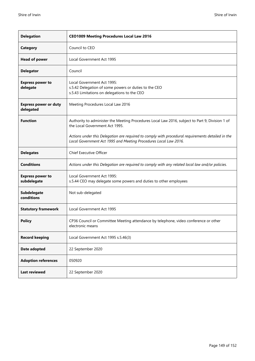| <b>Delegation</b>                         | <b>CEO1009 Meeting Procedures Local Law 2016</b>                                                                                                                      |  |  |  |
|-------------------------------------------|-----------------------------------------------------------------------------------------------------------------------------------------------------------------------|--|--|--|
| <b>Category</b>                           | Council to CEO                                                                                                                                                        |  |  |  |
| <b>Head of power</b>                      | Local Government Act 1995                                                                                                                                             |  |  |  |
| <b>Delegator</b>                          | Council                                                                                                                                                               |  |  |  |
| <b>Express power to</b><br>delegate       | Local Government Act 1995:<br>s.5.42 Delegation of some powers or duties to the CEO<br>s.5.43 Limitations on delegations to the CEO                                   |  |  |  |
| <b>Express power or duty</b><br>delegated | Meeting Procedures Local Law 2016                                                                                                                                     |  |  |  |
| <b>Function</b>                           | Authority to administer the Meeting Procedures Local Law 2016, subject to Part 9, Division 1 of<br>the Local Government Act 1995.                                     |  |  |  |
|                                           | Actions under this Delegation are required to comply with procedural requirements detailed in the<br>Local Government Act 1995 and Meeting Procedures Local Law 2016. |  |  |  |
| <b>Delegates</b>                          | Chief Executive Officer                                                                                                                                               |  |  |  |
| <b>Conditions</b>                         | Actions under this Delegation are required to comply with any related local law and/or policies.                                                                      |  |  |  |
| <b>Express power to</b><br>subdelegate    | Local Government Act 1995:<br>s.5.44 CEO may delegate some powers and duties to other employees                                                                       |  |  |  |
| <b>Subdelegate</b><br>conditions          | Not sub-delegated                                                                                                                                                     |  |  |  |
| <b>Statutory framework</b>                | Local Government Act 1995                                                                                                                                             |  |  |  |
| <b>Policy</b>                             | CP36 Council or Committee Meeting attendance by telephone, video conference or other<br>electronic means                                                              |  |  |  |
| <b>Record keeping</b>                     | Local Government Act 1995 s.5.46(3)                                                                                                                                   |  |  |  |
| Date adopted                              | 22 September 2020                                                                                                                                                     |  |  |  |
| <b>Adoption references</b>                | 050920                                                                                                                                                                |  |  |  |
| <b>Last reviewed</b>                      | 22 September 2020                                                                                                                                                     |  |  |  |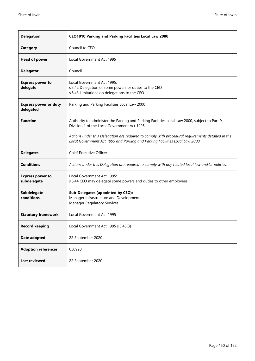| <b>Delegation</b>                         | <b>CEO1010 Parking and Parking Facilities Local Law 2000</b>                                                                                                                      |  |  |  |  |
|-------------------------------------------|-----------------------------------------------------------------------------------------------------------------------------------------------------------------------------------|--|--|--|--|
| Category                                  | Council to CEO                                                                                                                                                                    |  |  |  |  |
| <b>Head of power</b>                      | Local Government Act 1995                                                                                                                                                         |  |  |  |  |
| <b>Delegator</b>                          | Council                                                                                                                                                                           |  |  |  |  |
| <b>Express power to</b><br>delegate       | Local Government Act 1995:<br>s.5.42 Delegation of some powers or duties to the CEO<br>s.5.43 Limitations on delegations to the CEO                                               |  |  |  |  |
| <b>Express power or duty</b><br>delegated | Parking and Parking Facilities Local Law 2000                                                                                                                                     |  |  |  |  |
| <b>Function</b>                           | Authority to administer the Parking and Parking Facilities Local Law 2000, subject to Part 9,<br>Division 1 of the Local Government Act 1995.                                     |  |  |  |  |
|                                           | Actions under this Delegation are required to comply with procedural requirements detailed in the<br>Local Government Act 1995 and Parking and Parking Facilities Local Law 2000. |  |  |  |  |
| <b>Delegates</b>                          | <b>Chief Executive Officer</b>                                                                                                                                                    |  |  |  |  |
| <b>Conditions</b>                         | Actions under this Delegation are required to comply with any related local law and/or policies.                                                                                  |  |  |  |  |
| <b>Express power to</b><br>subdelegate    | Local Government Act 1995:<br>s.5.44 CEO may delegate some powers and duties to other employees                                                                                   |  |  |  |  |
| Subdelegate<br>conditions                 | <b>Sub-Delegates (appointed by CEO):</b><br>Manager Infrastructure and Development<br><b>Manager Regulatory Services</b>                                                          |  |  |  |  |
| <b>Statutory framework</b>                | Local Government Act 1995                                                                                                                                                         |  |  |  |  |
| <b>Record keeping</b>                     | Local Government Act 1995 s.5.46(3)                                                                                                                                               |  |  |  |  |
| Date adopted                              | 22 September 2020                                                                                                                                                                 |  |  |  |  |
| <b>Adoption references</b>                | 050920                                                                                                                                                                            |  |  |  |  |
| <b>Last reviewed</b>                      | 22 September 2020                                                                                                                                                                 |  |  |  |  |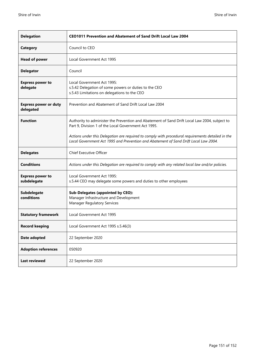| <b>Delegation</b>                         | CEO1011 Prevention and Abatement of Sand Drift Local Law 2004                                                                                                                                                                                                                                                                                      |  |  |  |  |
|-------------------------------------------|----------------------------------------------------------------------------------------------------------------------------------------------------------------------------------------------------------------------------------------------------------------------------------------------------------------------------------------------------|--|--|--|--|
| <b>Category</b>                           | Council to CEO                                                                                                                                                                                                                                                                                                                                     |  |  |  |  |
| <b>Head of power</b>                      | Local Government Act 1995                                                                                                                                                                                                                                                                                                                          |  |  |  |  |
| <b>Delegator</b>                          | Council                                                                                                                                                                                                                                                                                                                                            |  |  |  |  |
| <b>Express power to</b><br>delegate       | Local Government Act 1995:<br>s.5.42 Delegation of some powers or duties to the CEO<br>s.5.43 Limitations on delegations to the CEO                                                                                                                                                                                                                |  |  |  |  |
| <b>Express power or duty</b><br>delegated | Prevention and Abatement of Sand Drift Local Law 2004                                                                                                                                                                                                                                                                                              |  |  |  |  |
| <b>Function</b>                           | Authority to administer the Prevention and Abatement of Sand Drift Local Law 2004, subject to<br>Part 9, Division 1 of the Local Government Act 1995.<br>Actions under this Delegation are required to comply with procedural requirements detailed in the<br>Local Government Act 1995 and Prevention and Abatement of Sand Drift Local Law 2004. |  |  |  |  |
| <b>Delegates</b>                          | <b>Chief Executive Officer</b>                                                                                                                                                                                                                                                                                                                     |  |  |  |  |
| <b>Conditions</b>                         | Actions under this Delegation are required to comply with any related local law and/or policies.                                                                                                                                                                                                                                                   |  |  |  |  |
| <b>Express power to</b><br>subdelegate    | Local Government Act 1995:<br>s.5.44 CEO may delegate some powers and duties to other employees                                                                                                                                                                                                                                                    |  |  |  |  |
| Subdelegate<br>conditions                 | Sub-Delegates (appointed by CEO):<br>Manager Infrastructure and Development<br><b>Manager Regulatory Services</b>                                                                                                                                                                                                                                  |  |  |  |  |
| <b>Statutory framework</b>                | Local Government Act 1995                                                                                                                                                                                                                                                                                                                          |  |  |  |  |
| <b>Record keeping</b>                     | Local Government Act 1995 s.5.46(3)                                                                                                                                                                                                                                                                                                                |  |  |  |  |
| Date adopted                              | 22 September 2020                                                                                                                                                                                                                                                                                                                                  |  |  |  |  |
| <b>Adoption references</b>                | 050920                                                                                                                                                                                                                                                                                                                                             |  |  |  |  |
| <b>Last reviewed</b>                      | 22 September 2020                                                                                                                                                                                                                                                                                                                                  |  |  |  |  |